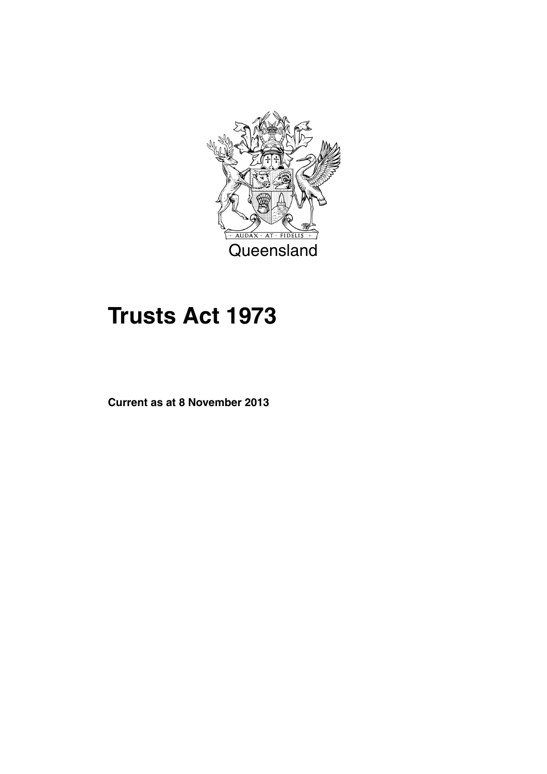

# **Trusts Act 1973**

**Current as at 8 November 2013**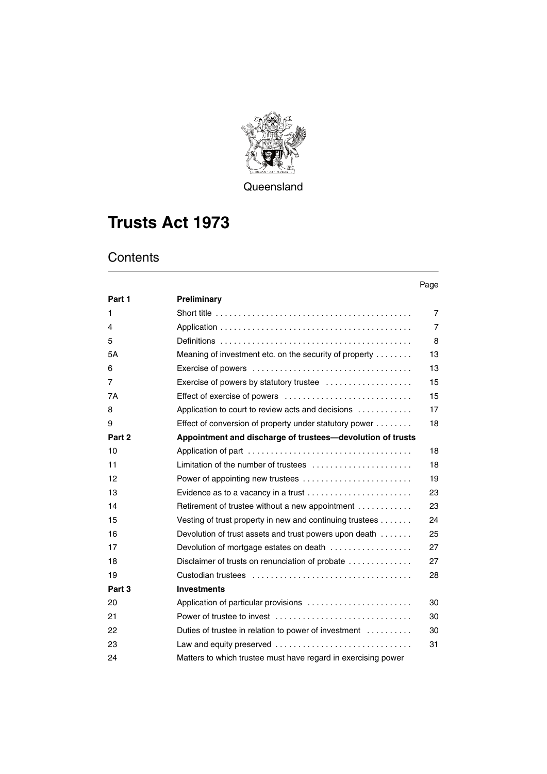

**Queensland** 

# **Trusts Act 1973**

## **Contents**

#### Page

| Part 1 | Preliminary                                                                            |                |
|--------|----------------------------------------------------------------------------------------|----------------|
| 1      |                                                                                        | $\overline{7}$ |
| 4      |                                                                                        | $\overline{7}$ |
| 5      |                                                                                        | 8              |
| 5A     | Meaning of investment etc. on the security of property                                 | 13             |
| 6      |                                                                                        | 13             |
| 7      | Exercise of powers by statutory trustee                                                | 15             |
| 7A     |                                                                                        | 15             |
| 8      | Application to court to review acts and decisions                                      | 17             |
| 9      | Effect of conversion of property under statutory power                                 | 18             |
| Part 2 | Appointment and discharge of trustees-devolution of trusts                             |                |
| 10     |                                                                                        | 18             |
| 11     | Limitation of the number of trustees $\ldots, \ldots, \ldots, \ldots, \ldots, \ldots$  | 18             |
| 12     | Power of appointing new trustees                                                       | 19             |
| 13     | Evidence as to a vacancy in a trust $\ldots \ldots \ldots \ldots \ldots \ldots \ldots$ | 23             |
| 14     | Retirement of trustee without a new appointment                                        | 23             |
| 15     | Vesting of trust property in new and continuing trustees                               | 24             |
| 16     | Devolution of trust assets and trust powers upon death                                 | 25             |
| 17     | Devolution of mortgage estates on death                                                | 27             |
| 18     | Disclaimer of trusts on renunciation of probate                                        | 27             |
| 19     |                                                                                        | 28             |
| Part 3 | <b>Investments</b>                                                                     |                |
| 20     | Application of particular provisions                                                   | 30             |
| 21     | Power of trustee to invest                                                             | 30             |
| 22     | Duties of trustee in relation to power of investment                                   | 30             |
| 23     | Law and equity preserved                                                               | 31             |
| 24     | Matters to which trustee must have regard in exercising power                          |                |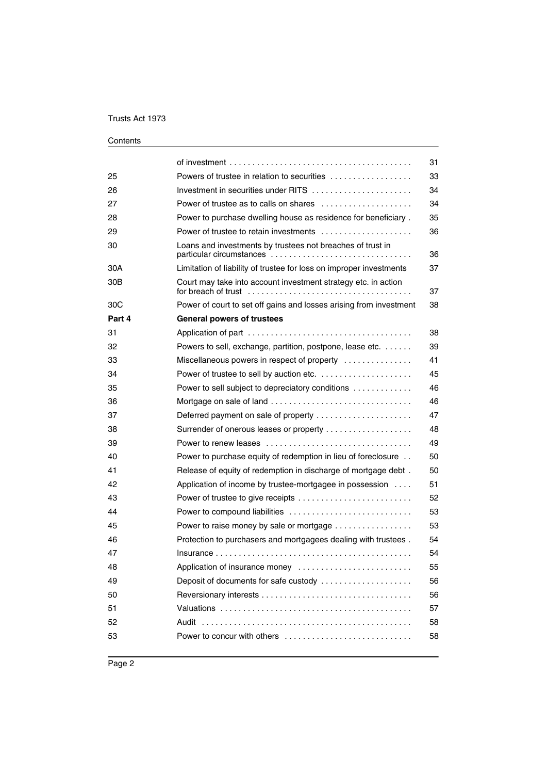|                 |                                                                                        | 31 |
|-----------------|----------------------------------------------------------------------------------------|----|
| 25              | Powers of trustee in relation to securities                                            | 33 |
| 26              | Investment in securities under RITS                                                    | 34 |
| 27              | Power of trustee as to calls on shares $\ldots, \ldots, \ldots, \ldots, \ldots$        | 34 |
| 28              | Power to purchase dwelling house as residence for beneficiary.                         | 35 |
| 29              | Power of trustee to retain investments                                                 | 36 |
| 30              | Loans and investments by trustees not breaches of trust in<br>particular circumstances | 36 |
| 30A             | Limitation of liability of trustee for loss on improper investments                    | 37 |
| 30 <sub>B</sub> | Court may take into account investment strategy etc. in action<br>for breach of trust  | 37 |
| 30 <sub>C</sub> | Power of court to set off gains and losses arising from investment                     | 38 |
| Part 4          | <b>General powers of trustees</b>                                                      |    |
| 31              |                                                                                        | 38 |
| 32              | Powers to sell, exchange, partition, postpone, lease etc.                              | 39 |
| 33              | Miscellaneous powers in respect of property                                            | 41 |
| 34              |                                                                                        | 45 |
| 35              | Power to sell subject to depreciatory conditions                                       | 46 |
| 36              | Mortgage on sale of land                                                               | 46 |
| 37              | Deferred payment on sale of property                                                   | 47 |
| 38              |                                                                                        | 48 |
| 39              |                                                                                        | 49 |
| 40              | Power to purchase equity of redemption in lieu of foreclosure                          | 50 |
| 41              | Release of equity of redemption in discharge of mortgage debt.                         | 50 |
| 42              | Application of income by trustee-mortgagee in possession                               | 51 |
| 43              |                                                                                        | 52 |
| 44              | Power to compound liabilities                                                          | 53 |
| 45              | Power to raise money by sale or mortgage                                               | 53 |
| 46              | Protection to purchasers and mortgagees dealing with trustees.                         | 54 |
| 47              |                                                                                        | 54 |
| 48              | Application of insurance money                                                         | 55 |
| 49              | Deposit of documents for safe custody                                                  | 56 |
| 50              |                                                                                        | 56 |
| 51              |                                                                                        | 57 |
| 52              |                                                                                        | 58 |
| 53              | Power to concur with others                                                            | 58 |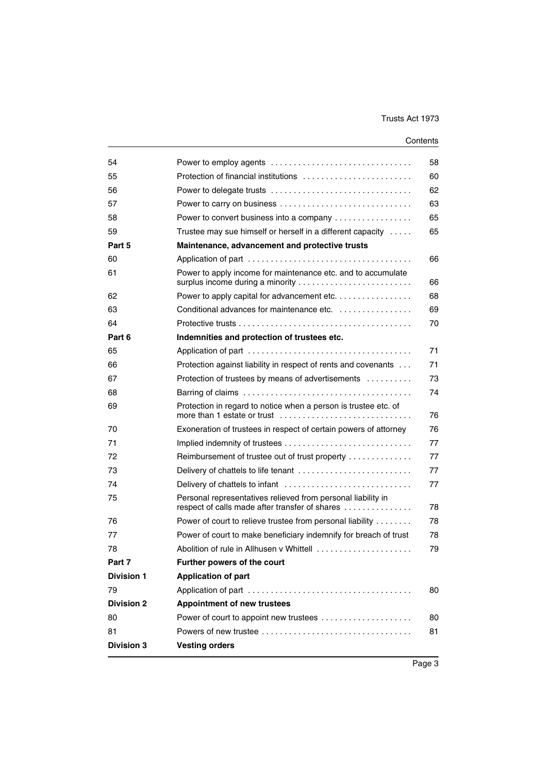| 54                |                                                                                                                | 58 |
|-------------------|----------------------------------------------------------------------------------------------------------------|----|
| 55                |                                                                                                                | 60 |
| 56                |                                                                                                                | 62 |
| 57                | Power to carry on business                                                                                     | 63 |
| 58                | Power to convert business into a company                                                                       | 65 |
| 59                | Trustee may sue himself or herself in a different capacity                                                     | 65 |
| Part 5            | Maintenance, advancement and protective trusts                                                                 |    |
| 60                |                                                                                                                | 66 |
| 61                | Power to apply income for maintenance etc. and to accumulate                                                   | 66 |
| 62                | Power to apply capital for advancement etc.                                                                    | 68 |
| 63                | Conditional advances for maintenance etc. $\ldots$ , $\ldots$ , $\ldots$ , $\ldots$                            | 69 |
| 64                |                                                                                                                | 70 |
| Part 6            | Indemnities and protection of trustees etc.                                                                    |    |
| 65                |                                                                                                                | 71 |
| 66                | Protection against liability in respect of rents and covenants                                                 | 71 |
| 67                | Protection of trustees by means of advertisements                                                              | 73 |
| 68                | Barring of claims $\ldots \ldots \ldots \ldots \ldots \ldots \ldots \ldots \ldots \ldots \ldots$               | 74 |
| 69                | Protection in regard to notice when a person is trustee etc. of                                                | 76 |
| 70                | Exoneration of trustees in respect of certain powers of attorney                                               | 76 |
| 71                |                                                                                                                | 77 |
| 72                | Reimbursement of trustee out of trust property                                                                 | 77 |
| 73                | Delivery of chattels to life tenant                                                                            | 77 |
| 74                |                                                                                                                | 77 |
| 75                | Personal representatives relieved from personal liability in<br>respect of calls made after transfer of shares | 78 |
| 76                | Power of court to relieve trustee from personal liability                                                      | 78 |
| 77                | Power of court to make beneficiary indemnify for breach of trust                                               | 78 |
| 78                | Abolition of rule in Allhusen v Whittell                                                                       | 79 |
| Part 7            | Further powers of the court                                                                                    |    |
| <b>Division 1</b> | <b>Application of part</b>                                                                                     |    |
| 79                |                                                                                                                | 80 |
| <b>Division 2</b> | <b>Appointment of new trustees</b>                                                                             |    |
| 80                |                                                                                                                | 80 |
| 81                |                                                                                                                | 81 |
| <b>Division 3</b> | <b>Vesting orders</b>                                                                                          |    |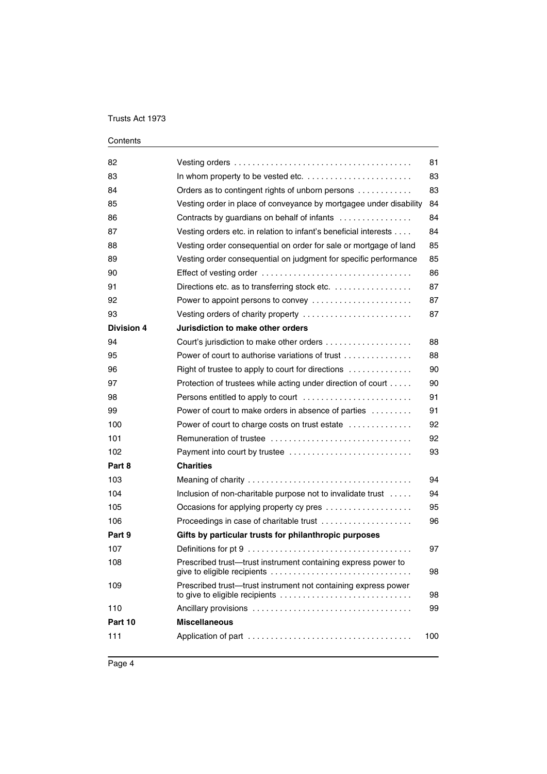| 82                | Vesting orders $\dots\dots\dots\dots\dots\dots\dots\dots\dots\dots\dots\dots\dots\dots\dots\dots$                                                                 | 81  |
|-------------------|-------------------------------------------------------------------------------------------------------------------------------------------------------------------|-----|
| 83                |                                                                                                                                                                   | 83  |
| 84                | Orders as to contingent rights of unborn persons                                                                                                                  | 83  |
| 85                | Vesting order in place of conveyance by mortgagee under disability                                                                                                | 84  |
| 86                | Contracts by guardians on behalf of infants                                                                                                                       | 84  |
| 87                | Vesting orders etc. in relation to infant's beneficial interests                                                                                                  | 84  |
| 88                | Vesting order consequential on order for sale or mortgage of land                                                                                                 | 85  |
| 89                | Vesting order consequential on judgment for specific performance                                                                                                  | 85  |
| 90                |                                                                                                                                                                   | 86  |
| 91                | Directions etc. as to transferring stock etc.                                                                                                                     | 87  |
| 92                | Power to appoint persons to convey                                                                                                                                | 87  |
| 93                | Vesting orders of charity property                                                                                                                                | 87  |
| <b>Division 4</b> | Jurisdiction to make other orders                                                                                                                                 |     |
| 94                |                                                                                                                                                                   | 88  |
| 95                | Power of court to authorise variations of trust                                                                                                                   | 88  |
| 96                | Right of trustee to apply to court for directions                                                                                                                 | 90  |
| 97                | Protection of trustees while acting under direction of court                                                                                                      | 90  |
| 98                |                                                                                                                                                                   | 91  |
| 99                | Power of court to make orders in absence of parties                                                                                                               | 91  |
| 100               | Power of court to charge costs on trust estate                                                                                                                    | 92  |
| 101               |                                                                                                                                                                   | 92  |
| 102               | Payment into court by trustee                                                                                                                                     | 93  |
| Part 8            | <b>Charities</b>                                                                                                                                                  |     |
| 103               |                                                                                                                                                                   | 94  |
| 104               | Inclusion of non-charitable purpose not to invalidate trust                                                                                                       | 94  |
| 105               | Occasions for applying property cy pres                                                                                                                           | 95  |
| 106               | Proceedings in case of charitable trust                                                                                                                           | 96  |
| Part 9            | Gifts by particular trusts for philanthropic purposes                                                                                                             |     |
| 107               |                                                                                                                                                                   | 97  |
| 108               | Prescribed trust-trust instrument containing express power to                                                                                                     | 98  |
| 109               | Prescribed trust-trust instrument not containing express power<br>to give to eligible recipients $\ldots \ldots \ldots \ldots \ldots \ldots \ldots \ldots \ldots$ | 98  |
| 110               |                                                                                                                                                                   | 99  |
| Part 10           | <b>Miscellaneous</b>                                                                                                                                              |     |
| 111               |                                                                                                                                                                   | 100 |
|                   |                                                                                                                                                                   |     |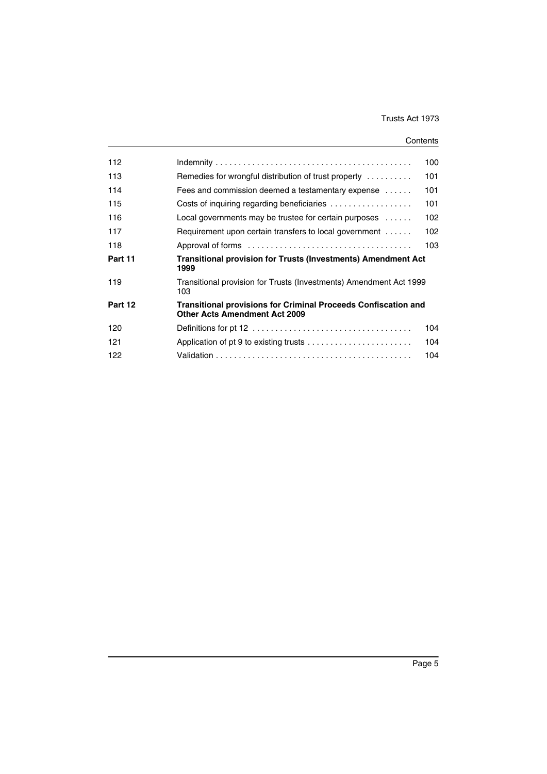| 112     |                                                                                                               | 100 |  |
|---------|---------------------------------------------------------------------------------------------------------------|-----|--|
| 113     | Remedies for wrongful distribution of trust property                                                          | 101 |  |
| 114     | Fees and commission deemed a testamentary expense $\dots$                                                     | 101 |  |
| 115     | Costs of inquiring regarding beneficiaries                                                                    | 101 |  |
| 116     | Local governments may be trustee for certain purposes $\dots$                                                 | 102 |  |
| 117     | Requirement upon certain transfers to local government                                                        | 102 |  |
| 118     |                                                                                                               | 103 |  |
| Part 11 | <b>Transitional provision for Trusts (Investments) Amendment Act</b><br>1999                                  |     |  |
| 119     | Transitional provision for Trusts (Investments) Amendment Act 1999<br>103                                     |     |  |
| Part 12 | <b>Transitional provisions for Criminal Proceeds Confiscation and</b><br><b>Other Acts Amendment Act 2009</b> |     |  |
| 120     |                                                                                                               | 104 |  |
| 121     |                                                                                                               | 104 |  |
| 122     |                                                                                                               | 104 |  |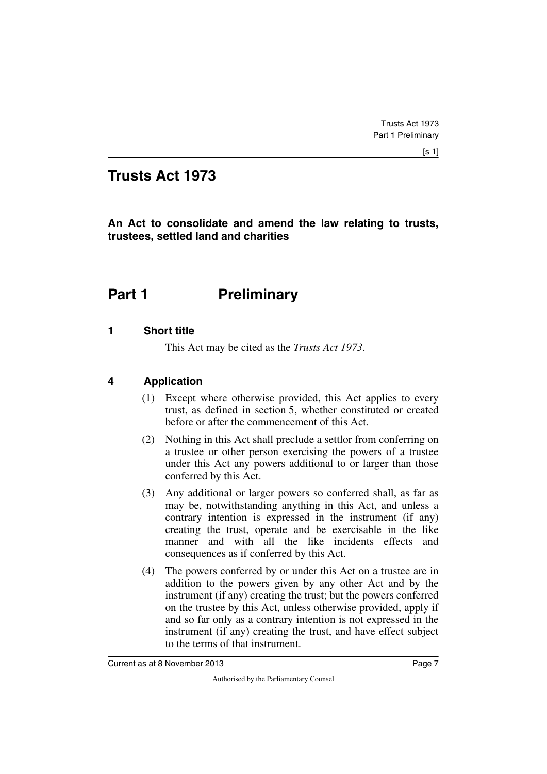## **Trusts Act 1973**

**An Act to consolidate and amend the law relating to trusts, trustees, settled land and charities**

# <span id="page-8-0"></span>**Part 1** Preliminary

#### <span id="page-8-2"></span>**1 Short title**

<span id="page-8-3"></span><span id="page-8-1"></span>This Act may be cited as the *Trusts Act 1973*.

#### <span id="page-8-4"></span>**4 Application**

- <span id="page-8-5"></span>(1) Except where otherwise provided, this Act applies to every trust, as defined in section 5, whether constituted or created before or after the commencement of this Act.
- (2) Nothing in this Act shall preclude a settlor from conferring on a trustee or other person exercising the powers of a trustee under this Act any powers additional to or larger than those conferred by this Act.
- (3) Any additional or larger powers so conferred shall, as far as may be, notwithstanding anything in this Act, and unless a contrary intention is expressed in the instrument (if any) creating the trust, operate and be exercisable in the like manner and with all the like incidents effects and consequences as if conferred by this Act.
- (4) The powers conferred by or under this Act on a trustee are in addition to the powers given by any other Act and by the instrument (if any) creating the trust; but the powers conferred on the trustee by this Act, unless otherwise provided, apply if and so far only as a contrary intention is not expressed in the instrument (if any) creating the trust, and have effect subject to the terms of that instrument.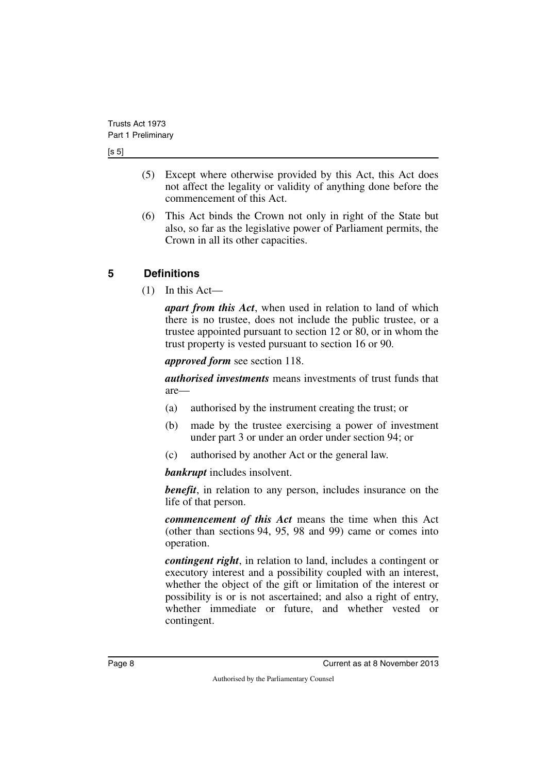[s 5]

- (5) Except where otherwise provided by this Act, this Act does not affect the legality or validity of anything done before the commencement of this Act.
- (6) This Act binds the Crown not only in right of the State but also, so far as the legislative power of Parliament permits, the Crown in all its other capacities.

## <span id="page-9-0"></span>**5 Definitions**

<span id="page-9-1"></span> $(1)$  In this Act—

*apart from this Act*, when used in relation to land of which there is no trustee, does not include the public trustee, or a trustee appointed pursuant to section 12 or 80, or in whom the trust property is vested pursuant to section 16 or 90.

*approved form* see section 118.

*authorised investments* means investments of trust funds that are—

- (a) authorised by the instrument creating the trust; or
- (b) made by the trustee exercising a power of investment under part 3 or under an order under section 94; or
- (c) authorised by another Act or the general law.

*bankrupt* includes insolvent.

*benefit*, in relation to any person, includes insurance on the life of that person.

*commencement of this Act* means the time when this Act (other than sections 94, 95, 98 and 99) came or comes into operation.

*contingent right*, in relation to land, includes a contingent or executory interest and a possibility coupled with an interest, whether the object of the gift or limitation of the interest or possibility is or is not ascertained; and also a right of entry, whether immediate or future, and whether vested or contingent.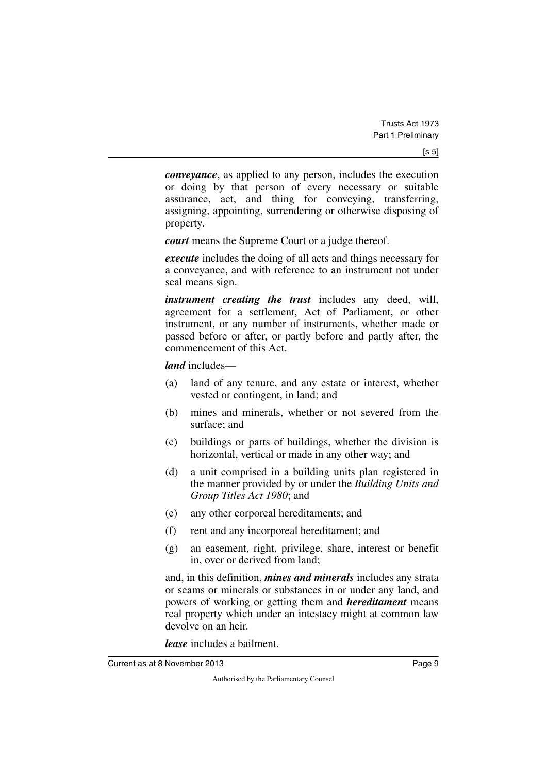*conveyance*, as applied to any person, includes the execution or doing by that person of every necessary or suitable assurance, act, and thing for conveying, transferring, assigning, appointing, surrendering or otherwise disposing of property.

*court* means the Supreme Court or a judge thereof.

*execute* includes the doing of all acts and things necessary for a conveyance, and with reference to an instrument not under seal means sign.

*instrument creating the trust* includes any deed, will, agreement for a settlement, Act of Parliament, or other instrument, or any number of instruments, whether made or passed before or after, or partly before and partly after, the commencement of this Act.

*land* includes—

- (a) land of any tenure, and any estate or interest, whether vested or contingent, in land; and
- (b) mines and minerals, whether or not severed from the surface; and
- (c) buildings or parts of buildings, whether the division is horizontal, vertical or made in any other way; and
- (d) a unit comprised in a building units plan registered in the manner provided by or under the *Building Units and Group Titles Act 1980*; and
- (e) any other corporeal hereditaments; and
- (f) rent and any incorporeal hereditament; and
- (g) an easement, right, privilege, share, interest or benefit in, over or derived from land;

and, in this definition, *mines and minerals* includes any strata or seams or minerals or substances in or under any land, and powers of working or getting them and *hereditament* means real property which under an intestacy might at common law devolve on an heir.

*lease* includes a bailment.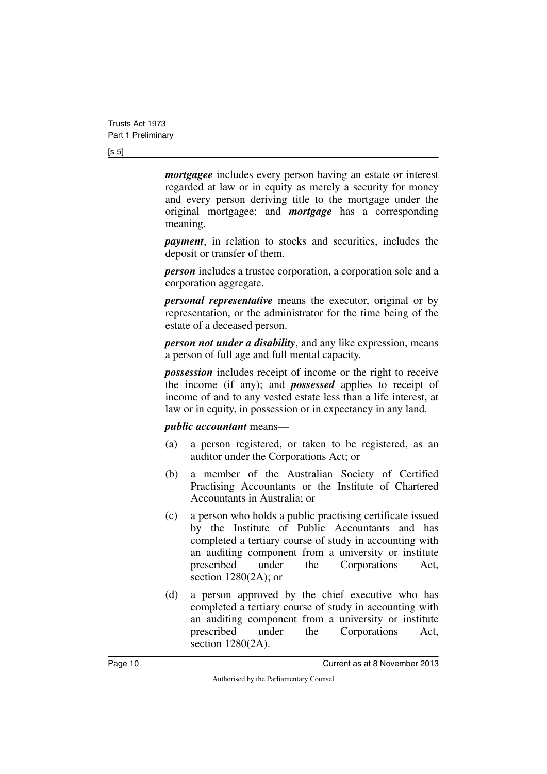#### [s 5]

*mortgagee* includes every person having an estate or interest regarded at law or in equity as merely a security for money and every person deriving title to the mortgage under the original mortgagee; and *mortgage* has a corresponding meaning.

*payment*, in relation to stocks and securities, includes the deposit or transfer of them.

*person* includes a trustee corporation, a corporation sole and a corporation aggregate.

*personal representative* means the executor, original or by representation, or the administrator for the time being of the estate of a deceased person.

*person not under a disability*, and any like expression, means a person of full age and full mental capacity.

*possession* includes receipt of income or the right to receive the income (if any); and *possessed* applies to receipt of income of and to any vested estate less than a life interest, at law or in equity, in possession or in expectancy in any land.

*public accountant* means—

- (a) a person registered, or taken to be registered, as an auditor under the Corporations Act; or
- (b) a member of the Australian Society of Certified Practising Accountants or the Institute of Chartered Accountants in Australia; or
- (c) a person who holds a public practising certificate issued by the Institute of Public Accountants and has completed a tertiary course of study in accounting with an auditing component from a university or institute prescribed under the Corporations Act, section 1280(2A); or
- (d) a person approved by the chief executive who has completed a tertiary course of study in accounting with an auditing component from a university or institute prescribed under the Corporations Act, section 1280(2A).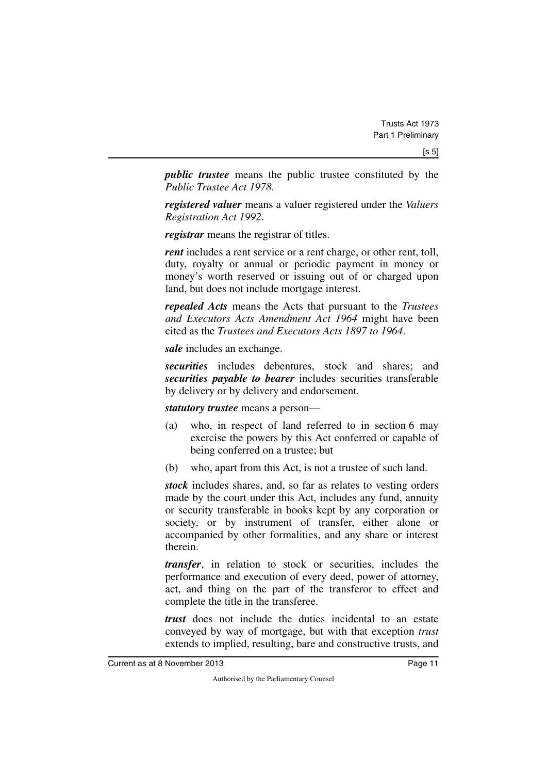*public trustee* means the public trustee constituted by the *Public Trustee Act 1978*.

*registered valuer* means a valuer registered under the *Valuers Registration Act 1992*.

*registrar* means the registrar of titles.

*rent* includes a rent service or a rent charge, or other rent, toll, duty, royalty or annual or periodic payment in money or money's worth reserved or issuing out of or charged upon land, but does not include mortgage interest.

*repealed Acts* means the Acts that pursuant to the *Trustees and Executors Acts Amendment Act 1964* might have been cited as the *Trustees and Executors Acts 1897 to 1964*.

*sale* includes an exchange.

*securities* includes debentures, stock and shares; and *securities payable to bearer* includes securities transferable by delivery or by delivery and endorsement.

*statutory trustee* means a person—

- (a) who, in respect of land referred to in section 6 may exercise the powers by this Act conferred or capable of being conferred on a trustee; but
- (b) who, apart from this Act, is not a trustee of such land.

*stock* includes shares, and, so far as relates to vesting orders made by the court under this Act, includes any fund, annuity or security transferable in books kept by any corporation or society, or by instrument of transfer, either alone or accompanied by other formalities, and any share or interest therein.

*transfer*, in relation to stock or securities, includes the performance and execution of every deed, power of attorney, act, and thing on the part of the transferor to effect and complete the title in the transferee.

*trust* does not include the duties incidental to an estate conveyed by way of mortgage, but with that exception *trust* extends to implied, resulting, bare and constructive trusts, and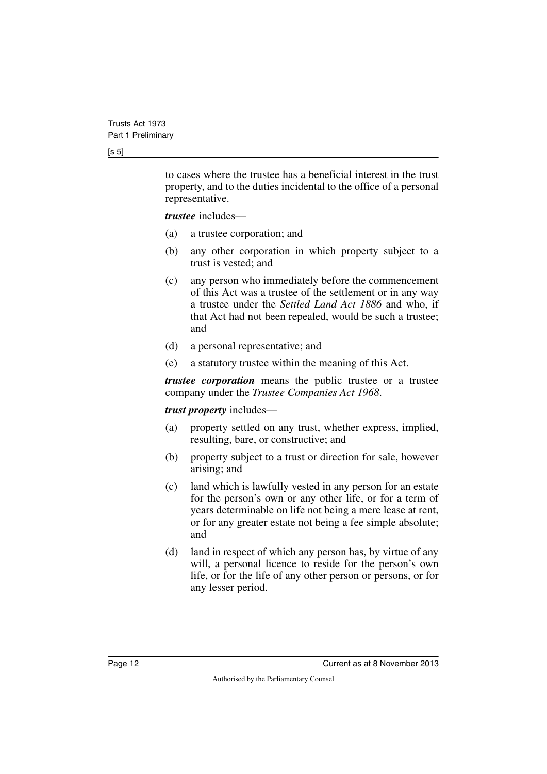#### [s 5]

to cases where the trustee has a beneficial interest in the trust property, and to the duties incidental to the office of a personal representative.

*trustee* includes—

- (a) a trustee corporation; and
- (b) any other corporation in which property subject to a trust is vested; and
- (c) any person who immediately before the commencement of this Act was a trustee of the settlement or in any way a trustee under the *Settled Land Act 1886* and who, if that Act had not been repealed, would be such a trustee; and
- (d) a personal representative; and
- (e) a statutory trustee within the meaning of this Act.

*trustee corporation* means the public trustee or a trustee company under the *Trustee Companies Act 1968*.

#### *trust property* includes—

- (a) property settled on any trust, whether express, implied, resulting, bare, or constructive; and
- (b) property subject to a trust or direction for sale, however arising; and
- (c) land which is lawfully vested in any person for an estate for the person's own or any other life, or for a term of years determinable on life not being a mere lease at rent, or for any greater estate not being a fee simple absolute; and
- (d) land in respect of which any person has, by virtue of any will, a personal licence to reside for the person's own life, or for the life of any other person or persons, or for any lesser period.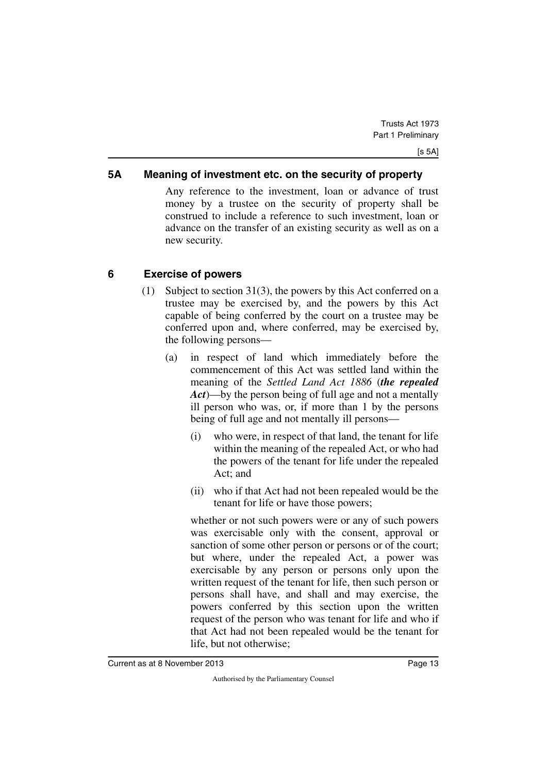#### <span id="page-14-0"></span>**5A Meaning of investment etc. on the security of property**

<span id="page-14-1"></span>Any reference to the investment, loan or advance of trust money by a trustee on the security of property shall be construed to include a reference to such investment, loan or advance on the transfer of an existing security as well as on a new security.

#### <span id="page-14-2"></span>**6 Exercise of powers**

- <span id="page-14-3"></span>(1) Subject to section 31(3), the powers by this Act conferred on a trustee may be exercised by, and the powers by this Act capable of being conferred by the court on a trustee may be conferred upon and, where conferred, may be exercised by, the following persons—
	- (a) in respect of land which immediately before the commencement of this Act was settled land within the meaning of the *Settled Land Act 1886* (*the repealed Act*)—by the person being of full age and not a mentally ill person who was, or, if more than 1 by the persons being of full age and not mentally ill persons—
		- (i) who were, in respect of that land, the tenant for life within the meaning of the repealed Act, or who had the powers of the tenant for life under the repealed Act; and
		- (ii) who if that Act had not been repealed would be the tenant for life or have those powers;

whether or not such powers were or any of such powers was exercisable only with the consent, approval or sanction of some other person or persons or of the court; but where, under the repealed Act, a power was exercisable by any person or persons only upon the written request of the tenant for life, then such person or persons shall have, and shall and may exercise, the powers conferred by this section upon the written request of the person who was tenant for life and who if that Act had not been repealed would be the tenant for life, but not otherwise;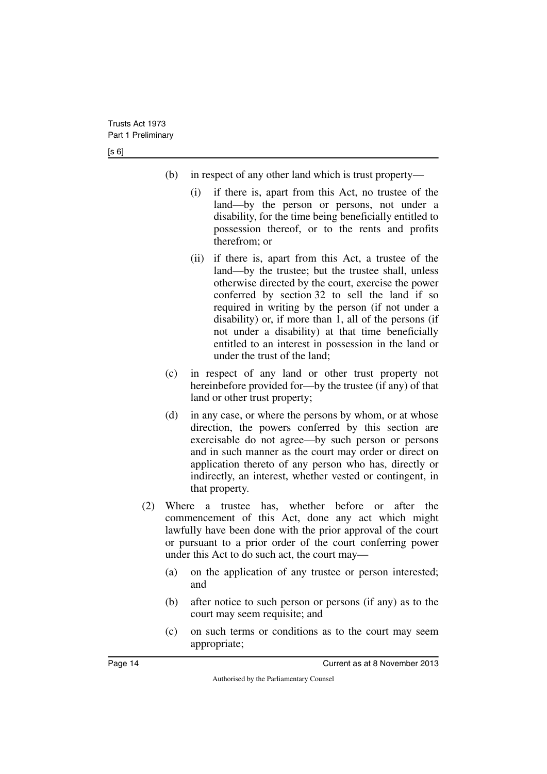[s 6]

- (b) in respect of any other land which is trust property—
	- (i) if there is, apart from this Act, no trustee of the land—by the person or persons, not under a disability, for the time being beneficially entitled to possession thereof, or to the rents and profits therefrom; or
	- (ii) if there is, apart from this Act, a trustee of the land—by the trustee; but the trustee shall, unless otherwise directed by the court, exercise the power conferred by section 32 to sell the land if so required in writing by the person (if not under a disability) or, if more than 1, all of the persons (if not under a disability) at that time beneficially entitled to an interest in possession in the land or under the trust of the land;
- (c) in respect of any land or other trust property not hereinbefore provided for—by the trustee (if any) of that land or other trust property;
- (d) in any case, or where the persons by whom, or at whose direction, the powers conferred by this section are exercisable do not agree—by such person or persons and in such manner as the court may order or direct on application thereto of any person who has, directly or indirectly, an interest, whether vested or contingent, in that property.
- (2) Where a trustee has, whether before or after the commencement of this Act, done any act which might lawfully have been done with the prior approval of the court or pursuant to a prior order of the court conferring power under this Act to do such act, the court may—
	- (a) on the application of any trustee or person interested; and
	- (b) after notice to such person or persons (if any) as to the court may seem requisite; and
	- (c) on such terms or conditions as to the court may seem appropriate;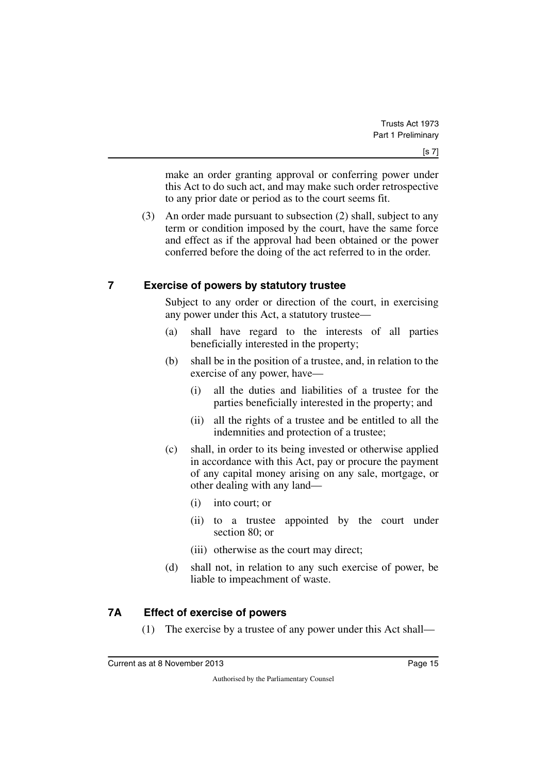make an order granting approval or conferring power under this Act to do such act, and may make such order retrospective to any prior date or period as to the court seems fit.

(3) An order made pursuant to subsection (2) shall, subject to any term or condition imposed by the court, have the same force and effect as if the approval had been obtained or the power conferred before the doing of the act referred to in the order.

#### <span id="page-16-0"></span>**7 Exercise of powers by statutory trustee**

<span id="page-16-1"></span>Subject to any order or direction of the court, in exercising any power under this Act, a statutory trustee—

- (a) shall have regard to the interests of all parties beneficially interested in the property;
- (b) shall be in the position of a trustee, and, in relation to the exercise of any power, have—
	- (i) all the duties and liabilities of a trustee for the parties beneficially interested in the property; and
	- (ii) all the rights of a trustee and be entitled to all the indemnities and protection of a trustee;
- (c) shall, in order to its being invested or otherwise applied in accordance with this Act, pay or procure the payment of any capital money arising on any sale, mortgage, or other dealing with any land—
	- (i) into court; or
	- (ii) to a trustee appointed by the court under section 80; or
	- (iii) otherwise as the court may direct;
- (d) shall not, in relation to any such exercise of power, be liable to impeachment of waste.

## <span id="page-16-2"></span>**7A Effect of exercise of powers**

<span id="page-16-3"></span>(1) The exercise by a trustee of any power under this Act shall—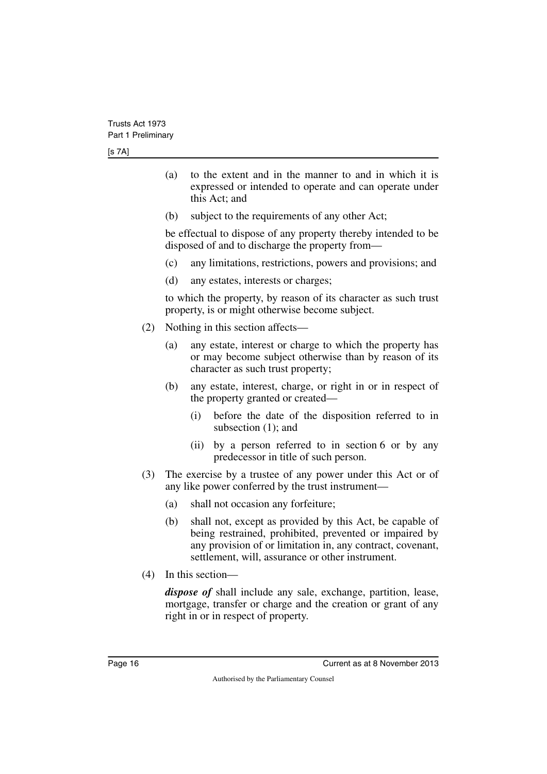- (a) to the extent and in the manner to and in which it is expressed or intended to operate and can operate under this Act; and
- (b) subject to the requirements of any other Act;

be effectual to dispose of any property thereby intended to be disposed of and to discharge the property from—

- (c) any limitations, restrictions, powers and provisions; and
- (d) any estates, interests or charges;

to which the property, by reason of its character as such trust property, is or might otherwise become subject.

- (2) Nothing in this section affects—
	- (a) any estate, interest or charge to which the property has or may become subject otherwise than by reason of its character as such trust property;
	- (b) any estate, interest, charge, or right in or in respect of the property granted or created—
		- (i) before the date of the disposition referred to in subsection (1); and
		- (ii) by a person referred to in section 6 or by any predecessor in title of such person.
- (3) The exercise by a trustee of any power under this Act or of any like power conferred by the trust instrument—
	- (a) shall not occasion any forfeiture;
	- (b) shall not, except as provided by this Act, be capable of being restrained, prohibited, prevented or impaired by any provision of or limitation in, any contract, covenant, settlement, will, assurance or other instrument.
- (4) In this section—

*dispose of* shall include any sale, exchange, partition, lease, mortgage, transfer or charge and the creation or grant of any right in or in respect of property.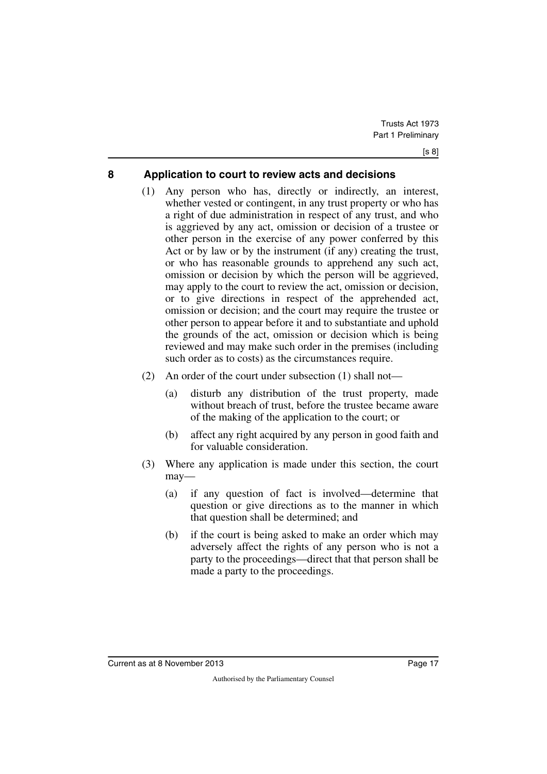#### <span id="page-18-0"></span>**8 Application to court to review acts and decisions**

- <span id="page-18-1"></span>(1) Any person who has, directly or indirectly, an interest, whether vested or contingent, in any trust property or who has a right of due administration in respect of any trust, and who is aggrieved by any act, omission or decision of a trustee or other person in the exercise of any power conferred by this Act or by law or by the instrument (if any) creating the trust, or who has reasonable grounds to apprehend any such act, omission or decision by which the person will be aggrieved, may apply to the court to review the act, omission or decision, or to give directions in respect of the apprehended act, omission or decision; and the court may require the trustee or other person to appear before it and to substantiate and uphold the grounds of the act, omission or decision which is being reviewed and may make such order in the premises (including such order as to costs) as the circumstances require.
- (2) An order of the court under subsection (1) shall not—
	- (a) disturb any distribution of the trust property, made without breach of trust, before the trustee became aware of the making of the application to the court; or
	- (b) affect any right acquired by any person in good faith and for valuable consideration.
- (3) Where any application is made under this section, the court may—
	- (a) if any question of fact is involved—determine that question or give directions as to the manner in which that question shall be determined; and
	- (b) if the court is being asked to make an order which may adversely affect the rights of any person who is not a party to the proceedings—direct that that person shall be made a party to the proceedings.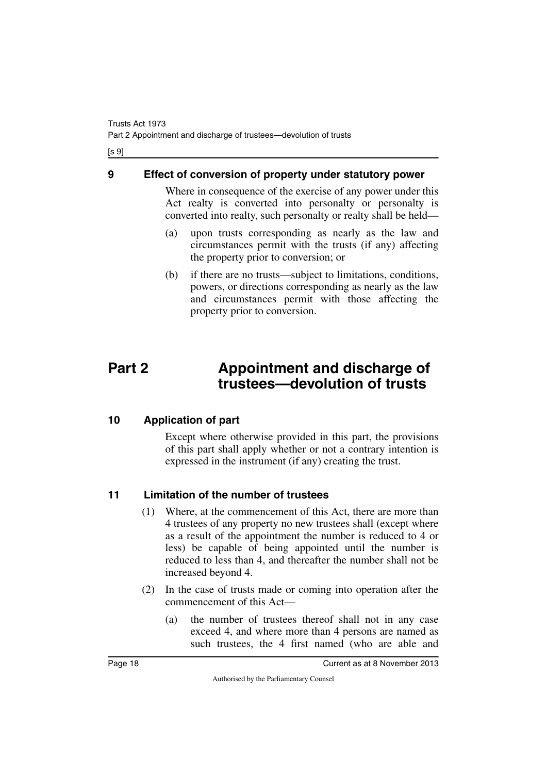[s 9]

#### <span id="page-19-0"></span>**9 Effect of conversion of property under statutory power**

<span id="page-19-1"></span>Where in consequence of the exercise of any power under this Act realty is converted into personalty or personalty is converted into realty, such personalty or realty shall be held—

- (a) upon trusts corresponding as nearly as the law and circumstances permit with the trusts (if any) affecting the property prior to conversion; or
- <span id="page-19-3"></span>(b) if there are no trusts—subject to limitations, conditions, powers, or directions corresponding as nearly as the law and circumstances permit with those affecting the property prior to conversion.

## <span id="page-19-2"></span>**Part 2 Appointment and discharge of trustees—devolution of trusts**

## <span id="page-19-4"></span>**10 Application of part**

<span id="page-19-5"></span>Except where otherwise provided in this part, the provisions of this part shall apply whether or not a contrary intention is expressed in the instrument (if any) creating the trust.

## <span id="page-19-6"></span>**11 Limitation of the number of trustees**

- <span id="page-19-7"></span>(1) Where, at the commencement of this Act, there are more than 4 trustees of any property no new trustees shall (except where as a result of the appointment the number is reduced to 4 or less) be capable of being appointed until the number is reduced to less than 4, and thereafter the number shall not be increased beyond 4.
- (2) In the case of trusts made or coming into operation after the commencement of this Act—
	- (a) the number of trustees thereof shall not in any case exceed 4, and where more than 4 persons are named as such trustees, the 4 first named (who are able and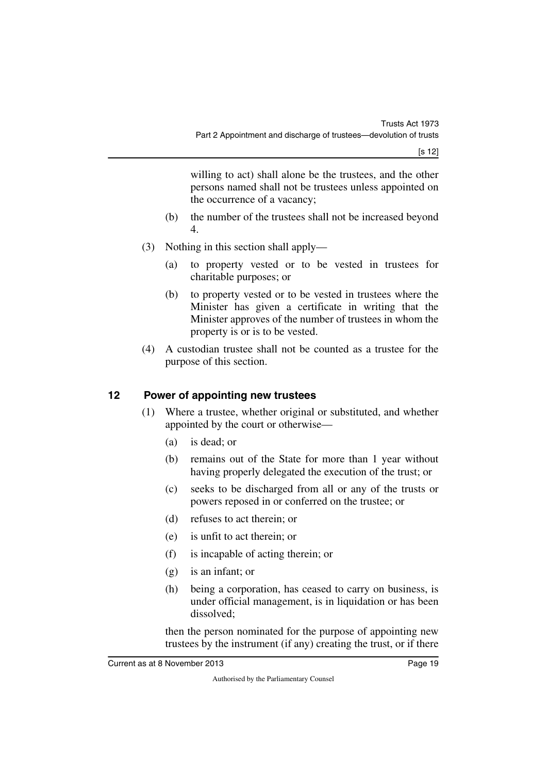[s 12]

willing to act) shall alone be the trustees, and the other persons named shall not be trustees unless appointed on the occurrence of a vacancy;

- (b) the number of the trustees shall not be increased beyond 4.
- (3) Nothing in this section shall apply—
	- (a) to property vested or to be vested in trustees for charitable purposes; or
	- (b) to property vested or to be vested in trustees where the Minister has given a certificate in writing that the Minister approves of the number of trustees in whom the property is or is to be vested.
- (4) A custodian trustee shall not be counted as a trustee for the purpose of this section.

#### <span id="page-20-0"></span>**12 Power of appointing new trustees**

- <span id="page-20-1"></span>(1) Where a trustee, whether original or substituted, and whether appointed by the court or otherwise—
	- (a) is dead; or
	- (b) remains out of the State for more than 1 year without having properly delegated the execution of the trust; or
	- (c) seeks to be discharged from all or any of the trusts or powers reposed in or conferred on the trustee; or
	- (d) refuses to act therein; or
	- (e) is unfit to act therein; or
	- (f) is incapable of acting therein; or
	- (g) is an infant; or
	- (h) being a corporation, has ceased to carry on business, is under official management, is in liquidation or has been dissolved;

then the person nominated for the purpose of appointing new trustees by the instrument (if any) creating the trust, or if there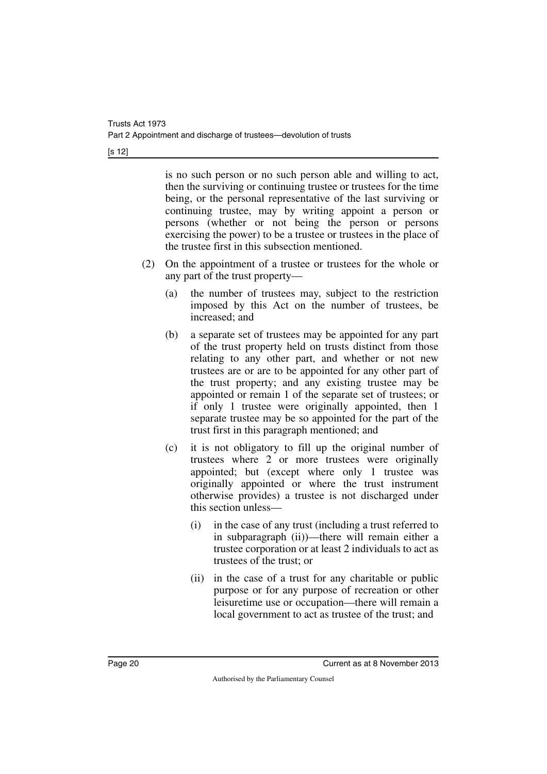[s 12]

is no such person or no such person able and willing to act, then the surviving or continuing trustee or trustees for the time being, or the personal representative of the last surviving or continuing trustee, may by writing appoint a person or persons (whether or not being the person or persons exercising the power) to be a trustee or trustees in the place of the trustee first in this subsection mentioned.

- (2) On the appointment of a trustee or trustees for the whole or any part of the trust property—
	- (a) the number of trustees may, subject to the restriction imposed by this Act on the number of trustees, be increased; and
	- (b) a separate set of trustees may be appointed for any part of the trust property held on trusts distinct from those relating to any other part, and whether or not new trustees are or are to be appointed for any other part of the trust property; and any existing trustee may be appointed or remain 1 of the separate set of trustees; or if only 1 trustee were originally appointed, then 1 separate trustee may be so appointed for the part of the trust first in this paragraph mentioned; and
	- (c) it is not obligatory to fill up the original number of trustees where 2 or more trustees were originally appointed; but (except where only 1 trustee was originally appointed or where the trust instrument otherwise provides) a trustee is not discharged under this section unless—
		- (i) in the case of any trust (including a trust referred to in subparagraph (ii))—there will remain either a trustee corporation or at least 2 individuals to act as trustees of the trust; or
		- (ii) in the case of a trust for any charitable or public purpose or for any purpose of recreation or other leisuretime use or occupation—there will remain a local government to act as trustee of the trust; and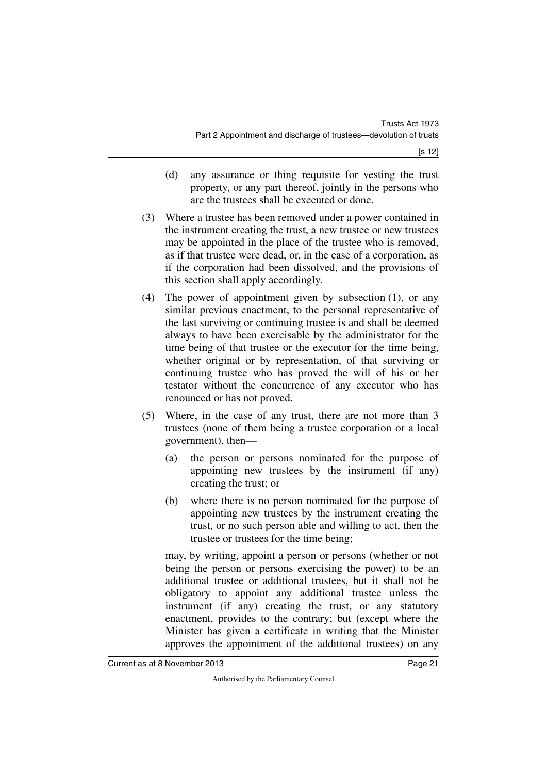- (d) any assurance or thing requisite for vesting the trust property, or any part thereof, jointly in the persons who are the trustees shall be executed or done.
- (3) Where a trustee has been removed under a power contained in the instrument creating the trust, a new trustee or new trustees may be appointed in the place of the trustee who is removed, as if that trustee were dead, or, in the case of a corporation, as if the corporation had been dissolved, and the provisions of this section shall apply accordingly.
- (4) The power of appointment given by subsection (1), or any similar previous enactment, to the personal representative of the last surviving or continuing trustee is and shall be deemed always to have been exercisable by the administrator for the time being of that trustee or the executor for the time being, whether original or by representation, of that surviving or continuing trustee who has proved the will of his or her testator without the concurrence of any executor who has renounced or has not proved.
- (5) Where, in the case of any trust, there are not more than 3 trustees (none of them being a trustee corporation or a local government), then—
	- (a) the person or persons nominated for the purpose of appointing new trustees by the instrument (if any) creating the trust; or
	- (b) where there is no person nominated for the purpose of appointing new trustees by the instrument creating the trust, or no such person able and willing to act, then the trustee or trustees for the time being;

may, by writing, appoint a person or persons (whether or not being the person or persons exercising the power) to be an additional trustee or additional trustees, but it shall not be obligatory to appoint any additional trustee unless the instrument (if any) creating the trust, or any statutory enactment, provides to the contrary; but (except where the Minister has given a certificate in writing that the Minister approves the appointment of the additional trustees) on any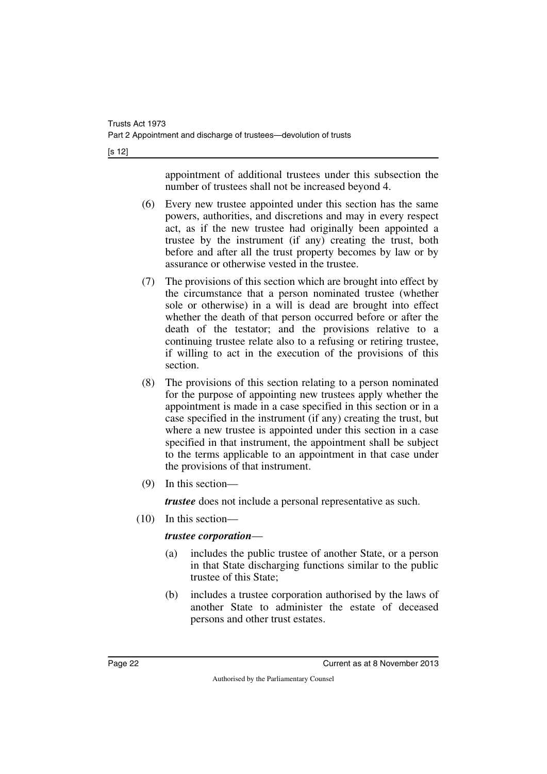[s 12]

appointment of additional trustees under this subsection the number of trustees shall not be increased beyond 4.

- (6) Every new trustee appointed under this section has the same powers, authorities, and discretions and may in every respect act, as if the new trustee had originally been appointed a trustee by the instrument (if any) creating the trust, both before and after all the trust property becomes by law or by assurance or otherwise vested in the trustee.
- (7) The provisions of this section which are brought into effect by the circumstance that a person nominated trustee (whether sole or otherwise) in a will is dead are brought into effect whether the death of that person occurred before or after the death of the testator; and the provisions relative to a continuing trustee relate also to a refusing or retiring trustee, if willing to act in the execution of the provisions of this section.
- (8) The provisions of this section relating to a person nominated for the purpose of appointing new trustees apply whether the appointment is made in a case specified in this section or in a case specified in the instrument (if any) creating the trust, but where a new trustee is appointed under this section in a case specified in that instrument, the appointment shall be subject to the terms applicable to an appointment in that case under the provisions of that instrument.
- (9) In this section—

*trustee* does not include a personal representative as such.

(10) In this section—

#### *trustee corporation*—

- (a) includes the public trustee of another State, or a person in that State discharging functions similar to the public trustee of this State;
- (b) includes a trustee corporation authorised by the laws of another State to administer the estate of deceased persons and other trust estates.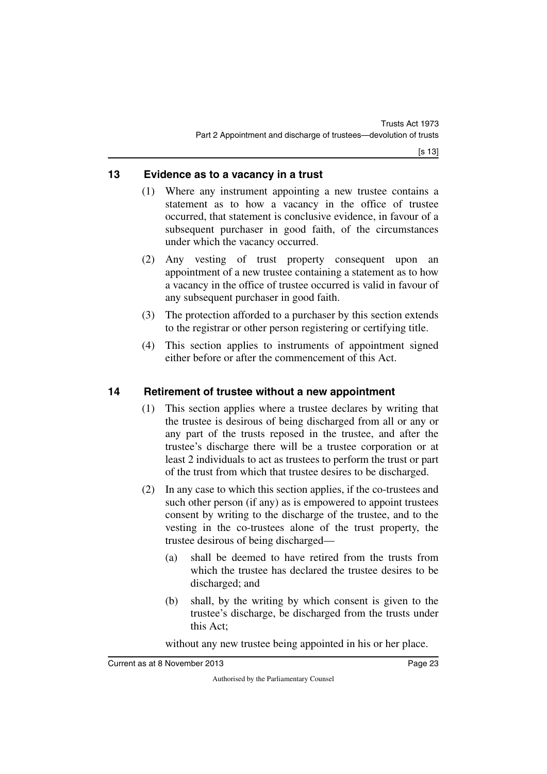#### <span id="page-24-0"></span>**13 Evidence as to a vacancy in a trust**

- <span id="page-24-1"></span>(1) Where any instrument appointing a new trustee contains a statement as to how a vacancy in the office of trustee occurred, that statement is conclusive evidence, in favour of a subsequent purchaser in good faith, of the circumstances under which the vacancy occurred.
- (2) Any vesting of trust property consequent upon an appointment of a new trustee containing a statement as to how a vacancy in the office of trustee occurred is valid in favour of any subsequent purchaser in good faith.
- (3) The protection afforded to a purchaser by this section extends to the registrar or other person registering or certifying title.
- (4) This section applies to instruments of appointment signed either before or after the commencement of this Act.

## <span id="page-24-2"></span>**14 Retirement of trustee without a new appointment**

- <span id="page-24-3"></span>(1) This section applies where a trustee declares by writing that the trustee is desirous of being discharged from all or any or any part of the trusts reposed in the trustee, and after the trustee's discharge there will be a trustee corporation or at least 2 individuals to act as trustees to perform the trust or part of the trust from which that trustee desires to be discharged.
- (2) In any case to which this section applies, if the co-trustees and such other person (if any) as is empowered to appoint trustees consent by writing to the discharge of the trustee, and to the vesting in the co-trustees alone of the trust property, the trustee desirous of being discharged—
	- (a) shall be deemed to have retired from the trusts from which the trustee has declared the trustee desires to be discharged; and
	- (b) shall, by the writing by which consent is given to the trustee's discharge, be discharged from the trusts under this Act;

without any new trustee being appointed in his or her place.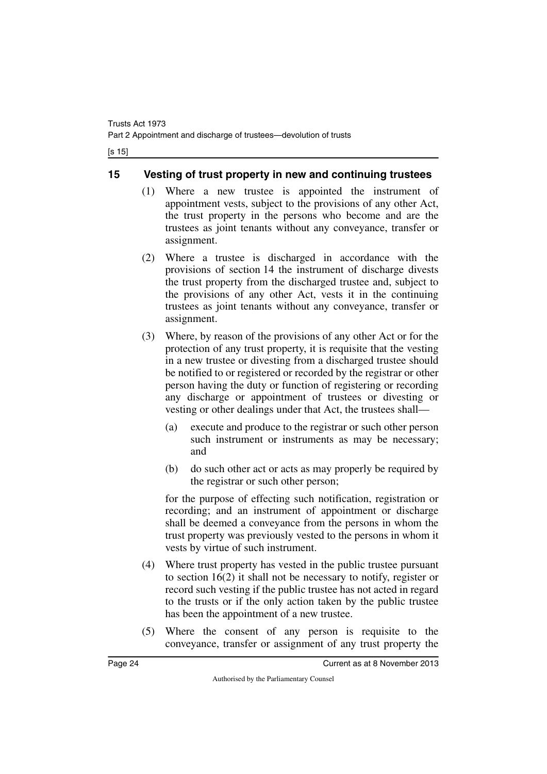[s 15]

#### <span id="page-25-0"></span>**15 Vesting of trust property in new and continuing trustees**

- <span id="page-25-1"></span>(1) Where a new trustee is appointed the instrument of appointment vests, subject to the provisions of any other Act, the trust property in the persons who become and are the trustees as joint tenants without any conveyance, transfer or assignment.
- (2) Where a trustee is discharged in accordance with the provisions of section 14 the instrument of discharge divests the trust property from the discharged trustee and, subject to the provisions of any other Act, vests it in the continuing trustees as joint tenants without any conveyance, transfer or assignment.
- (3) Where, by reason of the provisions of any other Act or for the protection of any trust property, it is requisite that the vesting in a new trustee or divesting from a discharged trustee should be notified to or registered or recorded by the registrar or other person having the duty or function of registering or recording any discharge or appointment of trustees or divesting or vesting or other dealings under that Act, the trustees shall—
	- (a) execute and produce to the registrar or such other person such instrument or instruments as may be necessary; and
	- (b) do such other act or acts as may properly be required by the registrar or such other person;

for the purpose of effecting such notification, registration or recording; and an instrument of appointment or discharge shall be deemed a conveyance from the persons in whom the trust property was previously vested to the persons in whom it vests by virtue of such instrument.

- (4) Where trust property has vested in the public trustee pursuant to section 16(2) it shall not be necessary to notify, register or record such vesting if the public trustee has not acted in regard to the trusts or if the only action taken by the public trustee has been the appointment of a new trustee.
- (5) Where the consent of any person is requisite to the conveyance, transfer or assignment of any trust property the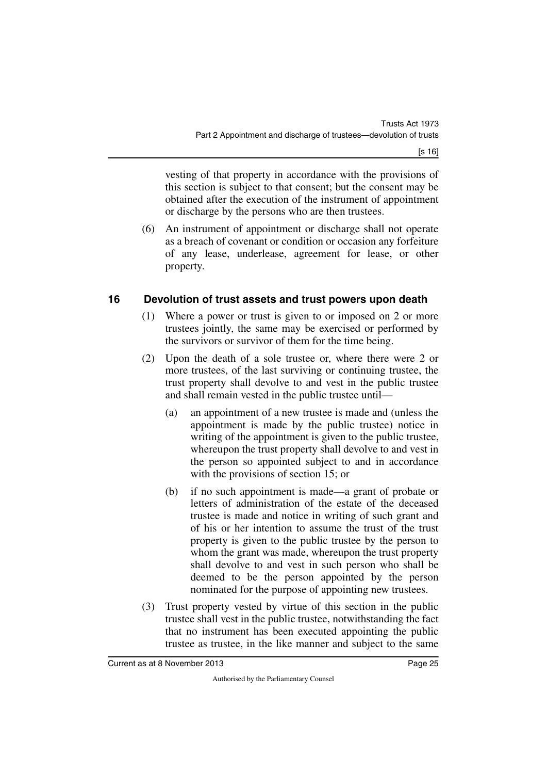vesting of that property in accordance with the provisions of this section is subject to that consent; but the consent may be obtained after the execution of the instrument of appointment or discharge by the persons who are then trustees.

(6) An instrument of appointment or discharge shall not operate as a breach of covenant or condition or occasion any forfeiture of any lease, underlease, agreement for lease, or other property.

## <span id="page-26-0"></span>**16 Devolution of trust assets and trust powers upon death**

- <span id="page-26-1"></span>(1) Where a power or trust is given to or imposed on 2 or more trustees jointly, the same may be exercised or performed by the survivors or survivor of them for the time being.
- (2) Upon the death of a sole trustee or, where there were 2 or more trustees, of the last surviving or continuing trustee, the trust property shall devolve to and vest in the public trustee and shall remain vested in the public trustee until—
	- (a) an appointment of a new trustee is made and (unless the appointment is made by the public trustee) notice in writing of the appointment is given to the public trustee, whereupon the trust property shall devolve to and vest in the person so appointed subject to and in accordance with the provisions of section 15; or
	- (b) if no such appointment is made—a grant of probate or letters of administration of the estate of the deceased trustee is made and notice in writing of such grant and of his or her intention to assume the trust of the trust property is given to the public trustee by the person to whom the grant was made, whereupon the trust property shall devolve to and vest in such person who shall be deemed to be the person appointed by the person nominated for the purpose of appointing new trustees.
- (3) Trust property vested by virtue of this section in the public trustee shall vest in the public trustee, notwithstanding the fact that no instrument has been executed appointing the public trustee as trustee, in the like manner and subject to the same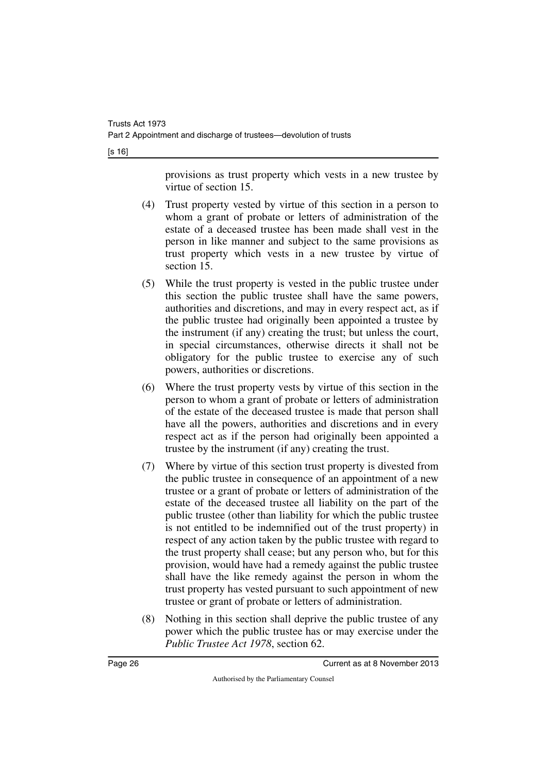[s 16]

provisions as trust property which vests in a new trustee by virtue of section 15.

- (4) Trust property vested by virtue of this section in a person to whom a grant of probate or letters of administration of the estate of a deceased trustee has been made shall vest in the person in like manner and subject to the same provisions as trust property which vests in a new trustee by virtue of section 15.
- (5) While the trust property is vested in the public trustee under this section the public trustee shall have the same powers, authorities and discretions, and may in every respect act, as if the public trustee had originally been appointed a trustee by the instrument (if any) creating the trust; but unless the court, in special circumstances, otherwise directs it shall not be obligatory for the public trustee to exercise any of such powers, authorities or discretions.
- (6) Where the trust property vests by virtue of this section in the person to whom a grant of probate or letters of administration of the estate of the deceased trustee is made that person shall have all the powers, authorities and discretions and in every respect act as if the person had originally been appointed a trustee by the instrument (if any) creating the trust.
- (7) Where by virtue of this section trust property is divested from the public trustee in consequence of an appointment of a new trustee or a grant of probate or letters of administration of the estate of the deceased trustee all liability on the part of the public trustee (other than liability for which the public trustee is not entitled to be indemnified out of the trust property) in respect of any action taken by the public trustee with regard to the trust property shall cease; but any person who, but for this provision, would have had a remedy against the public trustee shall have the like remedy against the person in whom the trust property has vested pursuant to such appointment of new trustee or grant of probate or letters of administration.
- (8) Nothing in this section shall deprive the public trustee of any power which the public trustee has or may exercise under the *Public Trustee Act 1978*, section 62.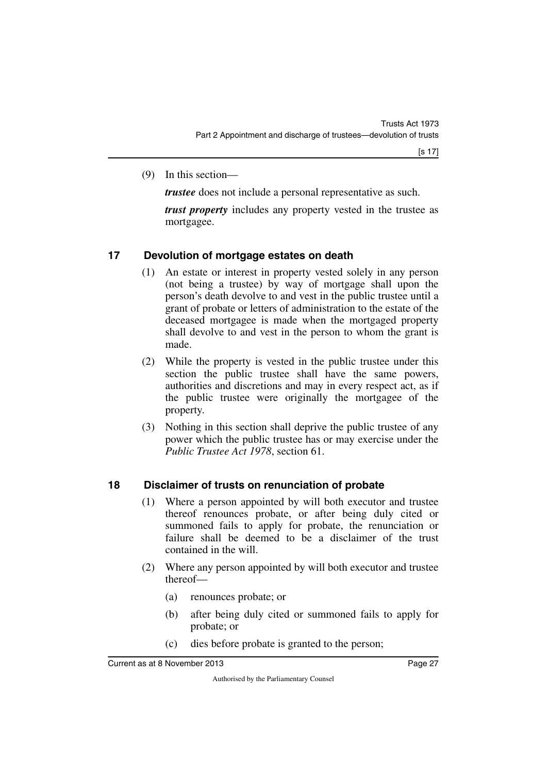(9) In this section—

*trustee* does not include a personal representative as such.

*trust property* includes any property vested in the trustee as mortgagee.

## <span id="page-28-0"></span>**17 Devolution of mortgage estates on death**

- <span id="page-28-1"></span>(1) An estate or interest in property vested solely in any person (not being a trustee) by way of mortgage shall upon the person's death devolve to and vest in the public trustee until a grant of probate or letters of administration to the estate of the deceased mortgagee is made when the mortgaged property shall devolve to and vest in the person to whom the grant is made.
- (2) While the property is vested in the public trustee under this section the public trustee shall have the same powers, authorities and discretions and may in every respect act, as if the public trustee were originally the mortgagee of the property.
- (3) Nothing in this section shall deprive the public trustee of any power which the public trustee has or may exercise under the *Public Trustee Act 1978*, section 61.

## <span id="page-28-2"></span>**18 Disclaimer of trusts on renunciation of probate**

- <span id="page-28-3"></span>(1) Where a person appointed by will both executor and trustee thereof renounces probate, or after being duly cited or summoned fails to apply for probate, the renunciation or failure shall be deemed to be a disclaimer of the trust contained in the will.
- (2) Where any person appointed by will both executor and trustee thereof—
	- (a) renounces probate; or
	- (b) after being duly cited or summoned fails to apply for probate; or
	- (c) dies before probate is granted to the person;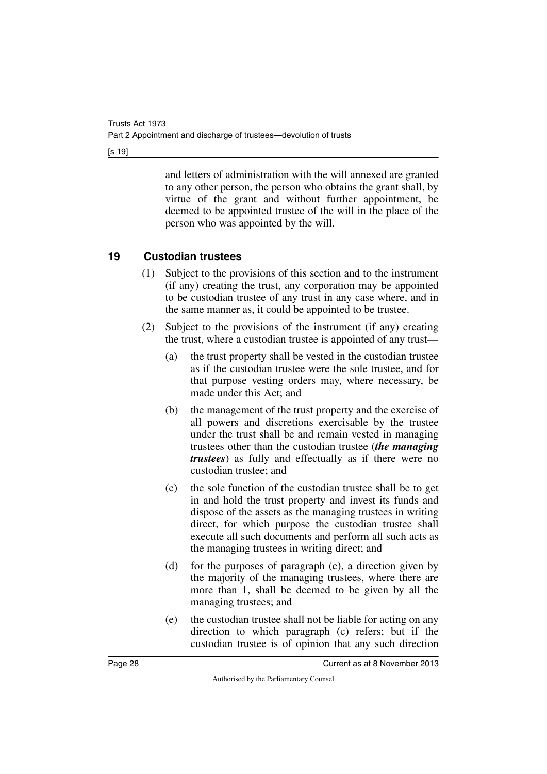[s 19]

and letters of administration with the will annexed are granted to any other person, the person who obtains the grant shall, by virtue of the grant and without further appointment, be deemed to be appointed trustee of the will in the place of the person who was appointed by the will.

## <span id="page-29-0"></span>**19 Custodian trustees**

- <span id="page-29-1"></span>(1) Subject to the provisions of this section and to the instrument (if any) creating the trust, any corporation may be appointed to be custodian trustee of any trust in any case where, and in the same manner as, it could be appointed to be trustee.
- (2) Subject to the provisions of the instrument (if any) creating the trust, where a custodian trustee is appointed of any trust—
	- (a) the trust property shall be vested in the custodian trustee as if the custodian trustee were the sole trustee, and for that purpose vesting orders may, where necessary, be made under this Act; and
	- (b) the management of the trust property and the exercise of all powers and discretions exercisable by the trustee under the trust shall be and remain vested in managing trustees other than the custodian trustee (*the managing trustees*) as fully and effectually as if there were no custodian trustee; and
	- (c) the sole function of the custodian trustee shall be to get in and hold the trust property and invest its funds and dispose of the assets as the managing trustees in writing direct, for which purpose the custodian trustee shall execute all such documents and perform all such acts as the managing trustees in writing direct; and
	- (d) for the purposes of paragraph (c), a direction given by the majority of the managing trustees, where there are more than 1, shall be deemed to be given by all the managing trustees; and
	- (e) the custodian trustee shall not be liable for acting on any direction to which paragraph (c) refers; but if the custodian trustee is of opinion that any such direction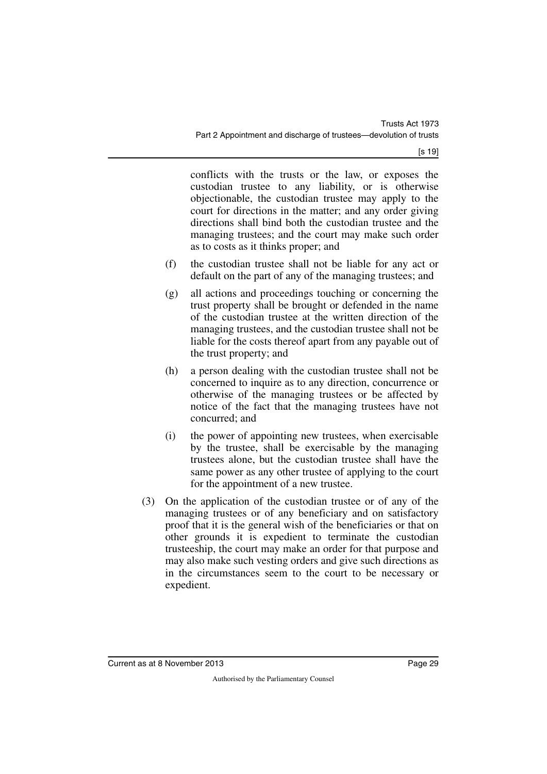[s 19]

conflicts with the trusts or the law, or exposes the custodian trustee to any liability, or is otherwise objectionable, the custodian trustee may apply to the court for directions in the matter; and any order giving directions shall bind both the custodian trustee and the managing trustees; and the court may make such order as to costs as it thinks proper; and

- (f) the custodian trustee shall not be liable for any act or default on the part of any of the managing trustees; and
- (g) all actions and proceedings touching or concerning the trust property shall be brought or defended in the name of the custodian trustee at the written direction of the managing trustees, and the custodian trustee shall not be liable for the costs thereof apart from any payable out of the trust property; and
- (h) a person dealing with the custodian trustee shall not be concerned to inquire as to any direction, concurrence or otherwise of the managing trustees or be affected by notice of the fact that the managing trustees have not concurred; and
- (i) the power of appointing new trustees, when exercisable by the trustee, shall be exercisable by the managing trustees alone, but the custodian trustee shall have the same power as any other trustee of applying to the court for the appointment of a new trustee.
- (3) On the application of the custodian trustee or of any of the managing trustees or of any beneficiary and on satisfactory proof that it is the general wish of the beneficiaries or that on other grounds it is expedient to terminate the custodian trusteeship, the court may make an order for that purpose and may also make such vesting orders and give such directions as in the circumstances seem to the court to be necessary or expedient.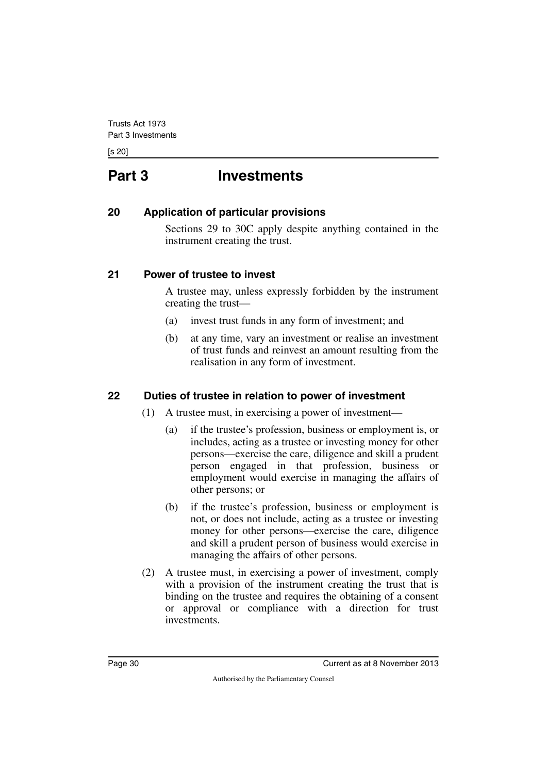<span id="page-31-0"></span>[s 20]

# **Part 3 Investments**

#### <span id="page-31-2"></span>**20 Application of particular provisions**

<span id="page-31-3"></span><span id="page-31-1"></span>Sections 29 to 30C apply despite anything contained in the instrument creating the trust.

#### <span id="page-31-4"></span>**21 Power of trustee to invest**

<span id="page-31-5"></span>A trustee may, unless expressly forbidden by the instrument creating the trust—

- (a) invest trust funds in any form of investment; and
- (b) at any time, vary an investment or realise an investment of trust funds and reinvest an amount resulting from the realisation in any form of investment.

#### <span id="page-31-6"></span>**22 Duties of trustee in relation to power of investment**

- <span id="page-31-7"></span>(1) A trustee must, in exercising a power of investment—
	- (a) if the trustee's profession, business or employment is, or includes, acting as a trustee or investing money for other persons—exercise the care, diligence and skill a prudent person engaged in that profession, business or employment would exercise in managing the affairs of other persons; or
	- (b) if the trustee's profession, business or employment is not, or does not include, acting as a trustee or investing money for other persons—exercise the care, diligence and skill a prudent person of business would exercise in managing the affairs of other persons.
- (2) A trustee must, in exercising a power of investment, comply with a provision of the instrument creating the trust that is binding on the trustee and requires the obtaining of a consent or approval or compliance with a direction for trust investments.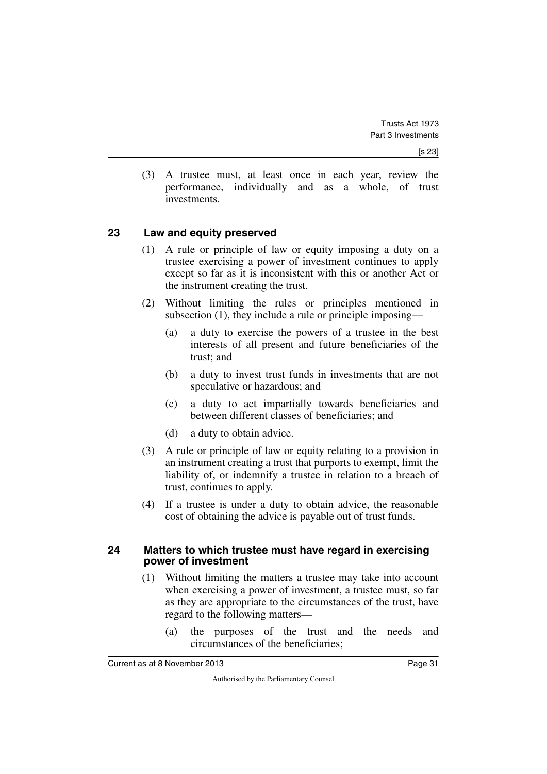(3) A trustee must, at least once in each year, review the performance, individually and as a whole, of trust investments.

#### <span id="page-32-0"></span>**23 Law and equity preserved**

- <span id="page-32-1"></span>(1) A rule or principle of law or equity imposing a duty on a trustee exercising a power of investment continues to apply except so far as it is inconsistent with this or another Act or the instrument creating the trust.
- (2) Without limiting the rules or principles mentioned in subsection (1), they include a rule or principle imposing—
	- (a) a duty to exercise the powers of a trustee in the best interests of all present and future beneficiaries of the trust; and
	- (b) a duty to invest trust funds in investments that are not speculative or hazardous; and
	- (c) a duty to act impartially towards beneficiaries and between different classes of beneficiaries; and
	- (d) a duty to obtain advice.
- (3) A rule or principle of law or equity relating to a provision in an instrument creating a trust that purports to exempt, limit the liability of, or indemnify a trustee in relation to a breach of trust, continues to apply.
- <span id="page-32-3"></span>(4) If a trustee is under a duty to obtain advice, the reasonable cost of obtaining the advice is payable out of trust funds.

#### <span id="page-32-2"></span>**24 Matters to which trustee must have regard in exercising power of investment**

- (1) Without limiting the matters a trustee may take into account when exercising a power of investment, a trustee must, so far as they are appropriate to the circumstances of the trust, have regard to the following matters—
	- (a) the purposes of the trust and the needs and circumstances of the beneficiaries;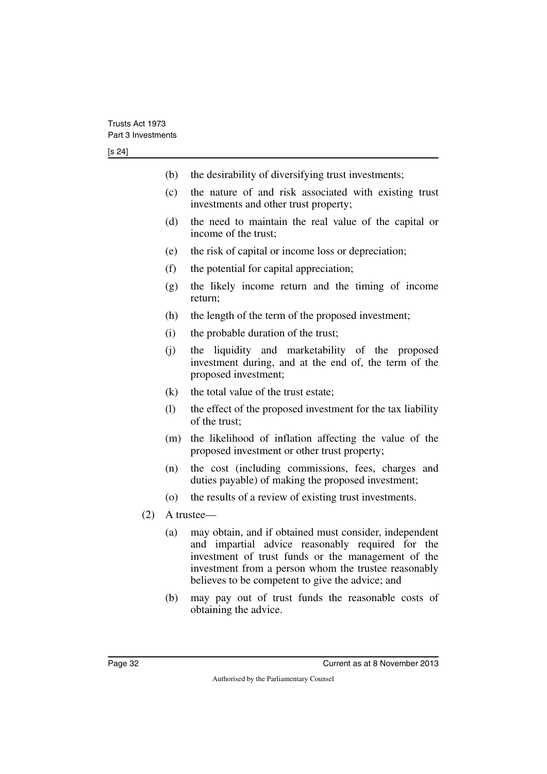- (b) the desirability of diversifying trust investments;
- (c) the nature of and risk associated with existing trust investments and other trust property;
- (d) the need to maintain the real value of the capital or income of the trust;
- (e) the risk of capital or income loss or depreciation;
- (f) the potential for capital appreciation;
- (g) the likely income return and the timing of income return;
- (h) the length of the term of the proposed investment;
- (i) the probable duration of the trust;
- (j) the liquidity and marketability of the proposed investment during, and at the end of, the term of the proposed investment;
- (k) the total value of the trust estate;
- (l) the effect of the proposed investment for the tax liability of the trust;
- (m) the likelihood of inflation affecting the value of the proposed investment or other trust property;
- (n) the cost (including commissions, fees, charges and duties payable) of making the proposed investment;
- (o) the results of a review of existing trust investments.
- (2) A trustee—
	- (a) may obtain, and if obtained must consider, independent and impartial advice reasonably required for the investment of trust funds or the management of the investment from a person whom the trustee reasonably believes to be competent to give the advice; and
	- (b) may pay out of trust funds the reasonable costs of obtaining the advice.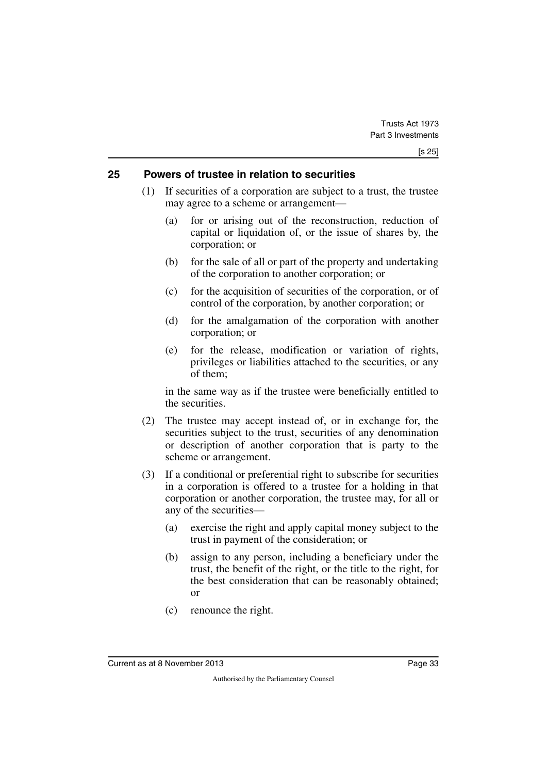#### <span id="page-34-0"></span>**25 Powers of trustee in relation to securities**

- <span id="page-34-1"></span>(1) If securities of a corporation are subject to a trust, the trustee may agree to a scheme or arrangement—
	- (a) for or arising out of the reconstruction, reduction of capital or liquidation of, or the issue of shares by, the corporation; or
	- (b) for the sale of all or part of the property and undertaking of the corporation to another corporation; or
	- (c) for the acquisition of securities of the corporation, or of control of the corporation, by another corporation; or
	- (d) for the amalgamation of the corporation with another corporation; or
	- (e) for the release, modification or variation of rights, privileges or liabilities attached to the securities, or any of them;

in the same way as if the trustee were beneficially entitled to the securities.

- (2) The trustee may accept instead of, or in exchange for, the securities subject to the trust, securities of any denomination or description of another corporation that is party to the scheme or arrangement.
- (3) If a conditional or preferential right to subscribe for securities in a corporation is offered to a trustee for a holding in that corporation or another corporation, the trustee may, for all or any of the securities—
	- (a) exercise the right and apply capital money subject to the trust in payment of the consideration; or
	- (b) assign to any person, including a beneficiary under the trust, the benefit of the right, or the title to the right, for the best consideration that can be reasonably obtained; or
	- (c) renounce the right.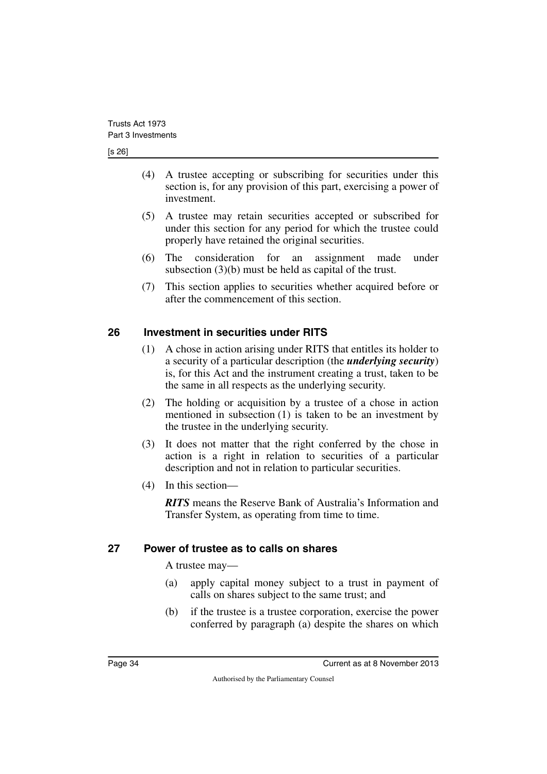#### [s 26]

- (4) A trustee accepting or subscribing for securities under this section is, for any provision of this part, exercising a power of investment.
- (5) A trustee may retain securities accepted or subscribed for under this section for any period for which the trustee could properly have retained the original securities.
- (6) The consideration for an assignment made under subsection (3)(b) must be held as capital of the trust.
- (7) This section applies to securities whether acquired before or after the commencement of this section.

#### <span id="page-35-0"></span>**26 Investment in securities under RITS**

- <span id="page-35-1"></span>(1) A chose in action arising under RITS that entitles its holder to a security of a particular description (the *underlying security*) is, for this Act and the instrument creating a trust, taken to be the same in all respects as the underlying security.
- (2) The holding or acquisition by a trustee of a chose in action mentioned in subsection (1) is taken to be an investment by the trustee in the underlying security.
- (3) It does not matter that the right conferred by the chose in action is a right in relation to securities of a particular description and not in relation to particular securities.
- (4) In this section—

*RITS* means the Reserve Bank of Australia's Information and Transfer System, as operating from time to time.

#### <span id="page-35-2"></span>**27 Power of trustee as to calls on shares**

<span id="page-35-3"></span>A trustee may—

- (a) apply capital money subject to a trust in payment of calls on shares subject to the same trust; and
- (b) if the trustee is a trustee corporation, exercise the power conferred by paragraph (a) despite the shares on which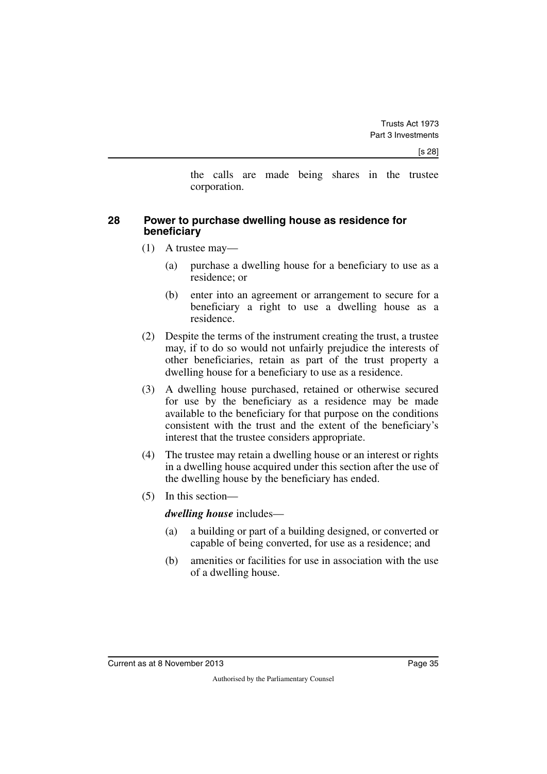the calls are made being shares in the trustee corporation.

#### **28 Power to purchase dwelling house as residence for beneficiary**

- (1) A trustee may—
	- (a) purchase a dwelling house for a beneficiary to use as a residence; or
	- (b) enter into an agreement or arrangement to secure for a beneficiary a right to use a dwelling house as a residence.
- (2) Despite the terms of the instrument creating the trust, a trustee may, if to do so would not unfairly prejudice the interests of other beneficiaries, retain as part of the trust property a dwelling house for a beneficiary to use as a residence.
- (3) A dwelling house purchased, retained or otherwise secured for use by the beneficiary as a residence may be made available to the beneficiary for that purpose on the conditions consistent with the trust and the extent of the beneficiary's interest that the trustee considers appropriate.
- (4) The trustee may retain a dwelling house or an interest or rights in a dwelling house acquired under this section after the use of the dwelling house by the beneficiary has ended.
- (5) In this section—

#### *dwelling house* includes—

- (a) a building or part of a building designed, or converted or capable of being converted, for use as a residence; and
- (b) amenities or facilities for use in association with the use of a dwelling house.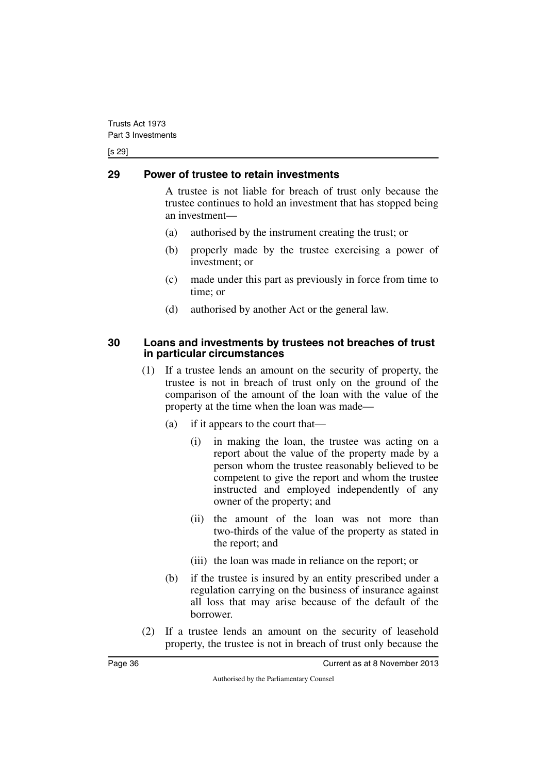[s 29]

## **29 Power of trustee to retain investments**

A trustee is not liable for breach of trust only because the trustee continues to hold an investment that has stopped being an investment—

- (a) authorised by the instrument creating the trust; or
- (b) properly made by the trustee exercising a power of investment; or
- (c) made under this part as previously in force from time to time; or
- (d) authorised by another Act or the general law.

#### **30 Loans and investments by trustees not breaches of trust in particular circumstances**

- (1) If a trustee lends an amount on the security of property, the trustee is not in breach of trust only on the ground of the comparison of the amount of the loan with the value of the property at the time when the loan was made—
	- (a) if it appears to the court that—
		- (i) in making the loan, the trustee was acting on a report about the value of the property made by a person whom the trustee reasonably believed to be competent to give the report and whom the trustee instructed and employed independently of any owner of the property; and
		- (ii) the amount of the loan was not more than two-thirds of the value of the property as stated in the report; and
		- (iii) the loan was made in reliance on the report; or
	- (b) if the trustee is insured by an entity prescribed under a regulation carrying on the business of insurance against all loss that may arise because of the default of the borrower.
- (2) If a trustee lends an amount on the security of leasehold property, the trustee is not in breach of trust only because the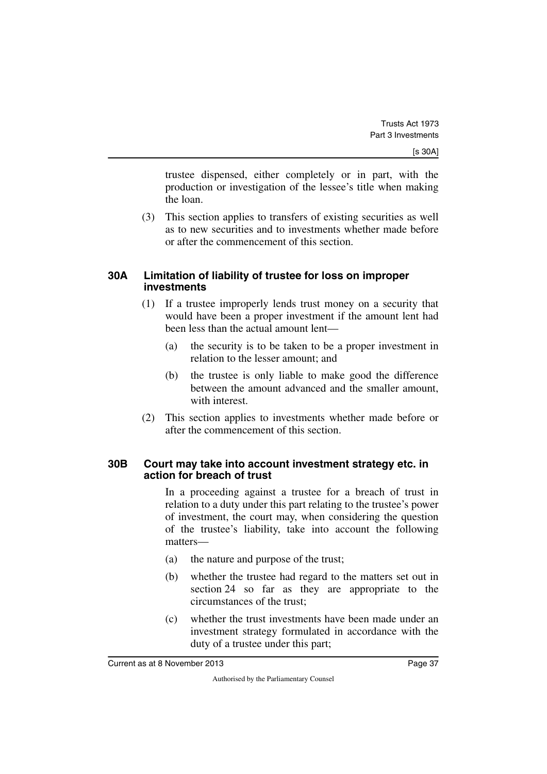trustee dispensed, either completely or in part, with the production or investigation of the lessee's title when making the loan.

(3) This section applies to transfers of existing securities as well as to new securities and to investments whether made before or after the commencement of this section.

#### **30A Limitation of liability of trustee for loss on improper investments**

- (1) If a trustee improperly lends trust money on a security that would have been a proper investment if the amount lent had been less than the actual amount lent—
	- (a) the security is to be taken to be a proper investment in relation to the lesser amount; and
	- (b) the trustee is only liable to make good the difference between the amount advanced and the smaller amount, with interest.
- (2) This section applies to investments whether made before or after the commencement of this section.

#### **30B Court may take into account investment strategy etc. in action for breach of trust**

In a proceeding against a trustee for a breach of trust in relation to a duty under this part relating to the trustee's power of investment, the court may, when considering the question of the trustee's liability, take into account the following matters—

- (a) the nature and purpose of the trust;
- (b) whether the trustee had regard to the matters set out in section 24 so far as they are appropriate to the circumstances of the trust;
- (c) whether the trust investments have been made under an investment strategy formulated in accordance with the duty of a trustee under this part;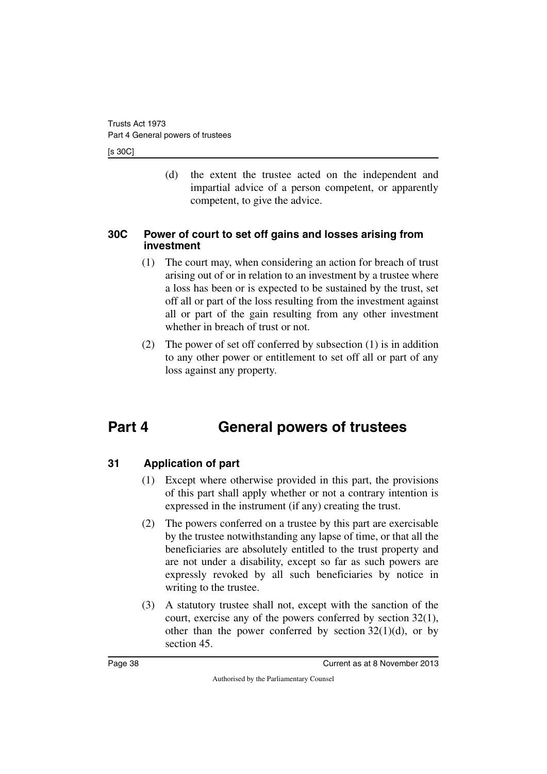#### [s 30C]

(d) the extent the trustee acted on the independent and impartial advice of a person competent, or apparently competent, to give the advice.

### **30C Power of court to set off gains and losses arising from investment**

- (1) The court may, when considering an action for breach of trust arising out of or in relation to an investment by a trustee where a loss has been or is expected to be sustained by the trust, set off all or part of the loss resulting from the investment against all or part of the gain resulting from any other investment whether in breach of trust or not.
- (2) The power of set off conferred by subsection (1) is in addition to any other power or entitlement to set off all or part of any loss against any property.

# **Part 4 General powers of trustees**

## **31 Application of part**

- (1) Except where otherwise provided in this part, the provisions of this part shall apply whether or not a contrary intention is expressed in the instrument (if any) creating the trust.
- (2) The powers conferred on a trustee by this part are exercisable by the trustee notwithstanding any lapse of time, or that all the beneficiaries are absolutely entitled to the trust property and are not under a disability, except so far as such powers are expressly revoked by all such beneficiaries by notice in writing to the trustee.
- (3) A statutory trustee shall not, except with the sanction of the court, exercise any of the powers conferred by section 32(1), other than the power conferred by section  $32(1)(d)$ , or by section 45.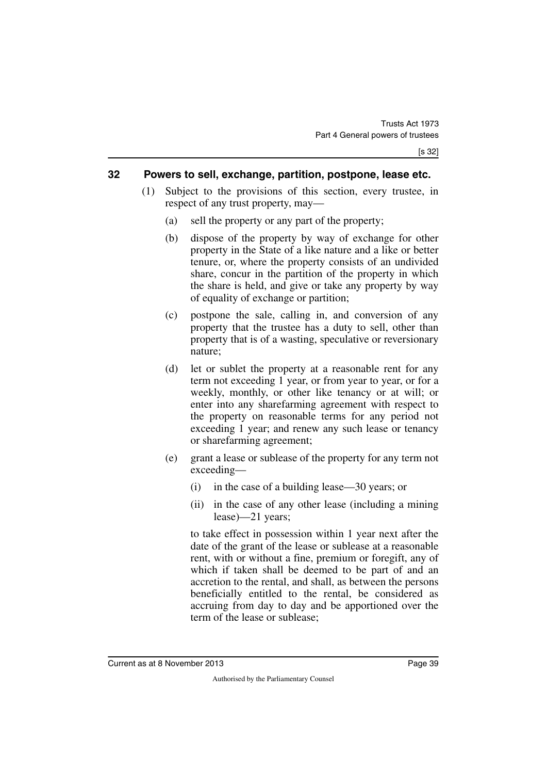#### **32 Powers to sell, exchange, partition, postpone, lease etc.**

- (1) Subject to the provisions of this section, every trustee, in respect of any trust property, may—
	- (a) sell the property or any part of the property;
	- (b) dispose of the property by way of exchange for other property in the State of a like nature and a like or better tenure, or, where the property consists of an undivided share, concur in the partition of the property in which the share is held, and give or take any property by way of equality of exchange or partition;
	- (c) postpone the sale, calling in, and conversion of any property that the trustee has a duty to sell, other than property that is of a wasting, speculative or reversionary nature;
	- (d) let or sublet the property at a reasonable rent for any term not exceeding 1 year, or from year to year, or for a weekly, monthly, or other like tenancy or at will; or enter into any sharefarming agreement with respect to the property on reasonable terms for any period not exceeding 1 year; and renew any such lease or tenancy or sharefarming agreement;
	- (e) grant a lease or sublease of the property for any term not exceeding—
		- (i) in the case of a building lease—30 years; or
		- (ii) in the case of any other lease (including a mining lease)—21 years;

to take effect in possession within 1 year next after the date of the grant of the lease or sublease at a reasonable rent, with or without a fine, premium or foregift, any of which if taken shall be deemed to be part of and an accretion to the rental, and shall, as between the persons beneficially entitled to the rental, be considered as accruing from day to day and be apportioned over the term of the lease or sublease;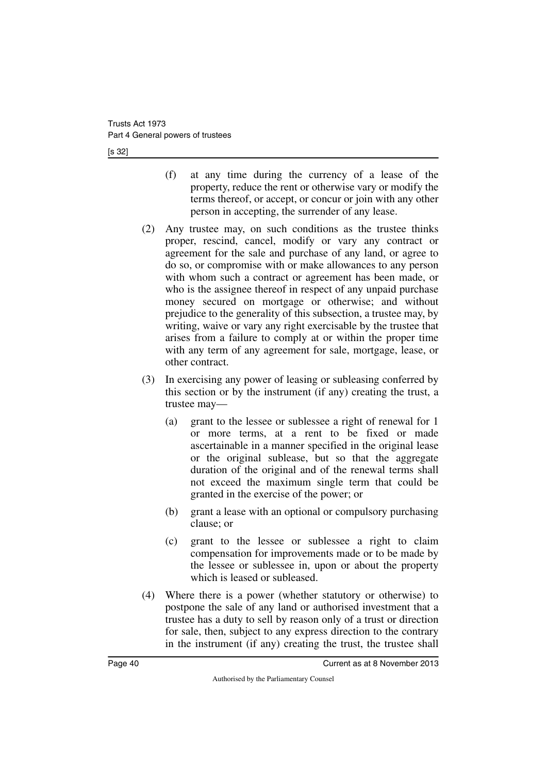[s 32]

- (f) at any time during the currency of a lease of the property, reduce the rent or otherwise vary or modify the terms thereof, or accept, or concur or join with any other person in accepting, the surrender of any lease.
- (2) Any trustee may, on such conditions as the trustee thinks proper, rescind, cancel, modify or vary any contract or agreement for the sale and purchase of any land, or agree to do so, or compromise with or make allowances to any person with whom such a contract or agreement has been made, or who is the assignee thereof in respect of any unpaid purchase money secured on mortgage or otherwise; and without prejudice to the generality of this subsection, a trustee may, by writing, waive or vary any right exercisable by the trustee that arises from a failure to comply at or within the proper time with any term of any agreement for sale, mortgage, lease, or other contract.
- (3) In exercising any power of leasing or subleasing conferred by this section or by the instrument (if any) creating the trust, a trustee may—
	- (a) grant to the lessee or sublessee a right of renewal for 1 or more terms, at a rent to be fixed or made ascertainable in a manner specified in the original lease or the original sublease, but so that the aggregate duration of the original and of the renewal terms shall not exceed the maximum single term that could be granted in the exercise of the power; or
	- (b) grant a lease with an optional or compulsory purchasing clause; or
	- (c) grant to the lessee or sublessee a right to claim compensation for improvements made or to be made by the lessee or sublessee in, upon or about the property which is leased or subleased.
- (4) Where there is a power (whether statutory or otherwise) to postpone the sale of any land or authorised investment that a trustee has a duty to sell by reason only of a trust or direction for sale, then, subject to any express direction to the contrary in the instrument (if any) creating the trust, the trustee shall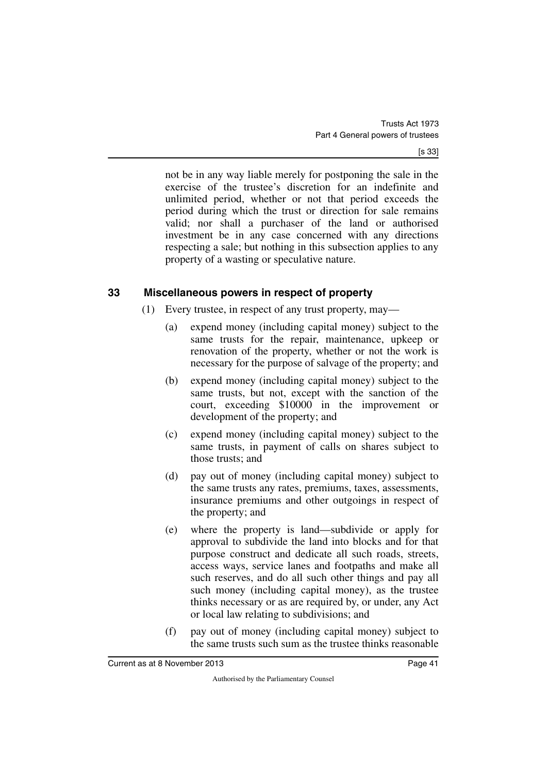not be in any way liable merely for postponing the sale in the exercise of the trustee's discretion for an indefinite and unlimited period, whether or not that period exceeds the period during which the trust or direction for sale remains valid; nor shall a purchaser of the land or authorised investment be in any case concerned with any directions respecting a sale; but nothing in this subsection applies to any property of a wasting or speculative nature.

## **33 Miscellaneous powers in respect of property**

- (1) Every trustee, in respect of any trust property, may—
	- (a) expend money (including capital money) subject to the same trusts for the repair, maintenance, upkeep or renovation of the property, whether or not the work is necessary for the purpose of salvage of the property; and
	- (b) expend money (including capital money) subject to the same trusts, but not, except with the sanction of the court, exceeding \$10000 in the improvement or development of the property; and
	- (c) expend money (including capital money) subject to the same trusts, in payment of calls on shares subject to those trusts; and
	- (d) pay out of money (including capital money) subject to the same trusts any rates, premiums, taxes, assessments, insurance premiums and other outgoings in respect of the property; and
	- (e) where the property is land—subdivide or apply for approval to subdivide the land into blocks and for that purpose construct and dedicate all such roads, streets, access ways, service lanes and footpaths and make all such reserves, and do all such other things and pay all such money (including capital money), as the trustee thinks necessary or as are required by, or under, any Act or local law relating to subdivisions; and
	- (f) pay out of money (including capital money) subject to the same trusts such sum as the trustee thinks reasonable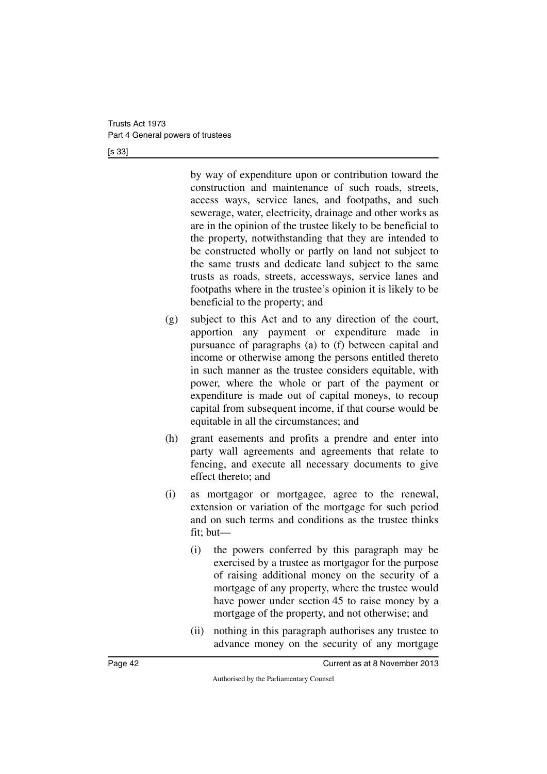[s 33]

by way of expenditure upon or contribution toward the construction and maintenance of such roads, streets, access ways, service lanes, and footpaths, and such sewerage, water, electricity, drainage and other works as are in the opinion of the trustee likely to be beneficial to the property, notwithstanding that they are intended to be constructed wholly or partly on land not subject to the same trusts and dedicate land subject to the same trusts as roads, streets, accessways, service lanes and footpaths where in the trustee's opinion it is likely to be beneficial to the property; and

- (g) subject to this Act and to any direction of the court, apportion any payment or expenditure made in pursuance of paragraphs (a) to (f) between capital and income or otherwise among the persons entitled thereto in such manner as the trustee considers equitable, with power, where the whole or part of the payment or expenditure is made out of capital moneys, to recoup capital from subsequent income, if that course would be equitable in all the circumstances; and
- (h) grant easements and profits a prendre and enter into party wall agreements and agreements that relate to fencing, and execute all necessary documents to give effect thereto; and
- (i) as mortgagor or mortgagee, agree to the renewal, extension or variation of the mortgage for such period and on such terms and conditions as the trustee thinks fit; but—
	- (i) the powers conferred by this paragraph may be exercised by a trustee as mortgagor for the purpose of raising additional money on the security of a mortgage of any property, where the trustee would have power under section 45 to raise money by a mortgage of the property, and not otherwise; and
	- (ii) nothing in this paragraph authorises any trustee to advance money on the security of any mortgage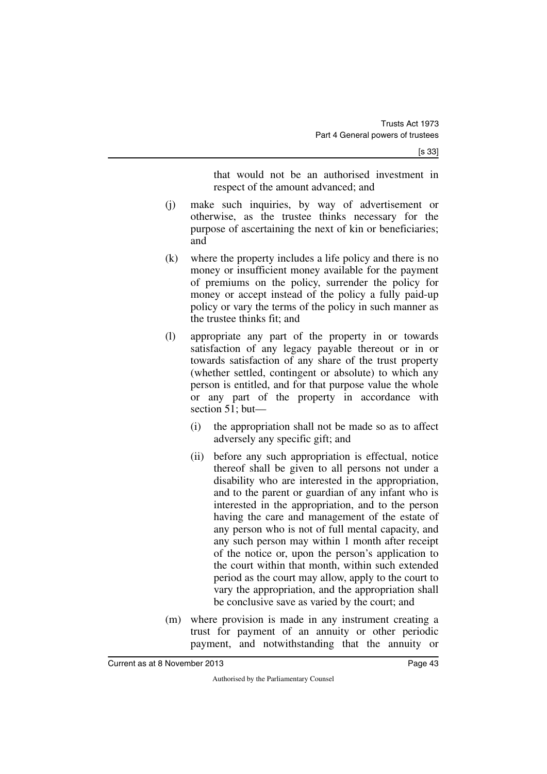that would not be an authorised investment in respect of the amount advanced; and

- (j) make such inquiries, by way of advertisement or otherwise, as the trustee thinks necessary for the purpose of ascertaining the next of kin or beneficiaries; and
- (k) where the property includes a life policy and there is no money or insufficient money available for the payment of premiums on the policy, surrender the policy for money or accept instead of the policy a fully paid-up policy or vary the terms of the policy in such manner as the trustee thinks fit; and
- (l) appropriate any part of the property in or towards satisfaction of any legacy payable thereout or in or towards satisfaction of any share of the trust property (whether settled, contingent or absolute) to which any person is entitled, and for that purpose value the whole or any part of the property in accordance with section 51; but—
	- (i) the appropriation shall not be made so as to affect adversely any specific gift; and
	- (ii) before any such appropriation is effectual, notice thereof shall be given to all persons not under a disability who are interested in the appropriation, and to the parent or guardian of any infant who is interested in the appropriation, and to the person having the care and management of the estate of any person who is not of full mental capacity, and any such person may within 1 month after receipt of the notice or, upon the person's application to the court within that month, within such extended period as the court may allow, apply to the court to vary the appropriation, and the appropriation shall be conclusive save as varied by the court; and
- (m) where provision is made in any instrument creating a trust for payment of an annuity or other periodic payment, and notwithstanding that the annuity or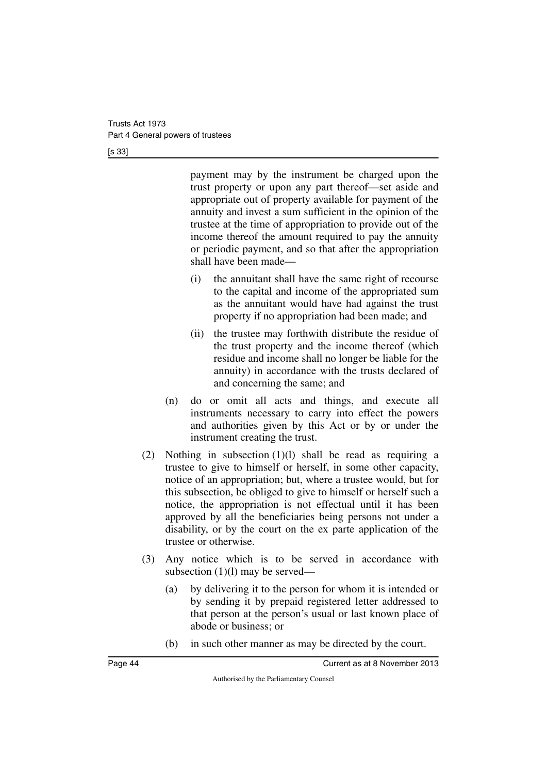[s 33]

payment may by the instrument be charged upon the trust property or upon any part thereof—set aside and appropriate out of property available for payment of the annuity and invest a sum sufficient in the opinion of the trustee at the time of appropriation to provide out of the income thereof the amount required to pay the annuity or periodic payment, and so that after the appropriation shall have been made—

- (i) the annuitant shall have the same right of recourse to the capital and income of the appropriated sum as the annuitant would have had against the trust property if no appropriation had been made; and
- (ii) the trustee may forthwith distribute the residue of the trust property and the income thereof (which residue and income shall no longer be liable for the annuity) in accordance with the trusts declared of and concerning the same; and
- (n) do or omit all acts and things, and execute all instruments necessary to carry into effect the powers and authorities given by this Act or by or under the instrument creating the trust.
- (2) Nothing in subsection (1)(l) shall be read as requiring a trustee to give to himself or herself, in some other capacity, notice of an appropriation; but, where a trustee would, but for this subsection, be obliged to give to himself or herself such a notice, the appropriation is not effectual until it has been approved by all the beneficiaries being persons not under a disability, or by the court on the ex parte application of the trustee or otherwise.
- (3) Any notice which is to be served in accordance with subsection (1)(l) may be served—
	- (a) by delivering it to the person for whom it is intended or by sending it by prepaid registered letter addressed to that person at the person's usual or last known place of abode or business; or
	- (b) in such other manner as may be directed by the court.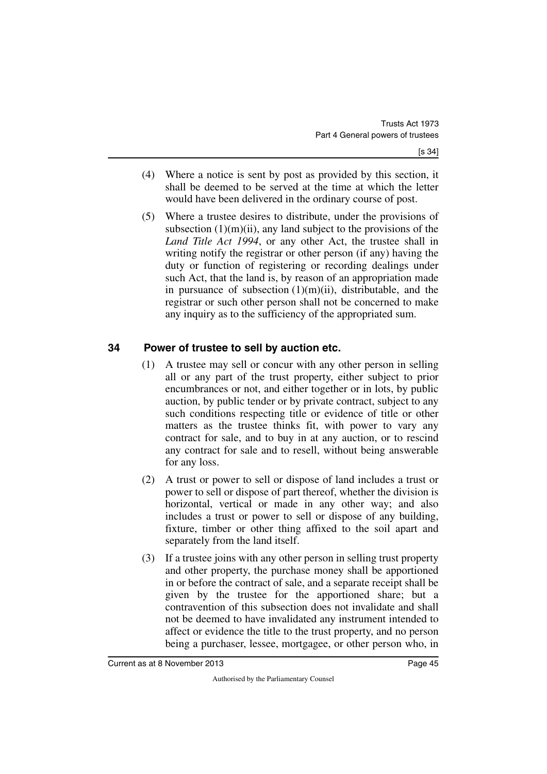- (4) Where a notice is sent by post as provided by this section, it shall be deemed to be served at the time at which the letter would have been delivered in the ordinary course of post.
- (5) Where a trustee desires to distribute, under the provisions of subsection  $(1)(m)(ii)$ , any land subject to the provisions of the *Land Title Act 1994*, or any other Act, the trustee shall in writing notify the registrar or other person (if any) having the duty or function of registering or recording dealings under such Act, that the land is, by reason of an appropriation made in pursuance of subsection  $(1)(m)(ii)$ , distributable, and the registrar or such other person shall not be concerned to make any inquiry as to the sufficiency of the appropriated sum.

## **34 Power of trustee to sell by auction etc.**

- (1) A trustee may sell or concur with any other person in selling all or any part of the trust property, either subject to prior encumbrances or not, and either together or in lots, by public auction, by public tender or by private contract, subject to any such conditions respecting title or evidence of title or other matters as the trustee thinks fit, with power to vary any contract for sale, and to buy in at any auction, or to rescind any contract for sale and to resell, without being answerable for any loss.
- (2) A trust or power to sell or dispose of land includes a trust or power to sell or dispose of part thereof, whether the division is horizontal, vertical or made in any other way; and also includes a trust or power to sell or dispose of any building, fixture, timber or other thing affixed to the soil apart and separately from the land itself.
- (3) If a trustee joins with any other person in selling trust property and other property, the purchase money shall be apportioned in or before the contract of sale, and a separate receipt shall be given by the trustee for the apportioned share; but a contravention of this subsection does not invalidate and shall not be deemed to have invalidated any instrument intended to affect or evidence the title to the trust property, and no person being a purchaser, lessee, mortgagee, or other person who, in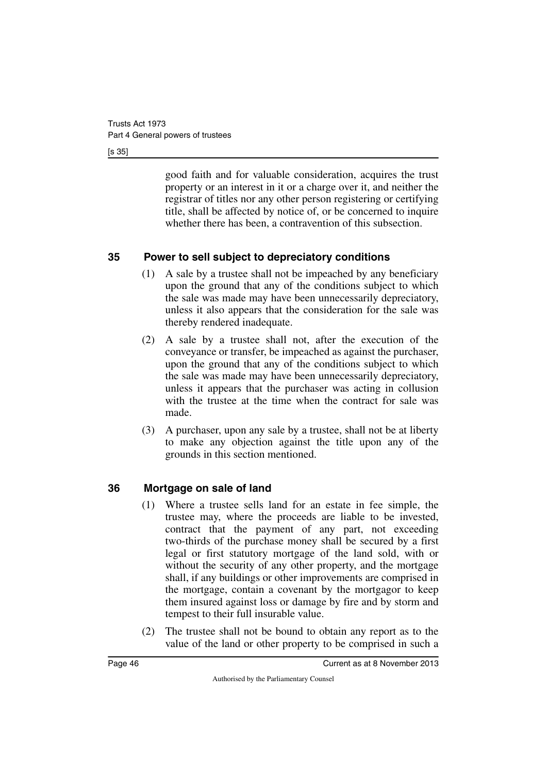[s 35]

good faith and for valuable consideration, acquires the trust property or an interest in it or a charge over it, and neither the registrar of titles nor any other person registering or certifying title, shall be affected by notice of, or be concerned to inquire whether there has been, a contravention of this subsection.

## **35 Power to sell subject to depreciatory conditions**

- (1) A sale by a trustee shall not be impeached by any beneficiary upon the ground that any of the conditions subject to which the sale was made may have been unnecessarily depreciatory, unless it also appears that the consideration for the sale was thereby rendered inadequate.
- (2) A sale by a trustee shall not, after the execution of the conveyance or transfer, be impeached as against the purchaser, upon the ground that any of the conditions subject to which the sale was made may have been unnecessarily depreciatory, unless it appears that the purchaser was acting in collusion with the trustee at the time when the contract for sale was made.
- (3) A purchaser, upon any sale by a trustee, shall not be at liberty to make any objection against the title upon any of the grounds in this section mentioned.

## **36 Mortgage on sale of land**

- (1) Where a trustee sells land for an estate in fee simple, the trustee may, where the proceeds are liable to be invested, contract that the payment of any part, not exceeding two-thirds of the purchase money shall be secured by a first legal or first statutory mortgage of the land sold, with or without the security of any other property, and the mortgage shall, if any buildings or other improvements are comprised in the mortgage, contain a covenant by the mortgagor to keep them insured against loss or damage by fire and by storm and tempest to their full insurable value.
- (2) The trustee shall not be bound to obtain any report as to the value of the land or other property to be comprised in such a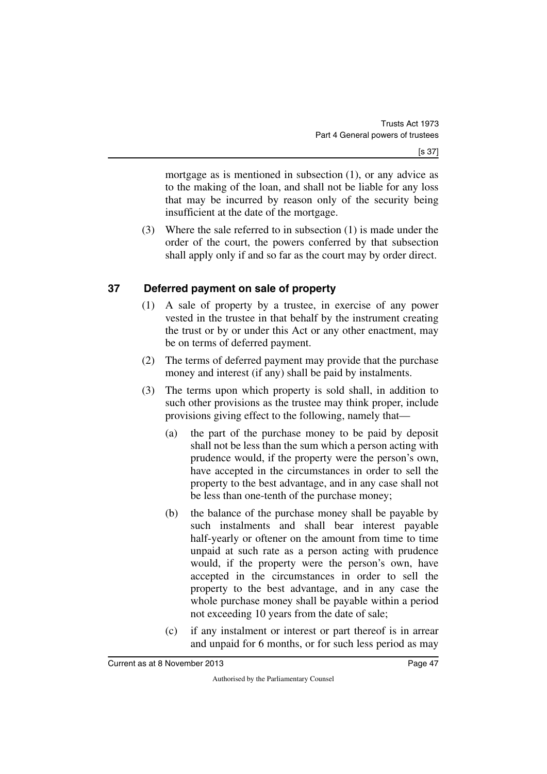mortgage as is mentioned in subsection (1), or any advice as to the making of the loan, and shall not be liable for any loss that may be incurred by reason only of the security being insufficient at the date of the mortgage.

(3) Where the sale referred to in subsection (1) is made under the order of the court, the powers conferred by that subsection shall apply only if and so far as the court may by order direct.

## **37 Deferred payment on sale of property**

- (1) A sale of property by a trustee, in exercise of any power vested in the trustee in that behalf by the instrument creating the trust or by or under this Act or any other enactment, may be on terms of deferred payment.
- (2) The terms of deferred payment may provide that the purchase money and interest (if any) shall be paid by instalments.
- (3) The terms upon which property is sold shall, in addition to such other provisions as the trustee may think proper, include provisions giving effect to the following, namely that—
	- (a) the part of the purchase money to be paid by deposit shall not be less than the sum which a person acting with prudence would, if the property were the person's own, have accepted in the circumstances in order to sell the property to the best advantage, and in any case shall not be less than one-tenth of the purchase money;
	- (b) the balance of the purchase money shall be payable by such instalments and shall bear interest payable half-yearly or oftener on the amount from time to time unpaid at such rate as a person acting with prudence would, if the property were the person's own, have accepted in the circumstances in order to sell the property to the best advantage, and in any case the whole purchase money shall be payable within a period not exceeding 10 years from the date of sale;
	- (c) if any instalment or interest or part thereof is in arrear and unpaid for 6 months, or for such less period as may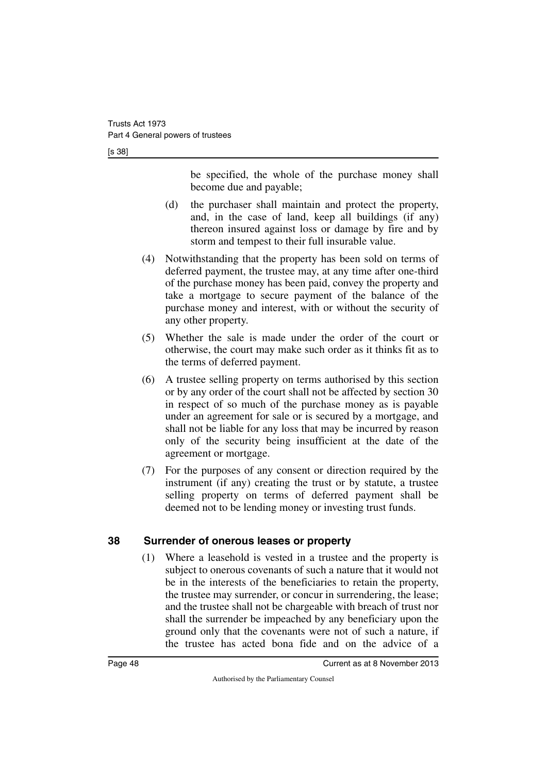[s 38]

be specified, the whole of the purchase money shall become due and payable;

- (d) the purchaser shall maintain and protect the property, and, in the case of land, keep all buildings (if any) thereon insured against loss or damage by fire and by storm and tempest to their full insurable value.
- (4) Notwithstanding that the property has been sold on terms of deferred payment, the trustee may, at any time after one-third of the purchase money has been paid, convey the property and take a mortgage to secure payment of the balance of the purchase money and interest, with or without the security of any other property.
- (5) Whether the sale is made under the order of the court or otherwise, the court may make such order as it thinks fit as to the terms of deferred payment.
- (6) A trustee selling property on terms authorised by this section or by any order of the court shall not be affected by section 30 in respect of so much of the purchase money as is payable under an agreement for sale or is secured by a mortgage, and shall not be liable for any loss that may be incurred by reason only of the security being insufficient at the date of the agreement or mortgage.
- (7) For the purposes of any consent or direction required by the instrument (if any) creating the trust or by statute, a trustee selling property on terms of deferred payment shall be deemed not to be lending money or investing trust funds.

### **38 Surrender of onerous leases or property**

(1) Where a leasehold is vested in a trustee and the property is subject to onerous covenants of such a nature that it would not be in the interests of the beneficiaries to retain the property, the trustee may surrender, or concur in surrendering, the lease; and the trustee shall not be chargeable with breach of trust nor shall the surrender be impeached by any beneficiary upon the ground only that the covenants were not of such a nature, if the trustee has acted bona fide and on the advice of a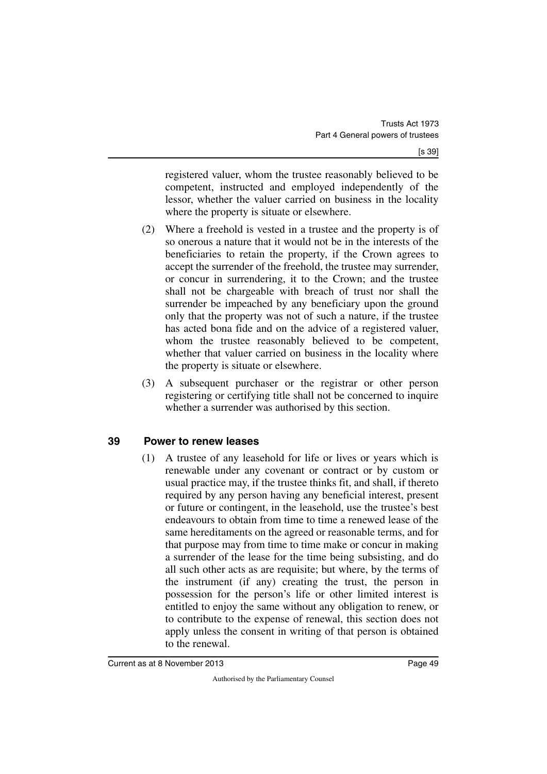registered valuer, whom the trustee reasonably believed to be competent, instructed and employed independently of the lessor, whether the valuer carried on business in the locality where the property is situate or elsewhere.

- (2) Where a freehold is vested in a trustee and the property is of so onerous a nature that it would not be in the interests of the beneficiaries to retain the property, if the Crown agrees to accept the surrender of the freehold, the trustee may surrender, or concur in surrendering, it to the Crown; and the trustee shall not be chargeable with breach of trust nor shall the surrender be impeached by any beneficiary upon the ground only that the property was not of such a nature, if the trustee has acted bona fide and on the advice of a registered valuer, whom the trustee reasonably believed to be competent, whether that valuer carried on business in the locality where the property is situate or elsewhere.
- (3) A subsequent purchaser or the registrar or other person registering or certifying title shall not be concerned to inquire whether a surrender was authorised by this section.

### **39 Power to renew leases**

(1) A trustee of any leasehold for life or lives or years which is renewable under any covenant or contract or by custom or usual practice may, if the trustee thinks fit, and shall, if thereto required by any person having any beneficial interest, present or future or contingent, in the leasehold, use the trustee's best endeavours to obtain from time to time a renewed lease of the same hereditaments on the agreed or reasonable terms, and for that purpose may from time to time make or concur in making a surrender of the lease for the time being subsisting, and do all such other acts as are requisite; but where, by the terms of the instrument (if any) creating the trust, the person in possession for the person's life or other limited interest is entitled to enjoy the same without any obligation to renew, or to contribute to the expense of renewal, this section does not apply unless the consent in writing of that person is obtained to the renewal.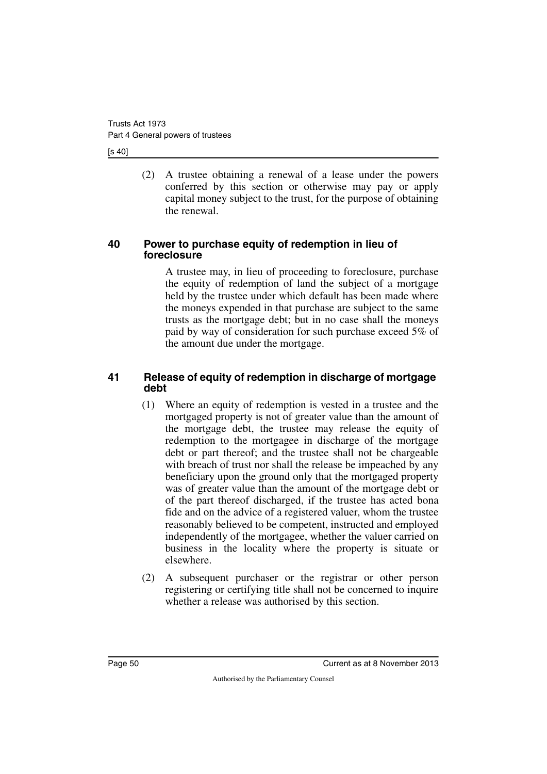[s 40]

(2) A trustee obtaining a renewal of a lease under the powers conferred by this section or otherwise may pay or apply capital money subject to the trust, for the purpose of obtaining the renewal.

#### **40 Power to purchase equity of redemption in lieu of foreclosure**

A trustee may, in lieu of proceeding to foreclosure, purchase the equity of redemption of land the subject of a mortgage held by the trustee under which default has been made where the moneys expended in that purchase are subject to the same trusts as the mortgage debt; but in no case shall the moneys paid by way of consideration for such purchase exceed 5% of the amount due under the mortgage.

#### **41 Release of equity of redemption in discharge of mortgage debt**

- (1) Where an equity of redemption is vested in a trustee and the mortgaged property is not of greater value than the amount of the mortgage debt, the trustee may release the equity of redemption to the mortgagee in discharge of the mortgage debt or part thereof; and the trustee shall not be chargeable with breach of trust nor shall the release be impeached by any beneficiary upon the ground only that the mortgaged property was of greater value than the amount of the mortgage debt or of the part thereof discharged, if the trustee has acted bona fide and on the advice of a registered valuer, whom the trustee reasonably believed to be competent, instructed and employed independently of the mortgagee, whether the valuer carried on business in the locality where the property is situate or elsewhere.
- (2) A subsequent purchaser or the registrar or other person registering or certifying title shall not be concerned to inquire whether a release was authorised by this section.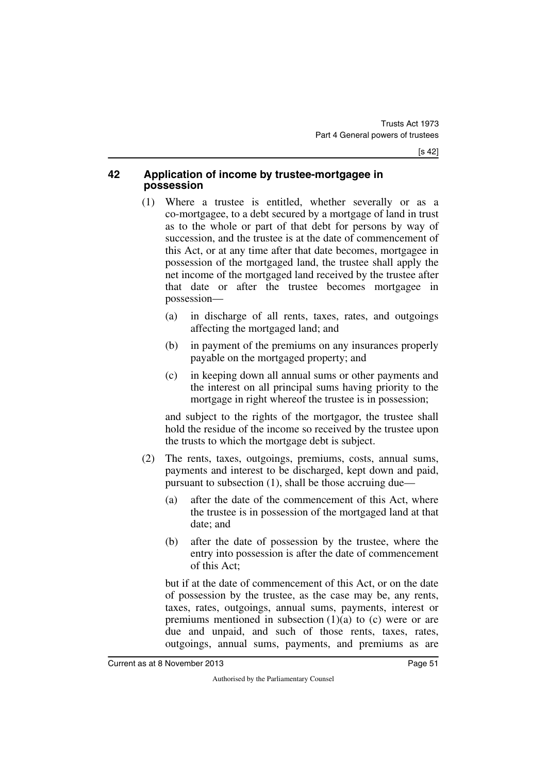#### **42 Application of income by trustee-mortgagee in possession**

- (1) Where a trustee is entitled, whether severally or as a co-mortgagee, to a debt secured by a mortgage of land in trust as to the whole or part of that debt for persons by way of succession, and the trustee is at the date of commencement of this Act, or at any time after that date becomes, mortgagee in possession of the mortgaged land, the trustee shall apply the net income of the mortgaged land received by the trustee after that date or after the trustee becomes mortgagee in possession—
	- (a) in discharge of all rents, taxes, rates, and outgoings affecting the mortgaged land; and
	- (b) in payment of the premiums on any insurances properly payable on the mortgaged property; and
	- (c) in keeping down all annual sums or other payments and the interest on all principal sums having priority to the mortgage in right whereof the trustee is in possession;

and subject to the rights of the mortgagor, the trustee shall hold the residue of the income so received by the trustee upon the trusts to which the mortgage debt is subject.

- (2) The rents, taxes, outgoings, premiums, costs, annual sums, payments and interest to be discharged, kept down and paid, pursuant to subsection (1), shall be those accruing due—
	- (a) after the date of the commencement of this Act, where the trustee is in possession of the mortgaged land at that date; and
	- (b) after the date of possession by the trustee, where the entry into possession is after the date of commencement of this Act;

but if at the date of commencement of this Act, or on the date of possession by the trustee, as the case may be, any rents, taxes, rates, outgoings, annual sums, payments, interest or premiums mentioned in subsection  $(1)(a)$  to  $(c)$  were or are due and unpaid, and such of those rents, taxes, rates, outgoings, annual sums, payments, and premiums as are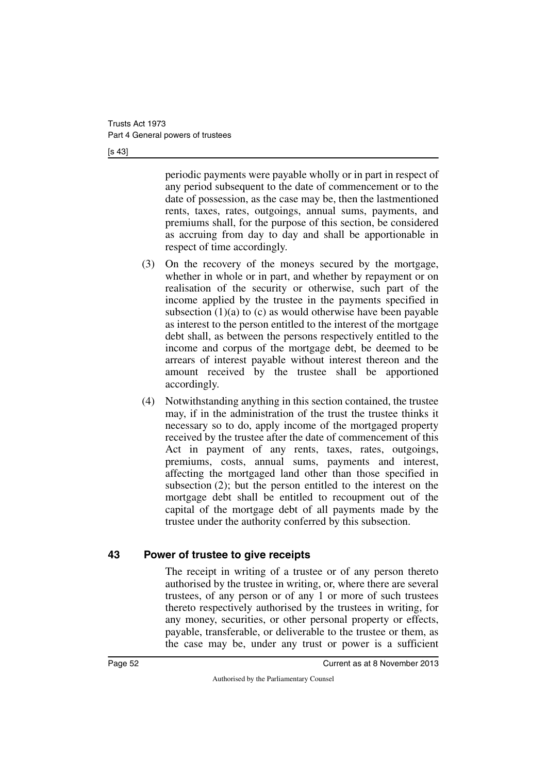[s 43]

periodic payments were payable wholly or in part in respect of any period subsequent to the date of commencement or to the date of possession, as the case may be, then the lastmentioned rents, taxes, rates, outgoings, annual sums, payments, and premiums shall, for the purpose of this section, be considered as accruing from day to day and shall be apportionable in respect of time accordingly.

- (3) On the recovery of the moneys secured by the mortgage, whether in whole or in part, and whether by repayment or on realisation of the security or otherwise, such part of the income applied by the trustee in the payments specified in subsection  $(1)(a)$  to  $(c)$  as would otherwise have been payable as interest to the person entitled to the interest of the mortgage debt shall, as between the persons respectively entitled to the income and corpus of the mortgage debt, be deemed to be arrears of interest payable without interest thereon and the amount received by the trustee shall be apportioned accordingly.
- (4) Notwithstanding anything in this section contained, the trustee may, if in the administration of the trust the trustee thinks it necessary so to do, apply income of the mortgaged property received by the trustee after the date of commencement of this Act in payment of any rents, taxes, rates, outgoings, premiums, costs, annual sums, payments and interest, affecting the mortgaged land other than those specified in subsection (2); but the person entitled to the interest on the mortgage debt shall be entitled to recoupment out of the capital of the mortgage debt of all payments made by the trustee under the authority conferred by this subsection.

### **43 Power of trustee to give receipts**

The receipt in writing of a trustee or of any person thereto authorised by the trustee in writing, or, where there are several trustees, of any person or of any 1 or more of such trustees thereto respectively authorised by the trustees in writing, for any money, securities, or other personal property or effects, payable, transferable, or deliverable to the trustee or them, as the case may be, under any trust or power is a sufficient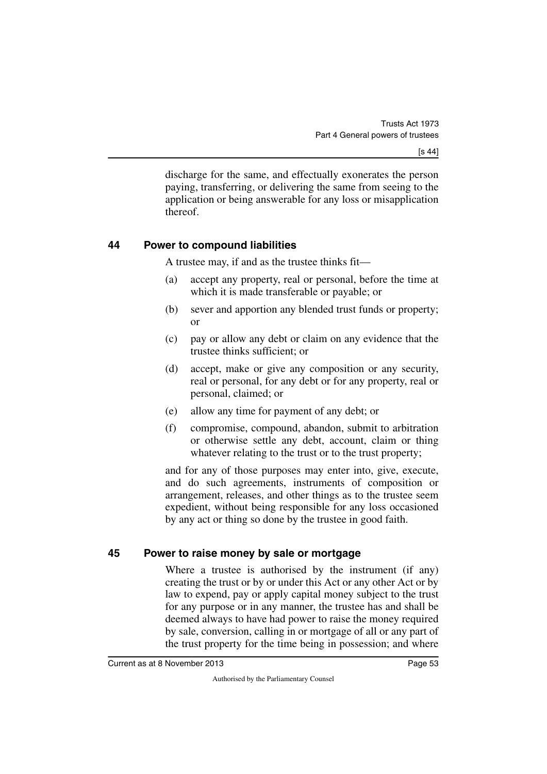discharge for the same, and effectually exonerates the person paying, transferring, or delivering the same from seeing to the application or being answerable for any loss or misapplication thereof.

#### **44 Power to compound liabilities**

A trustee may, if and as the trustee thinks fit—

- (a) accept any property, real or personal, before the time at which it is made transferable or payable; or
- (b) sever and apportion any blended trust funds or property; or
- (c) pay or allow any debt or claim on any evidence that the trustee thinks sufficient; or
- (d) accept, make or give any composition or any security, real or personal, for any debt or for any property, real or personal, claimed; or
- (e) allow any time for payment of any debt; or
- (f) compromise, compound, abandon, submit to arbitration or otherwise settle any debt, account, claim or thing whatever relating to the trust or to the trust property;

and for any of those purposes may enter into, give, execute, and do such agreements, instruments of composition or arrangement, releases, and other things as to the trustee seem expedient, without being responsible for any loss occasioned by any act or thing so done by the trustee in good faith.

### **45 Power to raise money by sale or mortgage**

Where a trustee is authorised by the instrument (if any) creating the trust or by or under this Act or any other Act or by law to expend, pay or apply capital money subject to the trust for any purpose or in any manner, the trustee has and shall be deemed always to have had power to raise the money required by sale, conversion, calling in or mortgage of all or any part of the trust property for the time being in possession; and where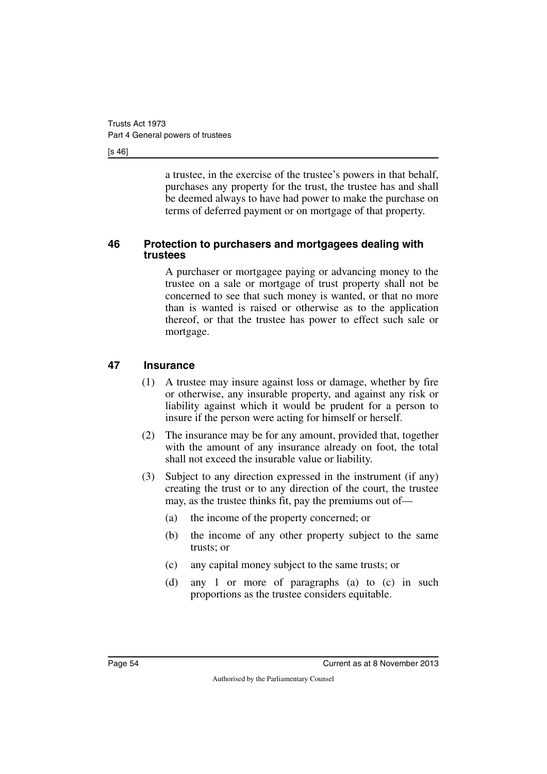[s 46]

a trustee, in the exercise of the trustee's powers in that behalf, purchases any property for the trust, the trustee has and shall be deemed always to have had power to make the purchase on terms of deferred payment or on mortgage of that property.

#### **46 Protection to purchasers and mortgagees dealing with trustees**

A purchaser or mortgagee paying or advancing money to the trustee on a sale or mortgage of trust property shall not be concerned to see that such money is wanted, or that no more than is wanted is raised or otherwise as to the application thereof, or that the trustee has power to effect such sale or mortgage.

#### **47 Insurance**

- (1) A trustee may insure against loss or damage, whether by fire or otherwise, any insurable property, and against any risk or liability against which it would be prudent for a person to insure if the person were acting for himself or herself.
- (2) The insurance may be for any amount, provided that, together with the amount of any insurance already on foot, the total shall not exceed the insurable value or liability.
- (3) Subject to any direction expressed in the instrument (if any) creating the trust or to any direction of the court, the trustee may, as the trustee thinks fit, pay the premiums out of—
	- (a) the income of the property concerned; or
	- (b) the income of any other property subject to the same trusts; or
	- (c) any capital money subject to the same trusts; or
	- (d) any 1 or more of paragraphs (a) to (c) in such proportions as the trustee considers equitable.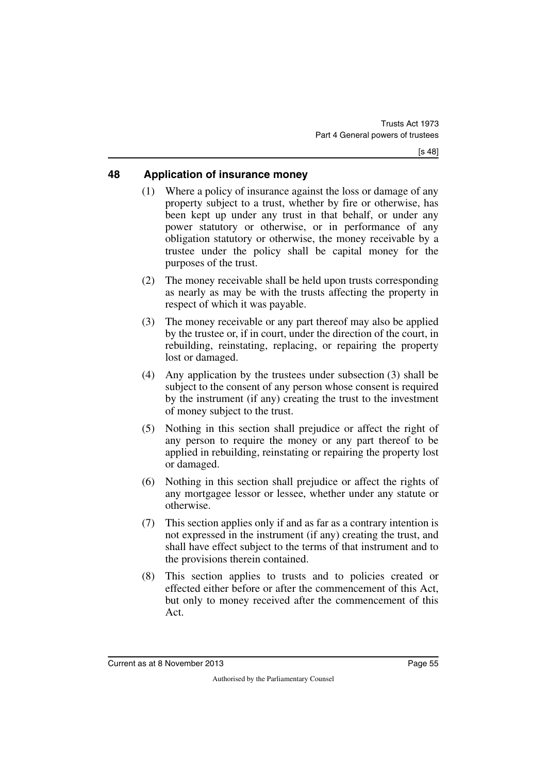### **48 Application of insurance money**

- (1) Where a policy of insurance against the loss or damage of any property subject to a trust, whether by fire or otherwise, has been kept up under any trust in that behalf, or under any power statutory or otherwise, or in performance of any obligation statutory or otherwise, the money receivable by a trustee under the policy shall be capital money for the purposes of the trust.
- (2) The money receivable shall be held upon trusts corresponding as nearly as may be with the trusts affecting the property in respect of which it was payable.
- (3) The money receivable or any part thereof may also be applied by the trustee or, if in court, under the direction of the court, in rebuilding, reinstating, replacing, or repairing the property lost or damaged.
- (4) Any application by the trustees under subsection (3) shall be subject to the consent of any person whose consent is required by the instrument (if any) creating the trust to the investment of money subject to the trust.
- (5) Nothing in this section shall prejudice or affect the right of any person to require the money or any part thereof to be applied in rebuilding, reinstating or repairing the property lost or damaged.
- (6) Nothing in this section shall prejudice or affect the rights of any mortgagee lessor or lessee, whether under any statute or otherwise.
- (7) This section applies only if and as far as a contrary intention is not expressed in the instrument (if any) creating the trust, and shall have effect subject to the terms of that instrument and to the provisions therein contained.
- (8) This section applies to trusts and to policies created or effected either before or after the commencement of this Act, but only to money received after the commencement of this Act.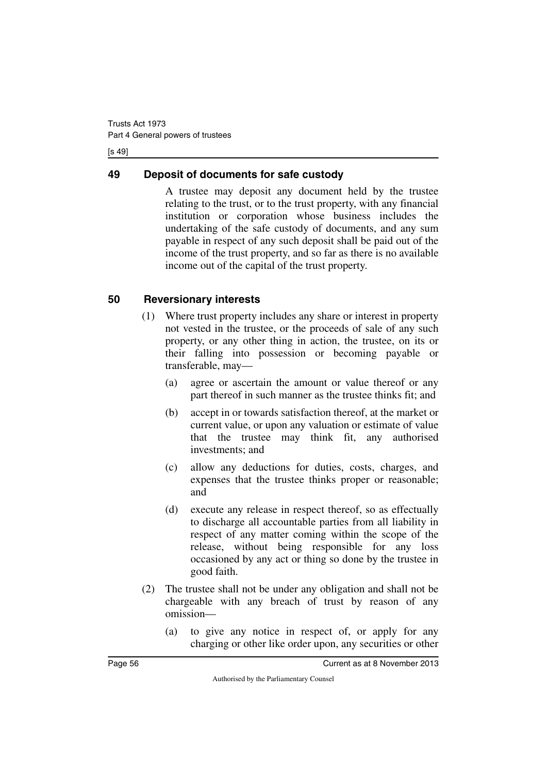[s 49]

## **49 Deposit of documents for safe custody**

A trustee may deposit any document held by the trustee relating to the trust, or to the trust property, with any financial institution or corporation whose business includes the undertaking of the safe custody of documents, and any sum payable in respect of any such deposit shall be paid out of the income of the trust property, and so far as there is no available income out of the capital of the trust property.

## **50 Reversionary interests**

- (1) Where trust property includes any share or interest in property not vested in the trustee, or the proceeds of sale of any such property, or any other thing in action, the trustee, on its or their falling into possession or becoming payable or transferable, may—
	- (a) agree or ascertain the amount or value thereof or any part thereof in such manner as the trustee thinks fit; and
	- (b) accept in or towards satisfaction thereof, at the market or current value, or upon any valuation or estimate of value that the trustee may think fit, any authorised investments; and
	- (c) allow any deductions for duties, costs, charges, and expenses that the trustee thinks proper or reasonable; and
	- (d) execute any release in respect thereof, so as effectually to discharge all accountable parties from all liability in respect of any matter coming within the scope of the release, without being responsible for any loss occasioned by any act or thing so done by the trustee in good faith.
- (2) The trustee shall not be under any obligation and shall not be chargeable with any breach of trust by reason of any omission—
	- (a) to give any notice in respect of, or apply for any charging or other like order upon, any securities or other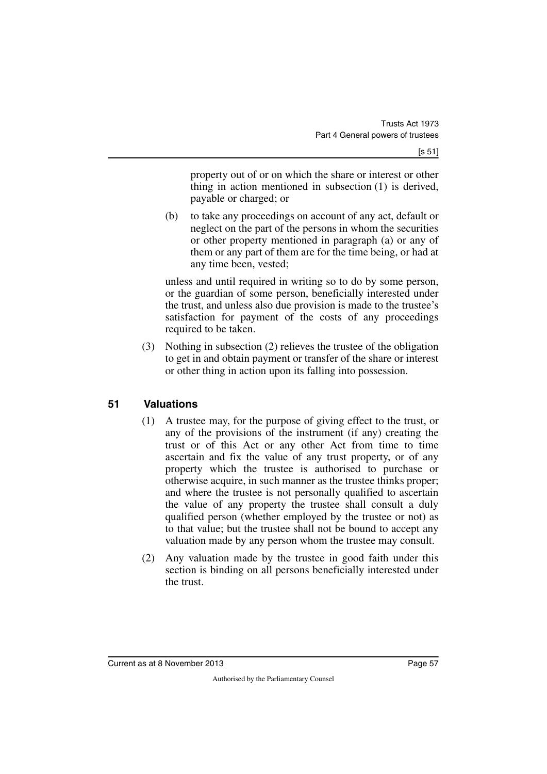property out of or on which the share or interest or other thing in action mentioned in subsection (1) is derived, payable or charged; or

(b) to take any proceedings on account of any act, default or neglect on the part of the persons in whom the securities or other property mentioned in paragraph (a) or any of them or any part of them are for the time being, or had at any time been, vested;

unless and until required in writing so to do by some person, or the guardian of some person, beneficially interested under the trust, and unless also due provision is made to the trustee's satisfaction for payment of the costs of any proceedings required to be taken.

(3) Nothing in subsection (2) relieves the trustee of the obligation to get in and obtain payment or transfer of the share or interest or other thing in action upon its falling into possession.

## **51 Valuations**

- (1) A trustee may, for the purpose of giving effect to the trust, or any of the provisions of the instrument (if any) creating the trust or of this Act or any other Act from time to time ascertain and fix the value of any trust property, or of any property which the trustee is authorised to purchase or otherwise acquire, in such manner as the trustee thinks proper; and where the trustee is not personally qualified to ascertain the value of any property the trustee shall consult a duly qualified person (whether employed by the trustee or not) as to that value; but the trustee shall not be bound to accept any valuation made by any person whom the trustee may consult.
- (2) Any valuation made by the trustee in good faith under this section is binding on all persons beneficially interested under the trust.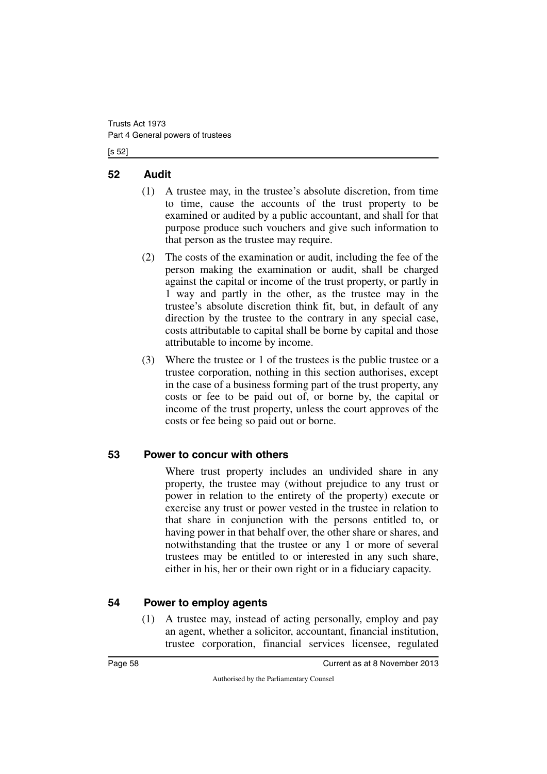[s 52]

### **52 Audit**

- (1) A trustee may, in the trustee's absolute discretion, from time to time, cause the accounts of the trust property to be examined or audited by a public accountant, and shall for that purpose produce such vouchers and give such information to that person as the trustee may require.
- (2) The costs of the examination or audit, including the fee of the person making the examination or audit, shall be charged against the capital or income of the trust property, or partly in 1 way and partly in the other, as the trustee may in the trustee's absolute discretion think fit, but, in default of any direction by the trustee to the contrary in any special case, costs attributable to capital shall be borne by capital and those attributable to income by income.
- (3) Where the trustee or 1 of the trustees is the public trustee or a trustee corporation, nothing in this section authorises, except in the case of a business forming part of the trust property, any costs or fee to be paid out of, or borne by, the capital or income of the trust property, unless the court approves of the costs or fee being so paid out or borne.

## **53 Power to concur with others**

Where trust property includes an undivided share in any property, the trustee may (without prejudice to any trust or power in relation to the entirety of the property) execute or exercise any trust or power vested in the trustee in relation to that share in conjunction with the persons entitled to, or having power in that behalf over, the other share or shares, and notwithstanding that the trustee or any 1 or more of several trustees may be entitled to or interested in any such share, either in his, her or their own right or in a fiduciary capacity.

## **54 Power to employ agents**

(1) A trustee may, instead of acting personally, employ and pay an agent, whether a solicitor, accountant, financial institution, trustee corporation, financial services licensee, regulated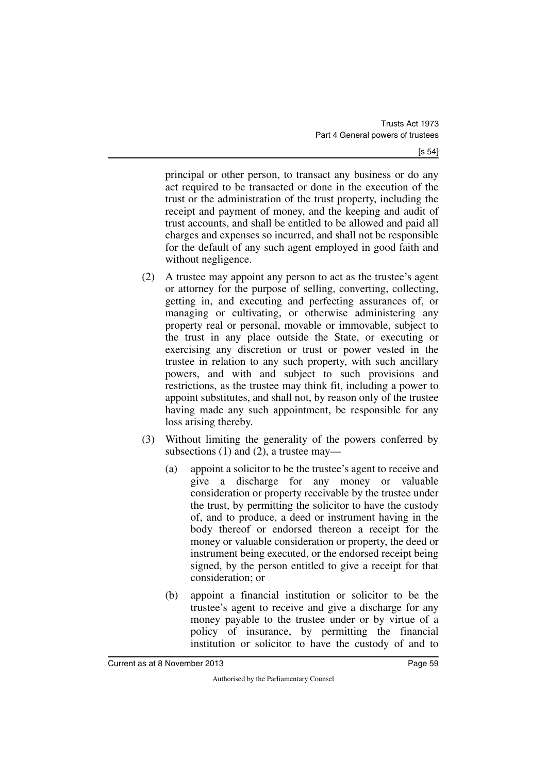principal or other person, to transact any business or do any act required to be transacted or done in the execution of the trust or the administration of the trust property, including the receipt and payment of money, and the keeping and audit of trust accounts, and shall be entitled to be allowed and paid all charges and expenses so incurred, and shall not be responsible for the default of any such agent employed in good faith and without negligence.

- (2) A trustee may appoint any person to act as the trustee's agent or attorney for the purpose of selling, converting, collecting, getting in, and executing and perfecting assurances of, or managing or cultivating, or otherwise administering any property real or personal, movable or immovable, subject to the trust in any place outside the State, or executing or exercising any discretion or trust or power vested in the trustee in relation to any such property, with such ancillary powers, and with and subject to such provisions and restrictions, as the trustee may think fit, including a power to appoint substitutes, and shall not, by reason only of the trustee having made any such appointment, be responsible for any loss arising thereby.
- (3) Without limiting the generality of the powers conferred by subsections (1) and (2), a trustee may—
	- (a) appoint a solicitor to be the trustee's agent to receive and give a discharge for any money or valuable consideration or property receivable by the trustee under the trust, by permitting the solicitor to have the custody of, and to produce, a deed or instrument having in the body thereof or endorsed thereon a receipt for the money or valuable consideration or property, the deed or instrument being executed, or the endorsed receipt being signed, by the person entitled to give a receipt for that consideration; or
	- (b) appoint a financial institution or solicitor to be the trustee's agent to receive and give a discharge for any money payable to the trustee under or by virtue of a policy of insurance, by permitting the financial institution or solicitor to have the custody of and to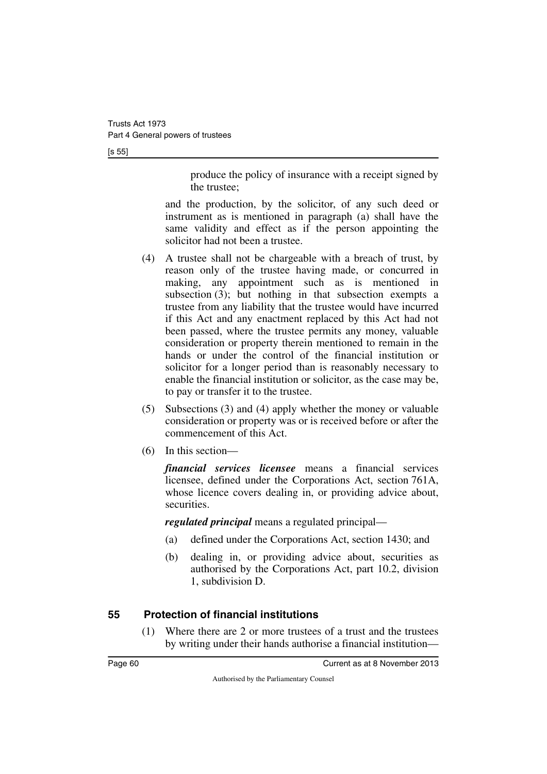[s 55]

produce the policy of insurance with a receipt signed by the trustee;

and the production, by the solicitor, of any such deed or instrument as is mentioned in paragraph (a) shall have the same validity and effect as if the person appointing the solicitor had not been a trustee.

- (4) A trustee shall not be chargeable with a breach of trust, by reason only of the trustee having made, or concurred in making, any appointment such as is mentioned in subsection (3); but nothing in that subsection exempts a trustee from any liability that the trustee would have incurred if this Act and any enactment replaced by this Act had not been passed, where the trustee permits any money, valuable consideration or property therein mentioned to remain in the hands or under the control of the financial institution or solicitor for a longer period than is reasonably necessary to enable the financial institution or solicitor, as the case may be, to pay or transfer it to the trustee.
- (5) Subsections (3) and (4) apply whether the money or valuable consideration or property was or is received before or after the commencement of this Act.
- (6) In this section—

*financial services licensee* means a financial services licensee, defined under the Corporations Act, section 761A, whose licence covers dealing in, or providing advice about, securities.

*regulated principal* means a regulated principal—

- (a) defined under the Corporations Act, section 1430; and
- (b) dealing in, or providing advice about, securities as authorised by the Corporations Act, part 10.2, division 1, subdivision D.

### **55 Protection of financial institutions**

(1) Where there are 2 or more trustees of a trust and the trustees by writing under their hands authorise a financial institution—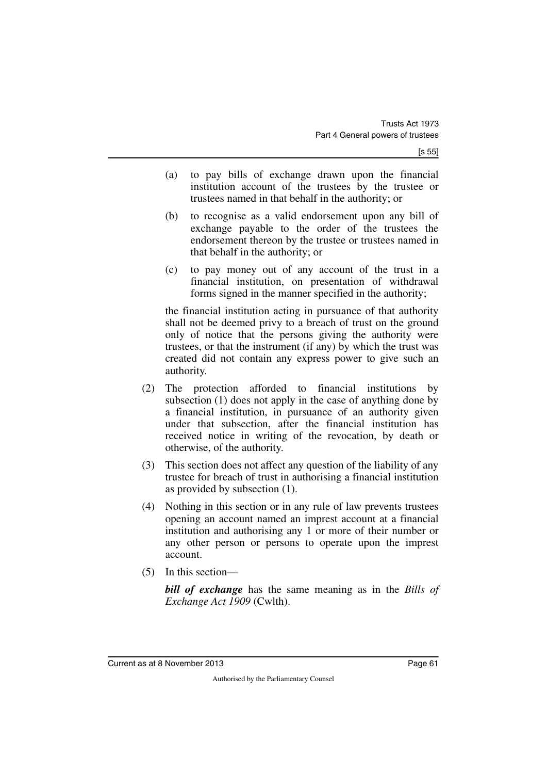- (a) to pay bills of exchange drawn upon the financial institution account of the trustees by the trustee or trustees named in that behalf in the authority; or
- (b) to recognise as a valid endorsement upon any bill of exchange payable to the order of the trustees the endorsement thereon by the trustee or trustees named in that behalf in the authority; or
- (c) to pay money out of any account of the trust in a financial institution, on presentation of withdrawal forms signed in the manner specified in the authority;

the financial institution acting in pursuance of that authority shall not be deemed privy to a breach of trust on the ground only of notice that the persons giving the authority were trustees, or that the instrument (if any) by which the trust was created did not contain any express power to give such an authority.

- (2) The protection afforded to financial institutions by subsection (1) does not apply in the case of anything done by a financial institution, in pursuance of an authority given under that subsection, after the financial institution has received notice in writing of the revocation, by death or otherwise, of the authority.
- (3) This section does not affect any question of the liability of any trustee for breach of trust in authorising a financial institution as provided by subsection (1).
- (4) Nothing in this section or in any rule of law prevents trustees opening an account named an imprest account at a financial institution and authorising any 1 or more of their number or any other person or persons to operate upon the imprest account.
- (5) In this section—

*bill of exchange* has the same meaning as in the *Bills of Exchange Act 1909* (Cwlth).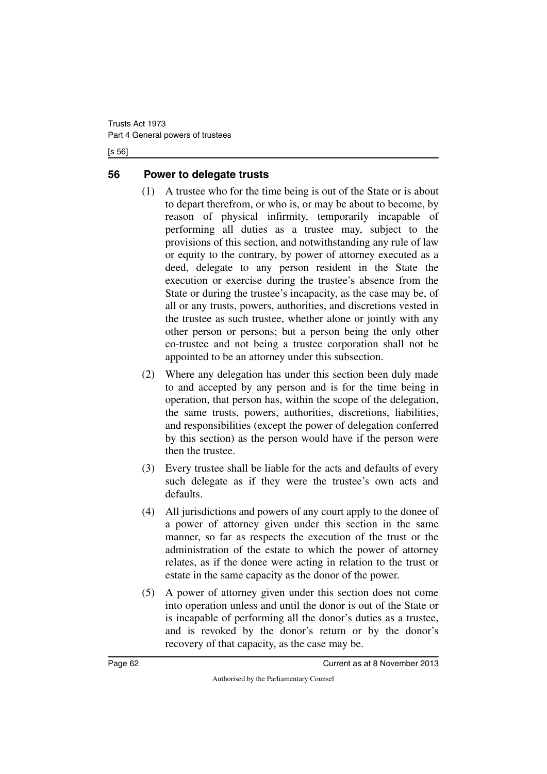[s 56]

## **56 Power to delegate trusts**

- (1) A trustee who for the time being is out of the State or is about to depart therefrom, or who is, or may be about to become, by reason of physical infirmity, temporarily incapable of performing all duties as a trustee may, subject to the provisions of this section, and notwithstanding any rule of law or equity to the contrary, by power of attorney executed as a deed, delegate to any person resident in the State the execution or exercise during the trustee's absence from the State or during the trustee's incapacity, as the case may be, of all or any trusts, powers, authorities, and discretions vested in the trustee as such trustee, whether alone or jointly with any other person or persons; but a person being the only other co-trustee and not being a trustee corporation shall not be appointed to be an attorney under this subsection.
- (2) Where any delegation has under this section been duly made to and accepted by any person and is for the time being in operation, that person has, within the scope of the delegation, the same trusts, powers, authorities, discretions, liabilities, and responsibilities (except the power of delegation conferred by this section) as the person would have if the person were then the trustee.
- (3) Every trustee shall be liable for the acts and defaults of every such delegate as if they were the trustee's own acts and defaults.
- (4) All jurisdictions and powers of any court apply to the donee of a power of attorney given under this section in the same manner, so far as respects the execution of the trust or the administration of the estate to which the power of attorney relates, as if the donee were acting in relation to the trust or estate in the same capacity as the donor of the power.
- (5) A power of attorney given under this section does not come into operation unless and until the donor is out of the State or is incapable of performing all the donor's duties as a trustee, and is revoked by the donor's return or by the donor's recovery of that capacity, as the case may be.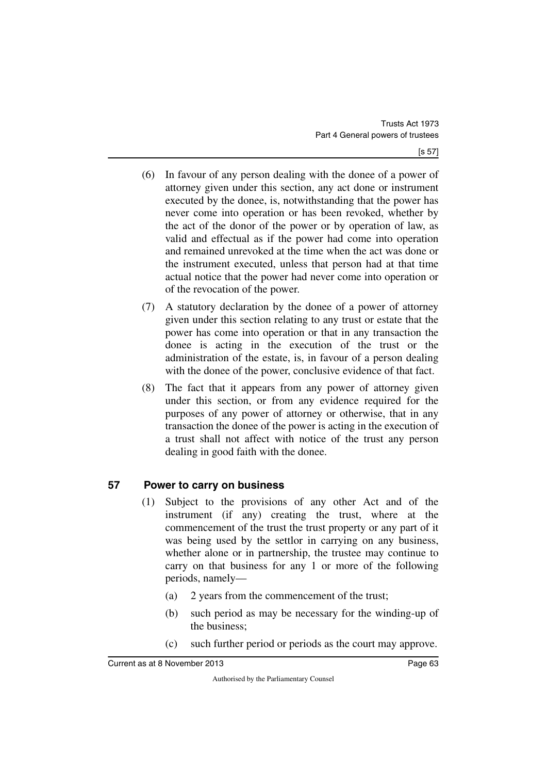- (6) In favour of any person dealing with the donee of a power of attorney given under this section, any act done or instrument executed by the donee, is, notwithstanding that the power has never come into operation or has been revoked, whether by the act of the donor of the power or by operation of law, as valid and effectual as if the power had come into operation and remained unrevoked at the time when the act was done or the instrument executed, unless that person had at that time actual notice that the power had never come into operation or of the revocation of the power.
- (7) A statutory declaration by the donee of a power of attorney given under this section relating to any trust or estate that the power has come into operation or that in any transaction the donee is acting in the execution of the trust or the administration of the estate, is, in favour of a person dealing with the donee of the power, conclusive evidence of that fact.
- (8) The fact that it appears from any power of attorney given under this section, or from any evidence required for the purposes of any power of attorney or otherwise, that in any transaction the donee of the power is acting in the execution of a trust shall not affect with notice of the trust any person dealing in good faith with the donee.

## **57 Power to carry on business**

- (1) Subject to the provisions of any other Act and of the instrument (if any) creating the trust, where at the commencement of the trust the trust property or any part of it was being used by the settlor in carrying on any business, whether alone or in partnership, the trustee may continue to carry on that business for any 1 or more of the following periods, namely—
	- (a) 2 years from the commencement of the trust;
	- (b) such period as may be necessary for the winding-up of the business;
	- (c) such further period or periods as the court may approve.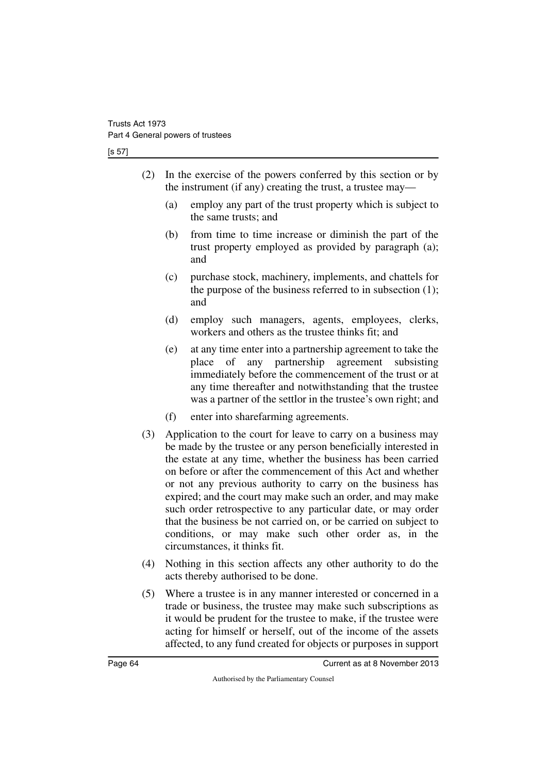[s 57]

- (2) In the exercise of the powers conferred by this section or by the instrument (if any) creating the trust, a trustee may—
	- (a) employ any part of the trust property which is subject to the same trusts; and
	- (b) from time to time increase or diminish the part of the trust property employed as provided by paragraph (a); and
	- (c) purchase stock, machinery, implements, and chattels for the purpose of the business referred to in subsection (1); and
	- (d) employ such managers, agents, employees, clerks, workers and others as the trustee thinks fit; and
	- (e) at any time enter into a partnership agreement to take the place of any partnership agreement subsisting immediately before the commencement of the trust or at any time thereafter and notwithstanding that the trustee was a partner of the settlor in the trustee's own right; and
	- (f) enter into sharefarming agreements.
- (3) Application to the court for leave to carry on a business may be made by the trustee or any person beneficially interested in the estate at any time, whether the business has been carried on before or after the commencement of this Act and whether or not any previous authority to carry on the business has expired; and the court may make such an order, and may make such order retrospective to any particular date, or may order that the business be not carried on, or be carried on subject to conditions, or may make such other order as, in the circumstances, it thinks fit.
- (4) Nothing in this section affects any other authority to do the acts thereby authorised to be done.
- (5) Where a trustee is in any manner interested or concerned in a trade or business, the trustee may make such subscriptions as it would be prudent for the trustee to make, if the trustee were acting for himself or herself, out of the income of the assets affected, to any fund created for objects or purposes in support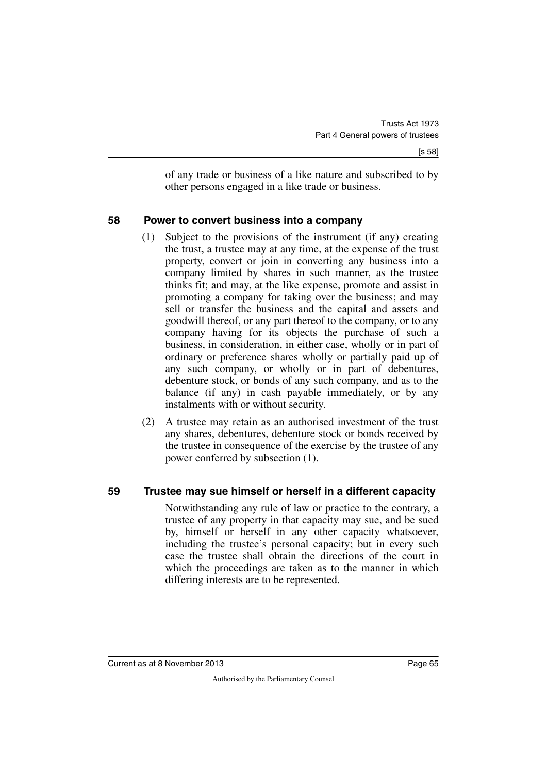of any trade or business of a like nature and subscribed to by other persons engaged in a like trade or business.

### **58 Power to convert business into a company**

- (1) Subject to the provisions of the instrument (if any) creating the trust, a trustee may at any time, at the expense of the trust property, convert or join in converting any business into a company limited by shares in such manner, as the trustee thinks fit; and may, at the like expense, promote and assist in promoting a company for taking over the business; and may sell or transfer the business and the capital and assets and goodwill thereof, or any part thereof to the company, or to any company having for its objects the purchase of such a business, in consideration, in either case, wholly or in part of ordinary or preference shares wholly or partially paid up of any such company, or wholly or in part of debentures, debenture stock, or bonds of any such company, and as to the balance (if any) in cash payable immediately, or by any instalments with or without security.
- (2) A trustee may retain as an authorised investment of the trust any shares, debentures, debenture stock or bonds received by the trustee in consequence of the exercise by the trustee of any power conferred by subsection (1).

### **59 Trustee may sue himself or herself in a different capacity**

Notwithstanding any rule of law or practice to the contrary, a trustee of any property in that capacity may sue, and be sued by, himself or herself in any other capacity whatsoever, including the trustee's personal capacity; but in every such case the trustee shall obtain the directions of the court in which the proceedings are taken as to the manner in which differing interests are to be represented.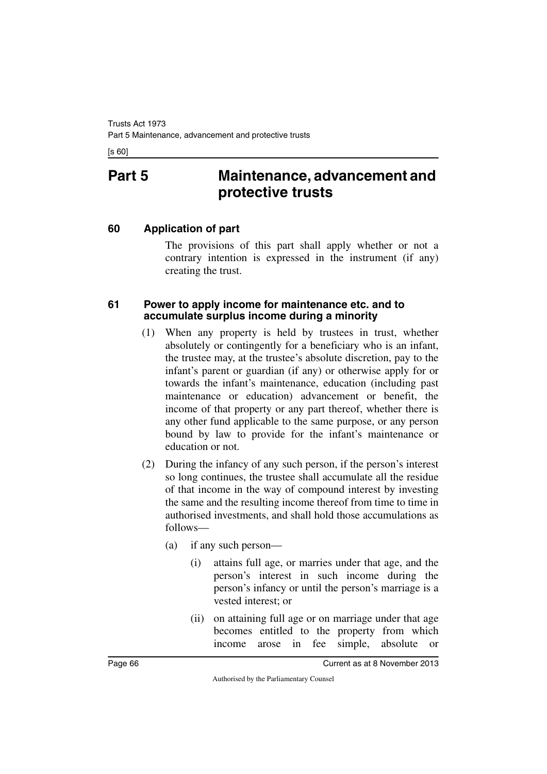[s 60]

# **Part 5 Maintenance, advancement and protective trusts**

### **60 Application of part**

The provisions of this part shall apply whether or not a contrary intention is expressed in the instrument (if any) creating the trust.

#### **61 Power to apply income for maintenance etc. and to accumulate surplus income during a minority**

- (1) When any property is held by trustees in trust, whether absolutely or contingently for a beneficiary who is an infant, the trustee may, at the trustee's absolute discretion, pay to the infant's parent or guardian (if any) or otherwise apply for or towards the infant's maintenance, education (including past maintenance or education) advancement or benefit, the income of that property or any part thereof, whether there is any other fund applicable to the same purpose, or any person bound by law to provide for the infant's maintenance or education or not.
- (2) During the infancy of any such person, if the person's interest so long continues, the trustee shall accumulate all the residue of that income in the way of compound interest by investing the same and the resulting income thereof from time to time in authorised investments, and shall hold those accumulations as follows—
	- (a) if any such person—
		- (i) attains full age, or marries under that age, and the person's interest in such income during the person's infancy or until the person's marriage is a vested interest; or
		- (ii) on attaining full age or on marriage under that age becomes entitled to the property from which income arose in fee simple, absolute or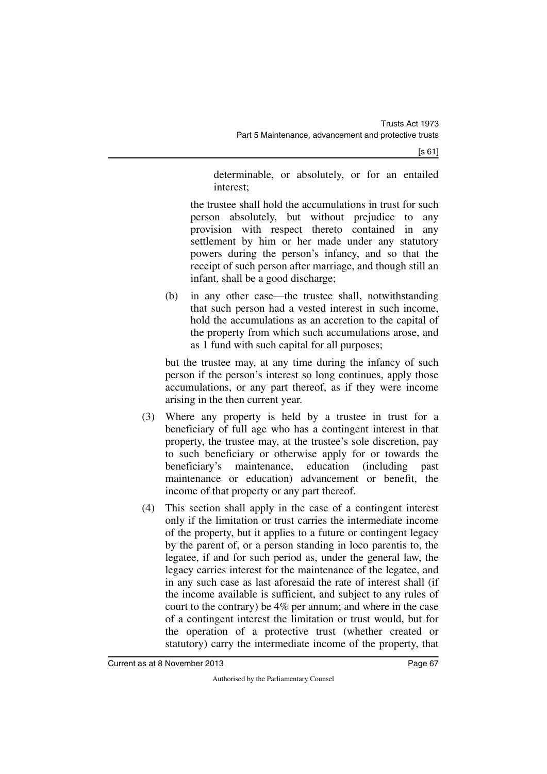[s 61]

determinable, or absolutely, or for an entailed interest;

the trustee shall hold the accumulations in trust for such person absolutely, but without prejudice to any provision with respect thereto contained in any settlement by him or her made under any statutory powers during the person's infancy, and so that the receipt of such person after marriage, and though still an infant, shall be a good discharge;

(b) in any other case—the trustee shall, notwithstanding that such person had a vested interest in such income, hold the accumulations as an accretion to the capital of the property from which such accumulations arose, and as 1 fund with such capital for all purposes;

but the trustee may, at any time during the infancy of such person if the person's interest so long continues, apply those accumulations, or any part thereof, as if they were income arising in the then current year.

- (3) Where any property is held by a trustee in trust for a beneficiary of full age who has a contingent interest in that property, the trustee may, at the trustee's sole discretion, pay to such beneficiary or otherwise apply for or towards the beneficiary's maintenance, education (including past maintenance or education) advancement or benefit, the income of that property or any part thereof.
- (4) This section shall apply in the case of a contingent interest only if the limitation or trust carries the intermediate income of the property, but it applies to a future or contingent legacy by the parent of, or a person standing in loco parentis to, the legatee, if and for such period as, under the general law, the legacy carries interest for the maintenance of the legatee, and in any such case as last aforesaid the rate of interest shall (if the income available is sufficient, and subject to any rules of court to the contrary) be 4% per annum; and where in the case of a contingent interest the limitation or trust would, but for the operation of a protective trust (whether created or statutory) carry the intermediate income of the property, that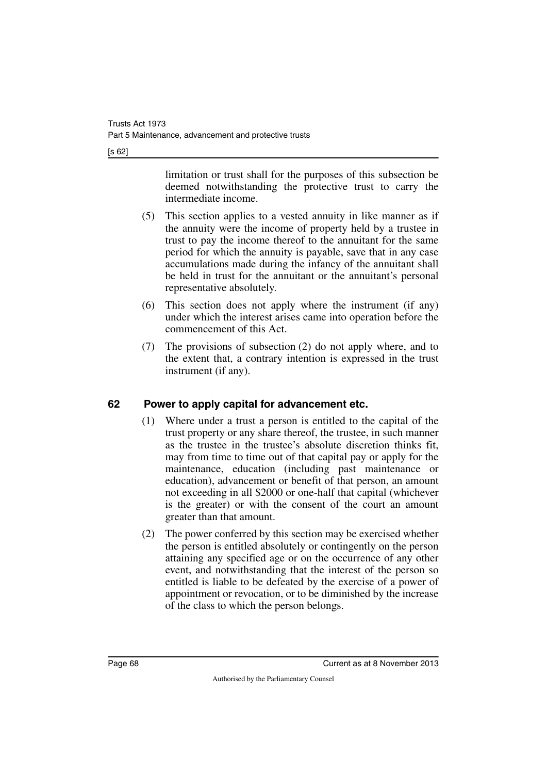[s 62]

limitation or trust shall for the purposes of this subsection be deemed notwithstanding the protective trust to carry the intermediate income.

- (5) This section applies to a vested annuity in like manner as if the annuity were the income of property held by a trustee in trust to pay the income thereof to the annuitant for the same period for which the annuity is payable, save that in any case accumulations made during the infancy of the annuitant shall be held in trust for the annuitant or the annuitant's personal representative absolutely.
- (6) This section does not apply where the instrument (if any) under which the interest arises came into operation before the commencement of this Act.
- (7) The provisions of subsection (2) do not apply where, and to the extent that, a contrary intention is expressed in the trust instrument (if any).

## **62 Power to apply capital for advancement etc.**

- (1) Where under a trust a person is entitled to the capital of the trust property or any share thereof, the trustee, in such manner as the trustee in the trustee's absolute discretion thinks fit, may from time to time out of that capital pay or apply for the maintenance, education (including past maintenance or education), advancement or benefit of that person, an amount not exceeding in all \$2000 or one-half that capital (whichever is the greater) or with the consent of the court an amount greater than that amount.
- (2) The power conferred by this section may be exercised whether the person is entitled absolutely or contingently on the person attaining any specified age or on the occurrence of any other event, and notwithstanding that the interest of the person so entitled is liable to be defeated by the exercise of a power of appointment or revocation, or to be diminished by the increase of the class to which the person belongs.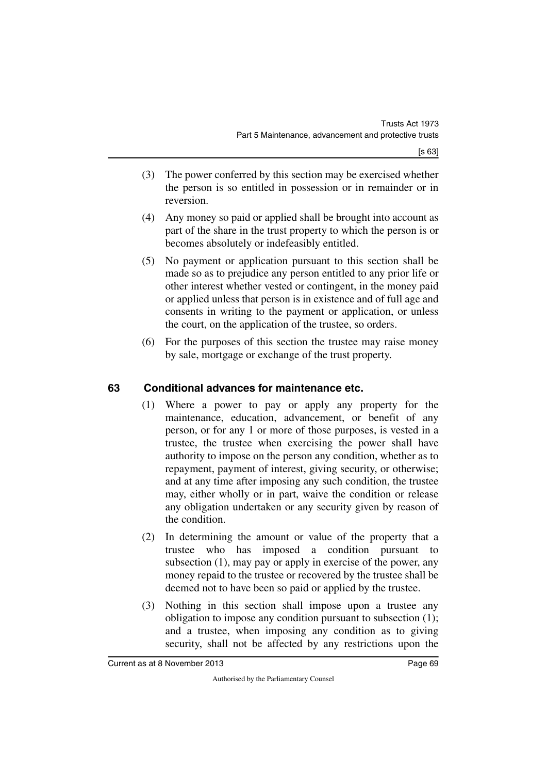- (3) The power conferred by this section may be exercised whether the person is so entitled in possession or in remainder or in reversion.
- (4) Any money so paid or applied shall be brought into account as part of the share in the trust property to which the person is or becomes absolutely or indefeasibly entitled.
- (5) No payment or application pursuant to this section shall be made so as to prejudice any person entitled to any prior life or other interest whether vested or contingent, in the money paid or applied unless that person is in existence and of full age and consents in writing to the payment or application, or unless the court, on the application of the trustee, so orders.
- (6) For the purposes of this section the trustee may raise money by sale, mortgage or exchange of the trust property.

## **63 Conditional advances for maintenance etc.**

- (1) Where a power to pay or apply any property for the maintenance, education, advancement, or benefit of any person, or for any 1 or more of those purposes, is vested in a trustee, the trustee when exercising the power shall have authority to impose on the person any condition, whether as to repayment, payment of interest, giving security, or otherwise; and at any time after imposing any such condition, the trustee may, either wholly or in part, waive the condition or release any obligation undertaken or any security given by reason of the condition.
- (2) In determining the amount or value of the property that a trustee who has imposed a condition pursuant to subsection (1), may pay or apply in exercise of the power, any money repaid to the trustee or recovered by the trustee shall be deemed not to have been so paid or applied by the trustee.
- (3) Nothing in this section shall impose upon a trustee any obligation to impose any condition pursuant to subsection (1); and a trustee, when imposing any condition as to giving security, shall not be affected by any restrictions upon the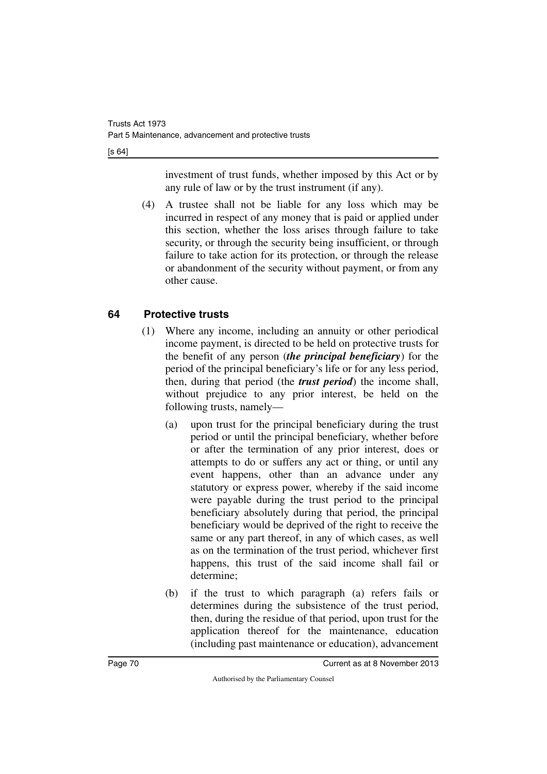[s 64]

investment of trust funds, whether imposed by this Act or by any rule of law or by the trust instrument (if any).

(4) A trustee shall not be liable for any loss which may be incurred in respect of any money that is paid or applied under this section, whether the loss arises through failure to take security, or through the security being insufficient, or through failure to take action for its protection, or through the release or abandonment of the security without payment, or from any other cause.

## **64 Protective trusts**

- (1) Where any income, including an annuity or other periodical income payment, is directed to be held on protective trusts for the benefit of any person (*the principal beneficiary*) for the period of the principal beneficiary's life or for any less period, then, during that period (the *trust period*) the income shall, without prejudice to any prior interest, be held on the following trusts, namely—
	- (a) upon trust for the principal beneficiary during the trust period or until the principal beneficiary, whether before or after the termination of any prior interest, does or attempts to do or suffers any act or thing, or until any event happens, other than an advance under any statutory or express power, whereby if the said income were payable during the trust period to the principal beneficiary absolutely during that period, the principal beneficiary would be deprived of the right to receive the same or any part thereof, in any of which cases, as well as on the termination of the trust period, whichever first happens, this trust of the said income shall fail or determine;
	- (b) if the trust to which paragraph (a) refers fails or determines during the subsistence of the trust period, then, during the residue of that period, upon trust for the application thereof for the maintenance, education (including past maintenance or education), advancement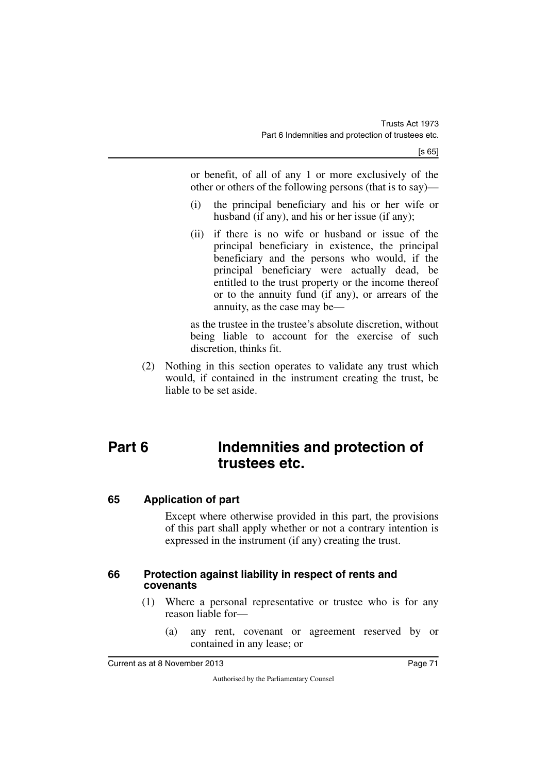or benefit, of all of any 1 or more exclusively of the other or others of the following persons (that is to say)—

- (i) the principal beneficiary and his or her wife or husband (if any), and his or her issue (if any);
- (ii) if there is no wife or husband or issue of the principal beneficiary in existence, the principal beneficiary and the persons who would, if the principal beneficiary were actually dead, be entitled to the trust property or the income thereof or to the annuity fund (if any), or arrears of the annuity, as the case may be—

as the trustee in the trustee's absolute discretion, without being liable to account for the exercise of such discretion, thinks fit.

(2) Nothing in this section operates to validate any trust which would, if contained in the instrument creating the trust, be liable to be set aside.

# **Part 6 Indemnities and protection of trustees etc.**

## **65 Application of part**

Except where otherwise provided in this part, the provisions of this part shall apply whether or not a contrary intention is expressed in the instrument (if any) creating the trust.

#### **66 Protection against liability in respect of rents and covenants**

- (1) Where a personal representative or trustee who is for any reason liable for—
	- (a) any rent, covenant or agreement reserved by or contained in any lease; or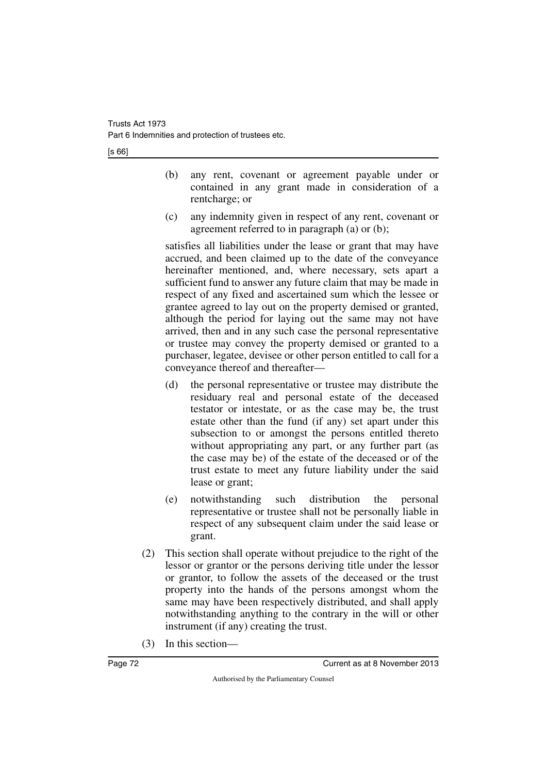|--|

- (b) any rent, covenant or agreement payable under or contained in any grant made in consideration of a rentcharge; or
- (c) any indemnity given in respect of any rent, covenant or agreement referred to in paragraph (a) or (b);

satisfies all liabilities under the lease or grant that may have accrued, and been claimed up to the date of the conveyance hereinafter mentioned, and, where necessary, sets apart a sufficient fund to answer any future claim that may be made in respect of any fixed and ascertained sum which the lessee or grantee agreed to lay out on the property demised or granted, although the period for laying out the same may not have arrived, then and in any such case the personal representative or trustee may convey the property demised or granted to a purchaser, legatee, devisee or other person entitled to call for a conveyance thereof and thereafter—

- (d) the personal representative or trustee may distribute the residuary real and personal estate of the deceased testator or intestate, or as the case may be, the trust estate other than the fund (if any) set apart under this subsection to or amongst the persons entitled thereto without appropriating any part, or any further part (as the case may be) of the estate of the deceased or of the trust estate to meet any future liability under the said lease or grant;
- (e) notwithstanding such distribution the personal representative or trustee shall not be personally liable in respect of any subsequent claim under the said lease or grant.
- (2) This section shall operate without prejudice to the right of the lessor or grantor or the persons deriving title under the lessor or grantor, to follow the assets of the deceased or the trust property into the hands of the persons amongst whom the same may have been respectively distributed, and shall apply notwithstanding anything to the contrary in the will or other instrument (if any) creating the trust.
- (3) In this section—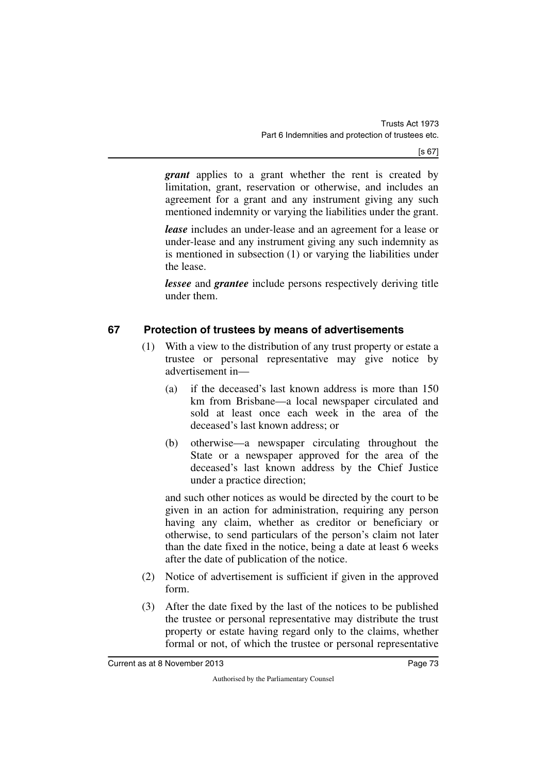*grant* applies to a grant whether the rent is created by limitation, grant, reservation or otherwise, and includes an agreement for a grant and any instrument giving any such mentioned indemnity or varying the liabilities under the grant.

*lease* includes an under-lease and an agreement for a lease or under-lease and any instrument giving any such indemnity as is mentioned in subsection (1) or varying the liabilities under the lease.

*lessee* and *grantee* include persons respectively deriving title under them.

## **67 Protection of trustees by means of advertisements**

- (1) With a view to the distribution of any trust property or estate a trustee or personal representative may give notice by advertisement in—
	- (a) if the deceased's last known address is more than 150 km from Brisbane—a local newspaper circulated and sold at least once each week in the area of the deceased's last known address; or
	- (b) otherwise—a newspaper circulating throughout the State or a newspaper approved for the area of the deceased's last known address by the Chief Justice under a practice direction;

and such other notices as would be directed by the court to be given in an action for administration, requiring any person having any claim, whether as creditor or beneficiary or otherwise, to send particulars of the person's claim not later than the date fixed in the notice, being a date at least 6 weeks after the date of publication of the notice.

- (2) Notice of advertisement is sufficient if given in the approved form.
- (3) After the date fixed by the last of the notices to be published the trustee or personal representative may distribute the trust property or estate having regard only to the claims, whether formal or not, of which the trustee or personal representative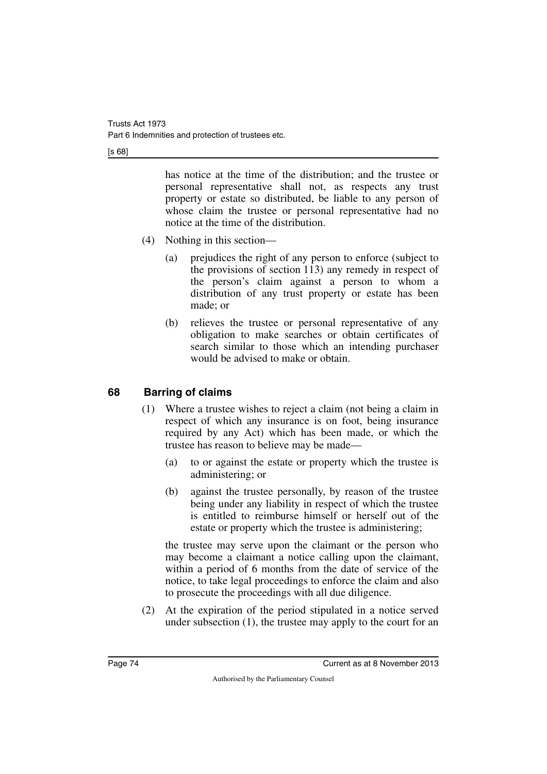[s 68]

has notice at the time of the distribution; and the trustee or personal representative shall not, as respects any trust property or estate so distributed, be liable to any person of whose claim the trustee or personal representative had no notice at the time of the distribution.

- (4) Nothing in this section—
	- (a) prejudices the right of any person to enforce (subject to the provisions of section 113) any remedy in respect of the person's claim against a person to whom a distribution of any trust property or estate has been made; or
	- (b) relieves the trustee or personal representative of any obligation to make searches or obtain certificates of search similar to those which an intending purchaser would be advised to make or obtain.

## **68 Barring of claims**

- (1) Where a trustee wishes to reject a claim (not being a claim in respect of which any insurance is on foot, being insurance required by any Act) which has been made, or which the trustee has reason to believe may be made—
	- (a) to or against the estate or property which the trustee is administering; or
	- (b) against the trustee personally, by reason of the trustee being under any liability in respect of which the trustee is entitled to reimburse himself or herself out of the estate or property which the trustee is administering;

the trustee may serve upon the claimant or the person who may become a claimant a notice calling upon the claimant, within a period of 6 months from the date of service of the notice, to take legal proceedings to enforce the claim and also to prosecute the proceedings with all due diligence.

(2) At the expiration of the period stipulated in a notice served under subsection (1), the trustee may apply to the court for an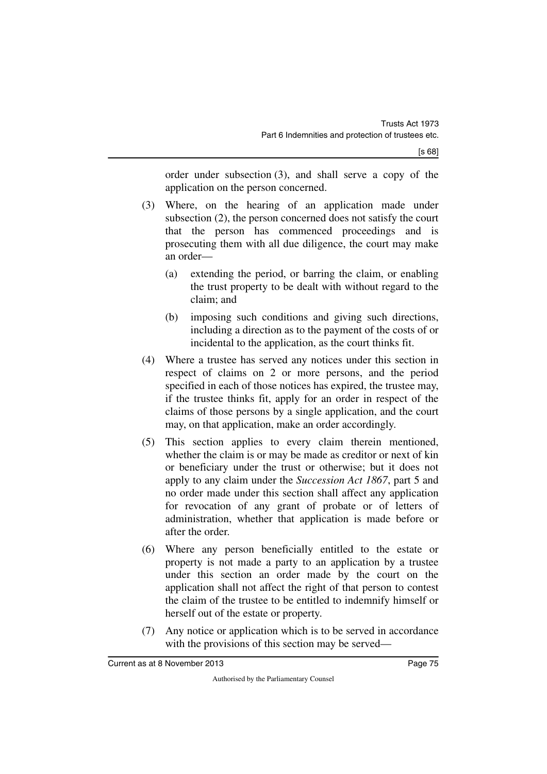order under subsection (3), and shall serve a copy of the application on the person concerned.

- (3) Where, on the hearing of an application made under subsection (2), the person concerned does not satisfy the court that the person has commenced proceedings and is prosecuting them with all due diligence, the court may make an order—
	- (a) extending the period, or barring the claim, or enabling the trust property to be dealt with without regard to the claim; and
	- (b) imposing such conditions and giving such directions, including a direction as to the payment of the costs of or incidental to the application, as the court thinks fit.
- (4) Where a trustee has served any notices under this section in respect of claims on 2 or more persons, and the period specified in each of those notices has expired, the trustee may, if the trustee thinks fit, apply for an order in respect of the claims of those persons by a single application, and the court may, on that application, make an order accordingly.
- (5) This section applies to every claim therein mentioned, whether the claim is or may be made as creditor or next of kin or beneficiary under the trust or otherwise; but it does not apply to any claim under the *Succession Act 1867*, part 5 and no order made under this section shall affect any application for revocation of any grant of probate or of letters of administration, whether that application is made before or after the order.
- (6) Where any person beneficially entitled to the estate or property is not made a party to an application by a trustee under this section an order made by the court on the application shall not affect the right of that person to contest the claim of the trustee to be entitled to indemnify himself or herself out of the estate or property.
- (7) Any notice or application which is to be served in accordance with the provisions of this section may be served—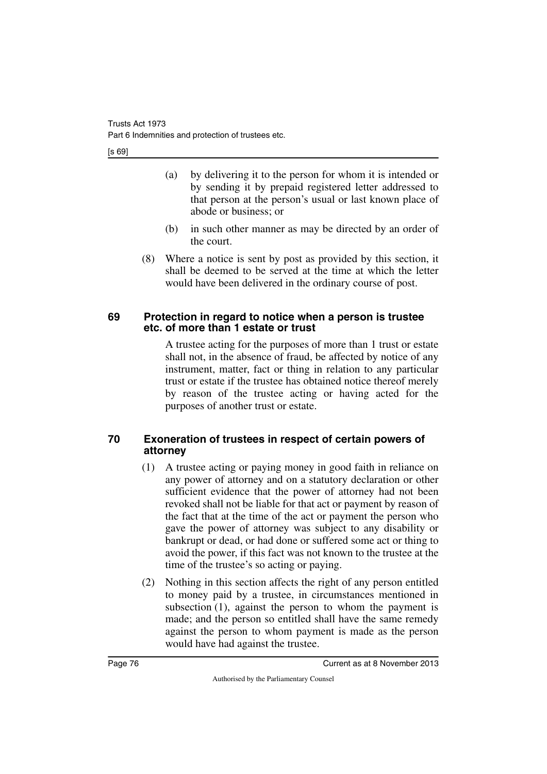[s 69]

- (a) by delivering it to the person for whom it is intended or by sending it by prepaid registered letter addressed to that person at the person's usual or last known place of abode or business; or
- (b) in such other manner as may be directed by an order of the court.
- (8) Where a notice is sent by post as provided by this section, it shall be deemed to be served at the time at which the letter would have been delivered in the ordinary course of post.

#### **69 Protection in regard to notice when a person is trustee etc. of more than 1 estate or trust**

A trustee acting for the purposes of more than 1 trust or estate shall not, in the absence of fraud, be affected by notice of any instrument, matter, fact or thing in relation to any particular trust or estate if the trustee has obtained notice thereof merely by reason of the trustee acting or having acted for the purposes of another trust or estate.

## **70 Exoneration of trustees in respect of certain powers of attorney**

- (1) A trustee acting or paying money in good faith in reliance on any power of attorney and on a statutory declaration or other sufficient evidence that the power of attorney had not been revoked shall not be liable for that act or payment by reason of the fact that at the time of the act or payment the person who gave the power of attorney was subject to any disability or bankrupt or dead, or had done or suffered some act or thing to avoid the power, if this fact was not known to the trustee at the time of the trustee's so acting or paying.
- (2) Nothing in this section affects the right of any person entitled to money paid by a trustee, in circumstances mentioned in subsection (1), against the person to whom the payment is made; and the person so entitled shall have the same remedy against the person to whom payment is made as the person would have had against the trustee.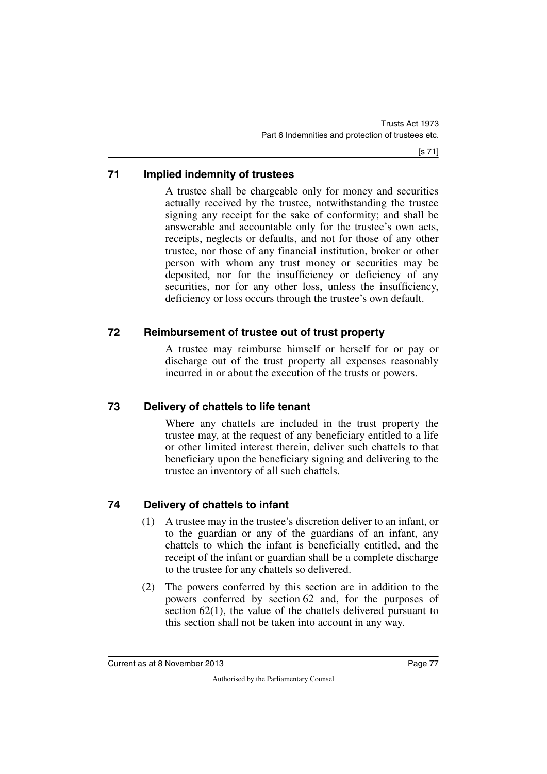## **71 Implied indemnity of trustees**

A trustee shall be chargeable only for money and securities actually received by the trustee, notwithstanding the trustee signing any receipt for the sake of conformity; and shall be answerable and accountable only for the trustee's own acts, receipts, neglects or defaults, and not for those of any other trustee, nor those of any financial institution, broker or other person with whom any trust money or securities may be deposited, nor for the insufficiency or deficiency of any securities, nor for any other loss, unless the insufficiency, deficiency or loss occurs through the trustee's own default.

## **72 Reimbursement of trustee out of trust property**

A trustee may reimburse himself or herself for or pay or discharge out of the trust property all expenses reasonably incurred in or about the execution of the trusts or powers.

## **73 Delivery of chattels to life tenant**

Where any chattels are included in the trust property the trustee may, at the request of any beneficiary entitled to a life or other limited interest therein, deliver such chattels to that beneficiary upon the beneficiary signing and delivering to the trustee an inventory of all such chattels.

## **74 Delivery of chattels to infant**

- (1) A trustee may in the trustee's discretion deliver to an infant, or to the guardian or any of the guardians of an infant, any chattels to which the infant is beneficially entitled, and the receipt of the infant or guardian shall be a complete discharge to the trustee for any chattels so delivered.
- (2) The powers conferred by this section are in addition to the powers conferred by section 62 and, for the purposes of section 62(1), the value of the chattels delivered pursuant to this section shall not be taken into account in any way.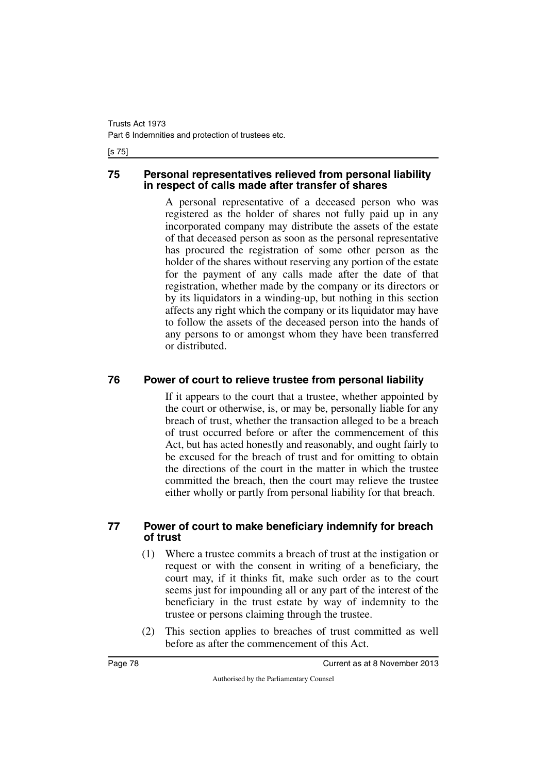#### [s 75]

#### **75 Personal representatives relieved from personal liability in respect of calls made after transfer of shares**

A personal representative of a deceased person who was registered as the holder of shares not fully paid up in any incorporated company may distribute the assets of the estate of that deceased person as soon as the personal representative has procured the registration of some other person as the holder of the shares without reserving any portion of the estate for the payment of any calls made after the date of that registration, whether made by the company or its directors or by its liquidators in a winding-up, but nothing in this section affects any right which the company or its liquidator may have to follow the assets of the deceased person into the hands of any persons to or amongst whom they have been transferred or distributed.

#### **76 Power of court to relieve trustee from personal liability**

If it appears to the court that a trustee, whether appointed by the court or otherwise, is, or may be, personally liable for any breach of trust, whether the transaction alleged to be a breach of trust occurred before or after the commencement of this Act, but has acted honestly and reasonably, and ought fairly to be excused for the breach of trust and for omitting to obtain the directions of the court in the matter in which the trustee committed the breach, then the court may relieve the trustee either wholly or partly from personal liability for that breach.

#### **77 Power of court to make beneficiary indemnify for breach of trust**

- (1) Where a trustee commits a breach of trust at the instigation or request or with the consent in writing of a beneficiary, the court may, if it thinks fit, make such order as to the court seems just for impounding all or any part of the interest of the beneficiary in the trust estate by way of indemnity to the trustee or persons claiming through the trustee.
- (2) This section applies to breaches of trust committed as well before as after the commencement of this Act.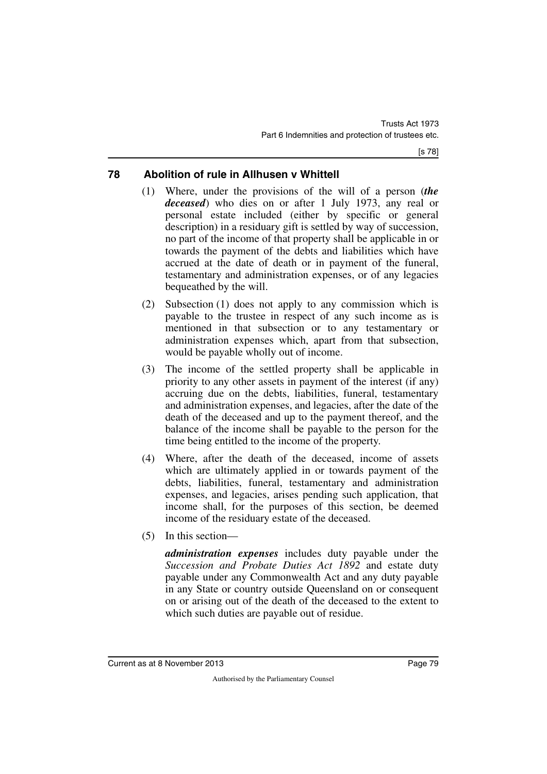## **78 Abolition of rule in Allhusen v Whittell**

- (1) Where, under the provisions of the will of a person (*the deceased*) who dies on or after 1 July 1973, any real or personal estate included (either by specific or general description) in a residuary gift is settled by way of succession, no part of the income of that property shall be applicable in or towards the payment of the debts and liabilities which have accrued at the date of death or in payment of the funeral, testamentary and administration expenses, or of any legacies bequeathed by the will.
- (2) Subsection (1) does not apply to any commission which is payable to the trustee in respect of any such income as is mentioned in that subsection or to any testamentary or administration expenses which, apart from that subsection, would be payable wholly out of income.
- (3) The income of the settled property shall be applicable in priority to any other assets in payment of the interest (if any) accruing due on the debts, liabilities, funeral, testamentary and administration expenses, and legacies, after the date of the death of the deceased and up to the payment thereof, and the balance of the income shall be payable to the person for the time being entitled to the income of the property.
- (4) Where, after the death of the deceased, income of assets which are ultimately applied in or towards payment of the debts, liabilities, funeral, testamentary and administration expenses, and legacies, arises pending such application, that income shall, for the purposes of this section, be deemed income of the residuary estate of the deceased.
- (5) In this section—

*administration expenses* includes duty payable under the *Succession and Probate Duties Act 1892* and estate duty payable under any Commonwealth Act and any duty payable in any State or country outside Queensland on or consequent on or arising out of the death of the deceased to the extent to which such duties are payable out of residue.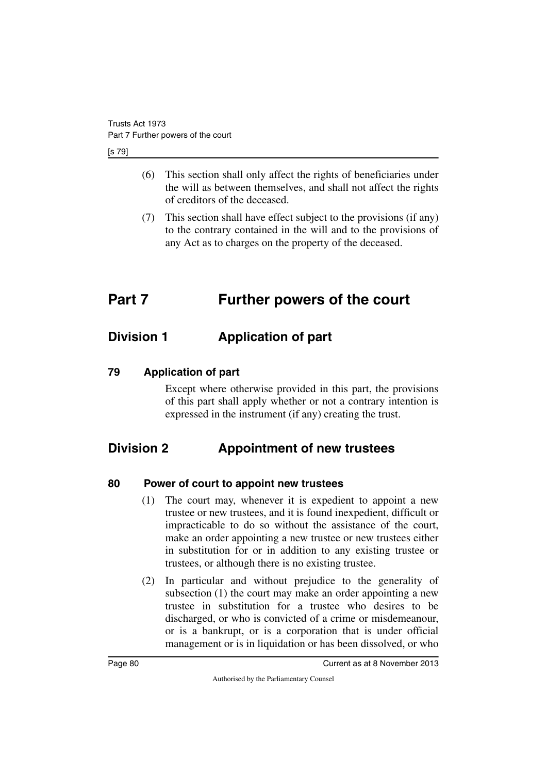[s 79]

- (6) This section shall only affect the rights of beneficiaries under the will as between themselves, and shall not affect the rights of creditors of the deceased.
- (7) This section shall have effect subject to the provisions (if any) to the contrary contained in the will and to the provisions of any Act as to charges on the property of the deceased.

# **Part 7 Further powers of the court**

## **Division 1 Application of part**

#### **79 Application of part**

Except where otherwise provided in this part, the provisions of this part shall apply whether or not a contrary intention is expressed in the instrument (if any) creating the trust.

## **Division 2 Appointment of new trustees**

## **80 Power of court to appoint new trustees**

- (1) The court may, whenever it is expedient to appoint a new trustee or new trustees, and it is found inexpedient, difficult or impracticable to do so without the assistance of the court, make an order appointing a new trustee or new trustees either in substitution for or in addition to any existing trustee or trustees, or although there is no existing trustee.
- (2) In particular and without prejudice to the generality of subsection (1) the court may make an order appointing a new trustee in substitution for a trustee who desires to be discharged, or who is convicted of a crime or misdemeanour, or is a bankrupt, or is a corporation that is under official management or is in liquidation or has been dissolved, or who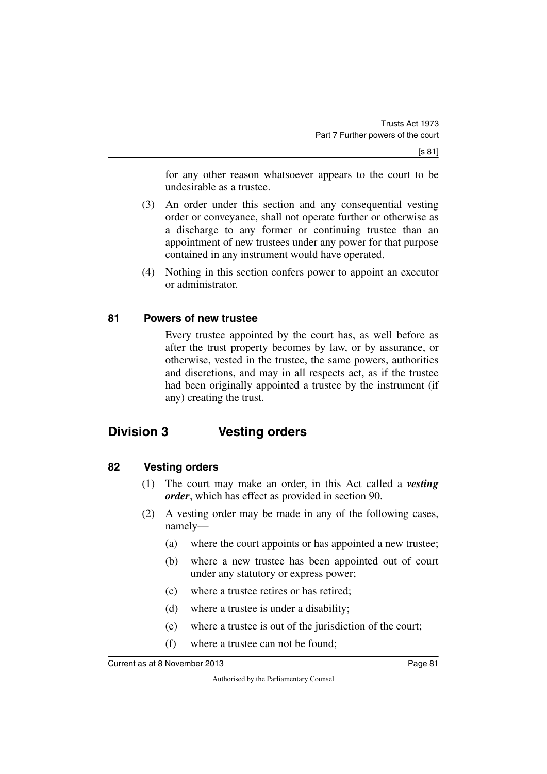for any other reason whatsoever appears to the court to be undesirable as a trustee.

- (3) An order under this section and any consequential vesting order or conveyance, shall not operate further or otherwise as a discharge to any former or continuing trustee than an appointment of new trustees under any power for that purpose contained in any instrument would have operated.
- (4) Nothing in this section confers power to appoint an executor or administrator.

#### **81 Powers of new trustee**

Every trustee appointed by the court has, as well before as after the trust property becomes by law, or by assurance, or otherwise, vested in the trustee, the same powers, authorities and discretions, and may in all respects act, as if the trustee had been originally appointed a trustee by the instrument (if any) creating the trust.

## **Division 3 Vesting orders**

#### **82 Vesting orders**

- (1) The court may make an order, in this Act called a *vesting order*, which has effect as provided in section 90.
- (2) A vesting order may be made in any of the following cases, namely—
	- (a) where the court appoints or has appointed a new trustee;
	- (b) where a new trustee has been appointed out of court under any statutory or express power;
	- (c) where a trustee retires or has retired;
	- (d) where a trustee is under a disability;
	- (e) where a trustee is out of the jurisdiction of the court;
	- (f) where a trustee can not be found;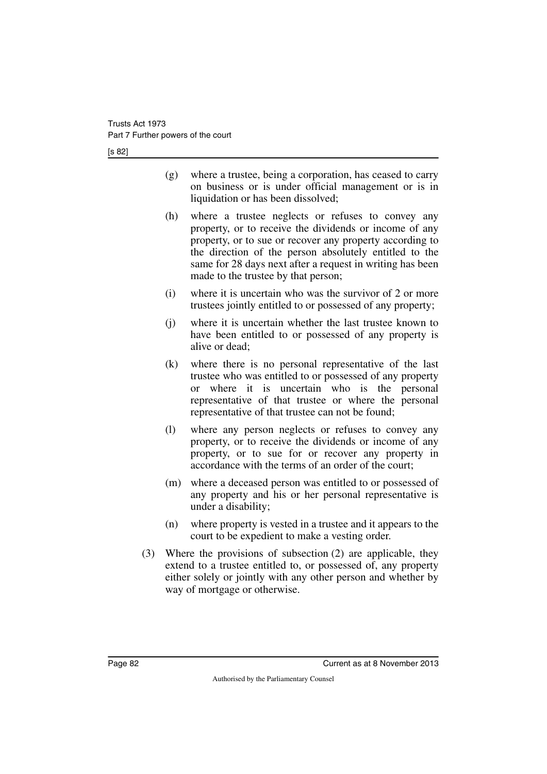[s 82]

- (g) where a trustee, being a corporation, has ceased to carry on business or is under official management or is in liquidation or has been dissolved;
- (h) where a trustee neglects or refuses to convey any property, or to receive the dividends or income of any property, or to sue or recover any property according to the direction of the person absolutely entitled to the same for 28 days next after a request in writing has been made to the trustee by that person;
- (i) where it is uncertain who was the survivor of 2 or more trustees jointly entitled to or possessed of any property;
- (j) where it is uncertain whether the last trustee known to have been entitled to or possessed of any property is alive or dead;
- (k) where there is no personal representative of the last trustee who was entitled to or possessed of any property or where it is uncertain who is the personal representative of that trustee or where the personal representative of that trustee can not be found;
- (l) where any person neglects or refuses to convey any property, or to receive the dividends or income of any property, or to sue for or recover any property in accordance with the terms of an order of the court;
- (m) where a deceased person was entitled to or possessed of any property and his or her personal representative is under a disability;
- (n) where property is vested in a trustee and it appears to the court to be expedient to make a vesting order.
- (3) Where the provisions of subsection (2) are applicable, they extend to a trustee entitled to, or possessed of, any property either solely or jointly with any other person and whether by way of mortgage or otherwise.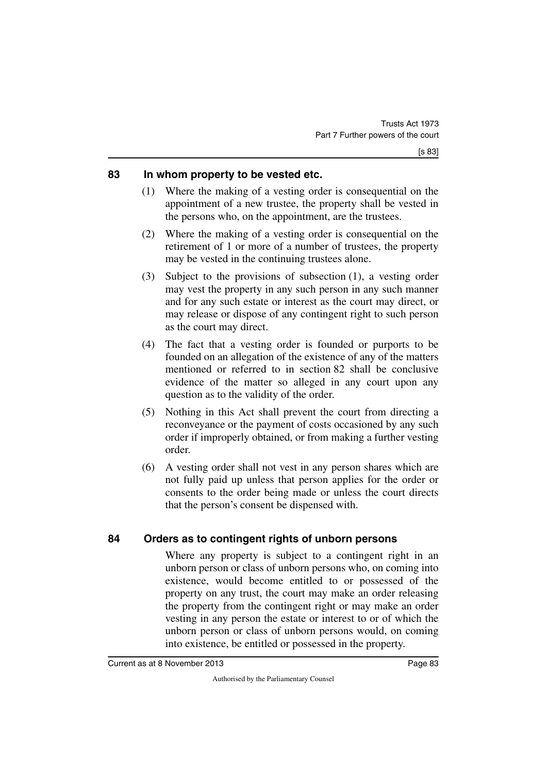#### **83 In whom property to be vested etc.**

- (1) Where the making of a vesting order is consequential on the appointment of a new trustee, the property shall be vested in the persons who, on the appointment, are the trustees.
- (2) Where the making of a vesting order is consequential on the retirement of 1 or more of a number of trustees, the property may be vested in the continuing trustees alone.
- (3) Subject to the provisions of subsection (1), a vesting order may vest the property in any such person in any such manner and for any such estate or interest as the court may direct, or may release or dispose of any contingent right to such person as the court may direct.
- (4) The fact that a vesting order is founded or purports to be founded on an allegation of the existence of any of the matters mentioned or referred to in section 82 shall be conclusive evidence of the matter so alleged in any court upon any question as to the validity of the order.
- (5) Nothing in this Act shall prevent the court from directing a reconveyance or the payment of costs occasioned by any such order if improperly obtained, or from making a further vesting order.
- (6) A vesting order shall not vest in any person shares which are not fully paid up unless that person applies for the order or consents to the order being made or unless the court directs that the person's consent be dispensed with.

## **84 Orders as to contingent rights of unborn persons**

Where any property is subject to a contingent right in an unborn person or class of unborn persons who, on coming into existence, would become entitled to or possessed of the property on any trust, the court may make an order releasing the property from the contingent right or may make an order vesting in any person the estate or interest to or of which the unborn person or class of unborn persons would, on coming into existence, be entitled or possessed in the property.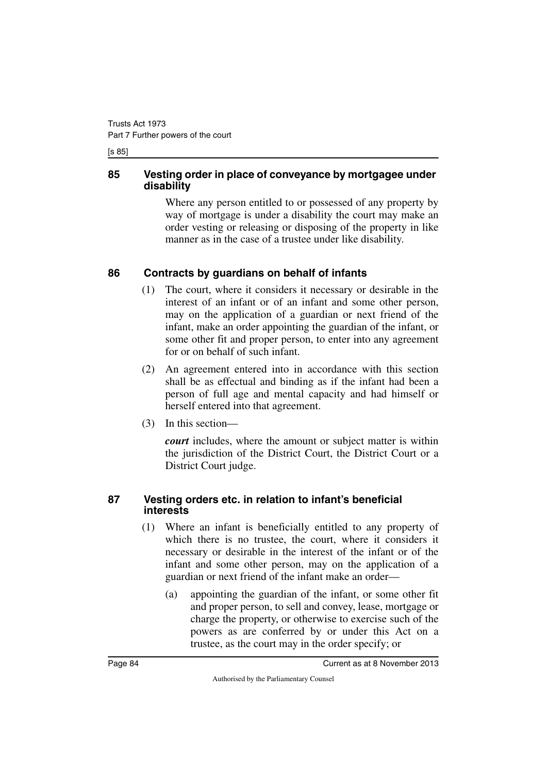[s 85]

#### **85 Vesting order in place of conveyance by mortgagee under disability**

Where any person entitled to or possessed of any property by way of mortgage is under a disability the court may make an order vesting or releasing or disposing of the property in like manner as in the case of a trustee under like disability.

## **86 Contracts by guardians on behalf of infants**

- (1) The court, where it considers it necessary or desirable in the interest of an infant or of an infant and some other person, may on the application of a guardian or next friend of the infant, make an order appointing the guardian of the infant, or some other fit and proper person, to enter into any agreement for or on behalf of such infant.
- (2) An agreement entered into in accordance with this section shall be as effectual and binding as if the infant had been a person of full age and mental capacity and had himself or herself entered into that agreement.
- (3) In this section—

*court* includes, where the amount or subject matter is within the jurisdiction of the District Court, the District Court or a District Court judge.

#### **87 Vesting orders etc. in relation to infant's beneficial interests**

- (1) Where an infant is beneficially entitled to any property of which there is no trustee, the court, where it considers it necessary or desirable in the interest of the infant or of the infant and some other person, may on the application of a guardian or next friend of the infant make an order—
	- (a) appointing the guardian of the infant, or some other fit and proper person, to sell and convey, lease, mortgage or charge the property, or otherwise to exercise such of the powers as are conferred by or under this Act on a trustee, as the court may in the order specify; or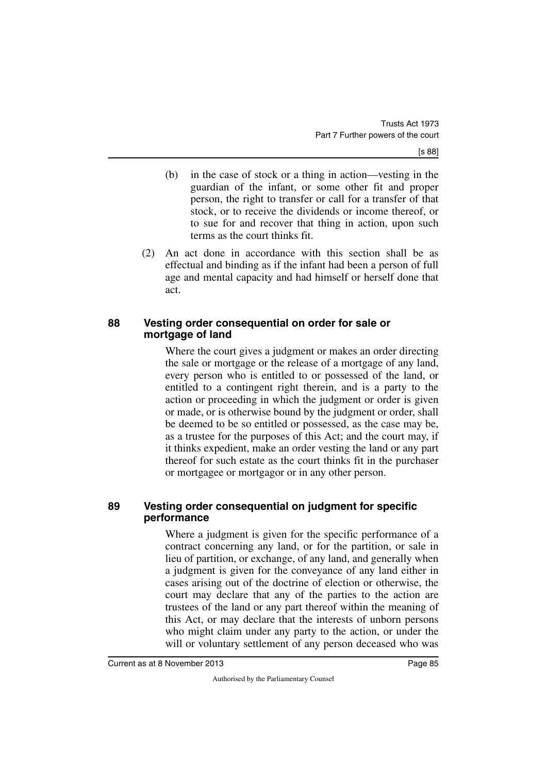- (b) in the case of stock or a thing in action—vesting in the guardian of the infant, or some other fit and proper person, the right to transfer or call for a transfer of that stock, or to receive the dividends or income thereof, or to sue for and recover that thing in action, upon such terms as the court thinks fit.
- (2) An act done in accordance with this section shall be as effectual and binding as if the infant had been a person of full age and mental capacity and had himself or herself done that act.

#### **88 Vesting order consequential on order for sale or mortgage of land**

Where the court gives a judgment or makes an order directing the sale or mortgage or the release of a mortgage of any land, every person who is entitled to or possessed of the land, or entitled to a contingent right therein, and is a party to the action or proceeding in which the judgment or order is given or made, or is otherwise bound by the judgment or order, shall be deemed to be so entitled or possessed, as the case may be, as a trustee for the purposes of this Act; and the court may, if it thinks expedient, make an order vesting the land or any part thereof for such estate as the court thinks fit in the purchaser or mortgagee or mortgagor or in any other person.

#### **89 Vesting order consequential on judgment for specific performance**

Where a judgment is given for the specific performance of a contract concerning any land, or for the partition, or sale in lieu of partition, or exchange, of any land, and generally when a judgment is given for the conveyance of any land either in cases arising out of the doctrine of election or otherwise, the court may declare that any of the parties to the action are trustees of the land or any part thereof within the meaning of this Act, or may declare that the interests of unborn persons who might claim under any party to the action, or under the will or voluntary settlement of any person deceased who was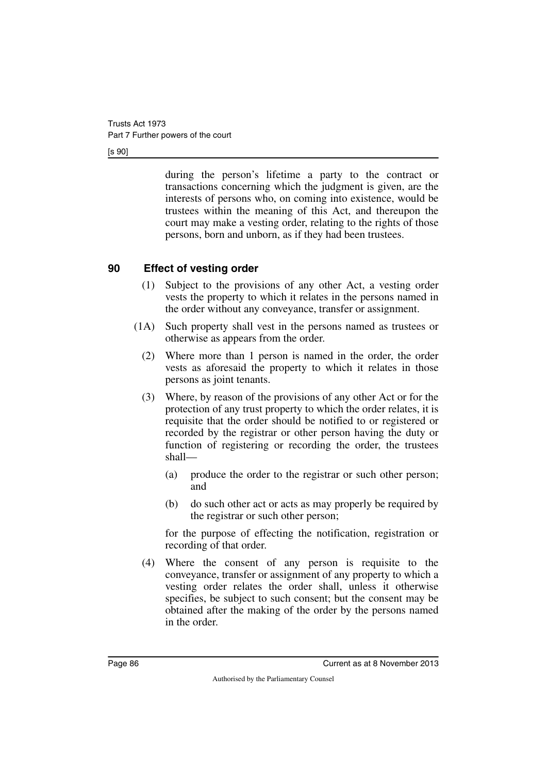[s 90]

during the person's lifetime a party to the contract or transactions concerning which the judgment is given, are the interests of persons who, on coming into existence, would be trustees within the meaning of this Act, and thereupon the court may make a vesting order, relating to the rights of those persons, born and unborn, as if they had been trustees.

## **90 Effect of vesting order**

- (1) Subject to the provisions of any other Act, a vesting order vests the property to which it relates in the persons named in the order without any conveyance, transfer or assignment.
- (1A) Such property shall vest in the persons named as trustees or otherwise as appears from the order.
	- (2) Where more than 1 person is named in the order, the order vests as aforesaid the property to which it relates in those persons as joint tenants.
	- (3) Where, by reason of the provisions of any other Act or for the protection of any trust property to which the order relates, it is requisite that the order should be notified to or registered or recorded by the registrar or other person having the duty or function of registering or recording the order, the trustees shall—
		- (a) produce the order to the registrar or such other person; and
		- (b) do such other act or acts as may properly be required by the registrar or such other person;

for the purpose of effecting the notification, registration or recording of that order.

(4) Where the consent of any person is requisite to the conveyance, transfer or assignment of any property to which a vesting order relates the order shall, unless it otherwise specifies, be subject to such consent; but the consent may be obtained after the making of the order by the persons named in the order.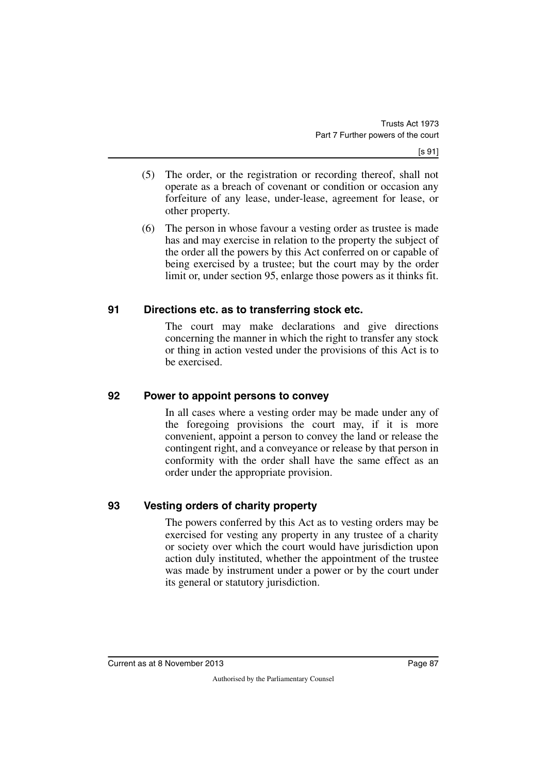- (5) The order, or the registration or recording thereof, shall not operate as a breach of covenant or condition or occasion any forfeiture of any lease, under-lease, agreement for lease, or other property.
- (6) The person in whose favour a vesting order as trustee is made has and may exercise in relation to the property the subject of the order all the powers by this Act conferred on or capable of being exercised by a trustee; but the court may by the order limit or, under section 95, enlarge those powers as it thinks fit.

#### **91 Directions etc. as to transferring stock etc.**

The court may make declarations and give directions concerning the manner in which the right to transfer any stock or thing in action vested under the provisions of this Act is to be exercised.

## **92 Power to appoint persons to convey**

In all cases where a vesting order may be made under any of the foregoing provisions the court may, if it is more convenient, appoint a person to convey the land or release the contingent right, and a conveyance or release by that person in conformity with the order shall have the same effect as an order under the appropriate provision.

## **93 Vesting orders of charity property**

The powers conferred by this Act as to vesting orders may be exercised for vesting any property in any trustee of a charity or society over which the court would have jurisdiction upon action duly instituted, whether the appointment of the trustee was made by instrument under a power or by the court under its general or statutory jurisdiction.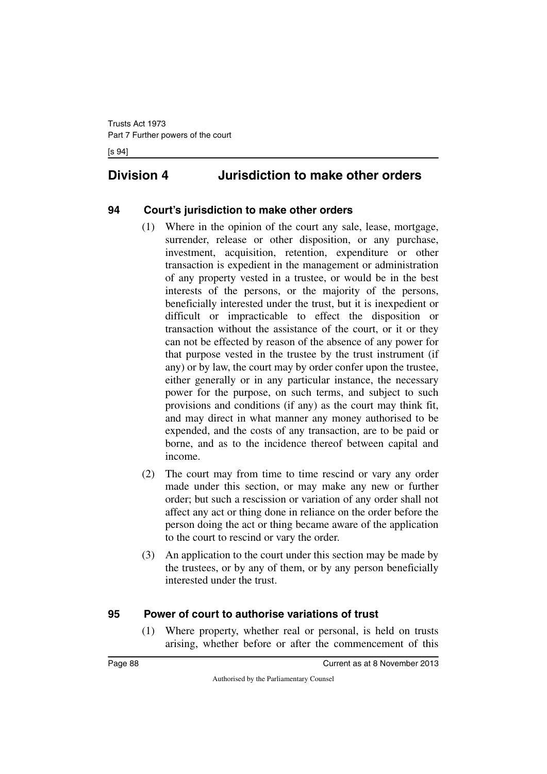# **Division 4 Jurisdiction to make other orders**

## **94 Court's jurisdiction to make other orders**

- (1) Where in the opinion of the court any sale, lease, mortgage, surrender, release or other disposition, or any purchase, investment, acquisition, retention, expenditure or other transaction is expedient in the management or administration of any property vested in a trustee, or would be in the best interests of the persons, or the majority of the persons, beneficially interested under the trust, but it is inexpedient or difficult or impracticable to effect the disposition or transaction without the assistance of the court, or it or they can not be effected by reason of the absence of any power for that purpose vested in the trustee by the trust instrument (if any) or by law, the court may by order confer upon the trustee, either generally or in any particular instance, the necessary power for the purpose, on such terms, and subject to such provisions and conditions (if any) as the court may think fit, and may direct in what manner any money authorised to be expended, and the costs of any transaction, are to be paid or borne, and as to the incidence thereof between capital and income.
- (2) The court may from time to time rescind or vary any order made under this section, or may make any new or further order; but such a rescission or variation of any order shall not affect any act or thing done in reliance on the order before the person doing the act or thing became aware of the application to the court to rescind or vary the order.
- (3) An application to the court under this section may be made by the trustees, or by any of them, or by any person beneficially interested under the trust.

## **95 Power of court to authorise variations of trust**

(1) Where property, whether real or personal, is held on trusts arising, whether before or after the commencement of this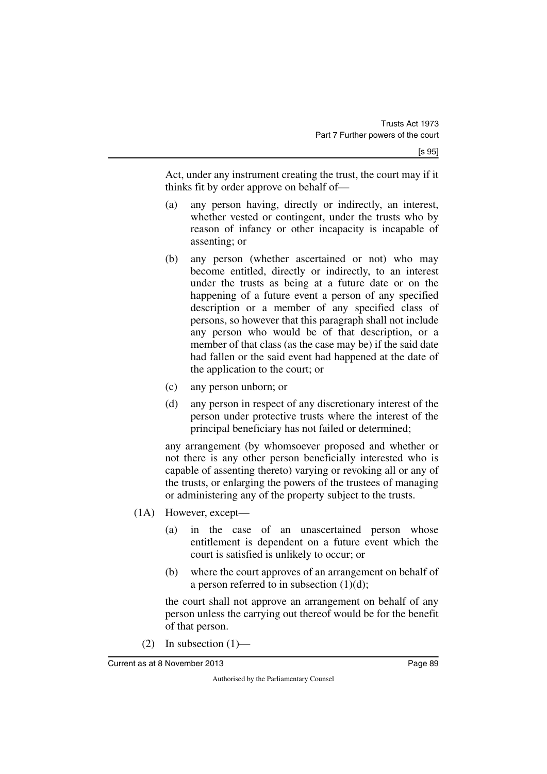Act, under any instrument creating the trust, the court may if it thinks fit by order approve on behalf of—

- (a) any person having, directly or indirectly, an interest, whether vested or contingent, under the trusts who by reason of infancy or other incapacity is incapable of assenting; or
- (b) any person (whether ascertained or not) who may become entitled, directly or indirectly, to an interest under the trusts as being at a future date or on the happening of a future event a person of any specified description or a member of any specified class of persons, so however that this paragraph shall not include any person who would be of that description, or a member of that class (as the case may be) if the said date had fallen or the said event had happened at the date of the application to the court; or
- (c) any person unborn; or
- (d) any person in respect of any discretionary interest of the person under protective trusts where the interest of the principal beneficiary has not failed or determined;

any arrangement (by whomsoever proposed and whether or not there is any other person beneficially interested who is capable of assenting thereto) varying or revoking all or any of the trusts, or enlarging the powers of the trustees of managing or administering any of the property subject to the trusts.

- (1A) However, except—
	- (a) in the case of an unascertained person whose entitlement is dependent on a future event which the court is satisfied is unlikely to occur; or
	- (b) where the court approves of an arrangement on behalf of a person referred to in subsection  $(1)(d)$ ;

the court shall not approve an arrangement on behalf of any person unless the carrying out thereof would be for the benefit of that person.

(2) In subsection  $(1)$ —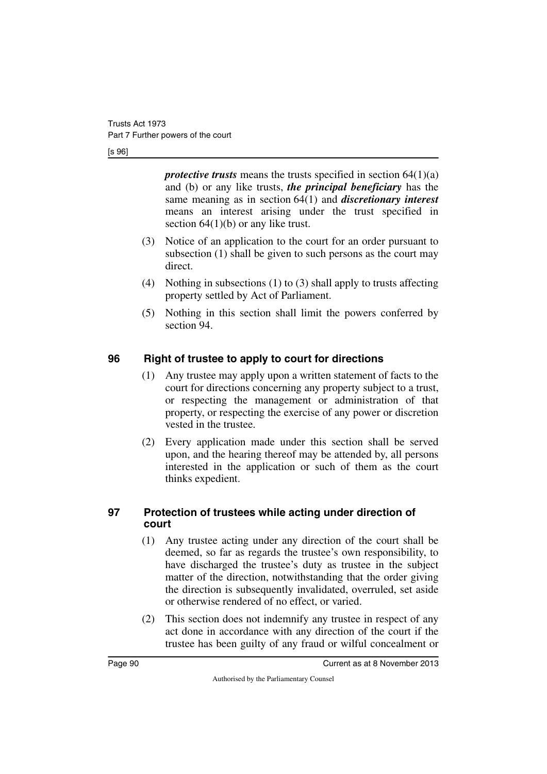[s 96]

*protective trusts* means the trusts specified in section 64(1)(a) and (b) or any like trusts, *the principal beneficiary* has the same meaning as in section 64(1) and *discretionary interest* means an interest arising under the trust specified in section 64(1)(b) or any like trust.

- (3) Notice of an application to the court for an order pursuant to subsection (1) shall be given to such persons as the court may direct.
- (4) Nothing in subsections (1) to (3) shall apply to trusts affecting property settled by Act of Parliament.
- (5) Nothing in this section shall limit the powers conferred by section 94.

## **96 Right of trustee to apply to court for directions**

- (1) Any trustee may apply upon a written statement of facts to the court for directions concerning any property subject to a trust, or respecting the management or administration of that property, or respecting the exercise of any power or discretion vested in the trustee.
- (2) Every application made under this section shall be served upon, and the hearing thereof may be attended by, all persons interested in the application or such of them as the court thinks expedient.

## **97 Protection of trustees while acting under direction of court**

- (1) Any trustee acting under any direction of the court shall be deemed, so far as regards the trustee's own responsibility, to have discharged the trustee's duty as trustee in the subject matter of the direction, notwithstanding that the order giving the direction is subsequently invalidated, overruled, set aside or otherwise rendered of no effect, or varied.
- (2) This section does not indemnify any trustee in respect of any act done in accordance with any direction of the court if the trustee has been guilty of any fraud or wilful concealment or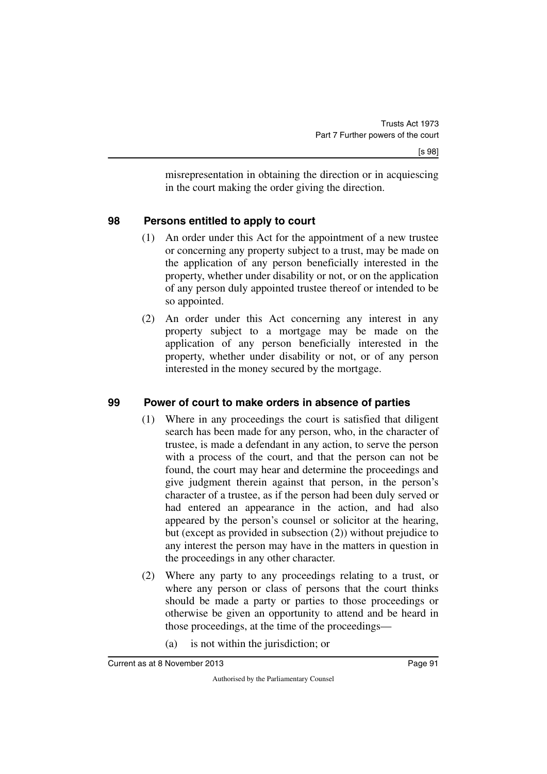misrepresentation in obtaining the direction or in acquiescing in the court making the order giving the direction.

## **98 Persons entitled to apply to court**

- (1) An order under this Act for the appointment of a new trustee or concerning any property subject to a trust, may be made on the application of any person beneficially interested in the property, whether under disability or not, or on the application of any person duly appointed trustee thereof or intended to be so appointed.
- (2) An order under this Act concerning any interest in any property subject to a mortgage may be made on the application of any person beneficially interested in the property, whether under disability or not, or of any person interested in the money secured by the mortgage.

## **99 Power of court to make orders in absence of parties**

- (1) Where in any proceedings the court is satisfied that diligent search has been made for any person, who, in the character of trustee, is made a defendant in any action, to serve the person with a process of the court, and that the person can not be found, the court may hear and determine the proceedings and give judgment therein against that person, in the person's character of a trustee, as if the person had been duly served or had entered an appearance in the action, and had also appeared by the person's counsel or solicitor at the hearing, but (except as provided in subsection (2)) without prejudice to any interest the person may have in the matters in question in the proceedings in any other character.
- (2) Where any party to any proceedings relating to a trust, or where any person or class of persons that the court thinks should be made a party or parties to those proceedings or otherwise be given an opportunity to attend and be heard in those proceedings, at the time of the proceedings—
	- (a) is not within the jurisdiction; or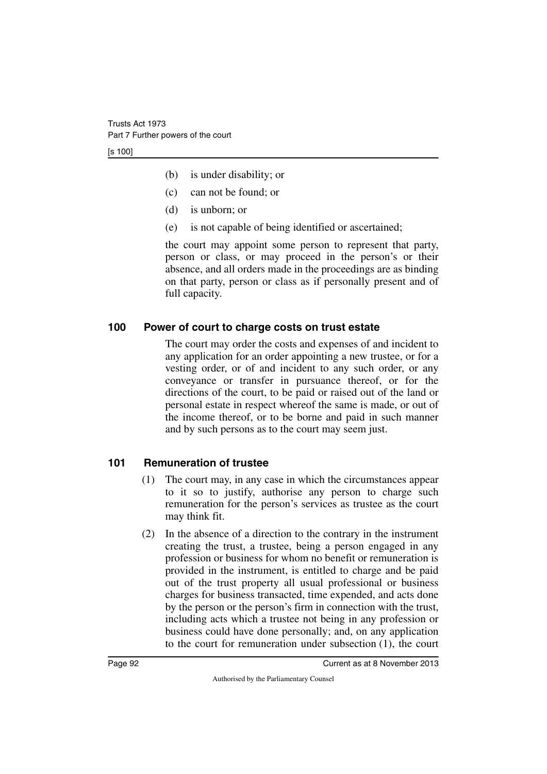[s 100]

- (b) is under disability; or
- (c) can not be found; or
- (d) is unborn; or
- (e) is not capable of being identified or ascertained;

the court may appoint some person to represent that party, person or class, or may proceed in the person's or their absence, and all orders made in the proceedings are as binding on that party, person or class as if personally present and of full capacity.

#### **100 Power of court to charge costs on trust estate**

The court may order the costs and expenses of and incident to any application for an order appointing a new trustee, or for a vesting order, or of and incident to any such order, or any conveyance or transfer in pursuance thereof, or for the directions of the court, to be paid or raised out of the land or personal estate in respect whereof the same is made, or out of the income thereof, or to be borne and paid in such manner and by such persons as to the court may seem just.

## **101 Remuneration of trustee**

- (1) The court may, in any case in which the circumstances appear to it so to justify, authorise any person to charge such remuneration for the person's services as trustee as the court may think fit.
- (2) In the absence of a direction to the contrary in the instrument creating the trust, a trustee, being a person engaged in any profession or business for whom no benefit or remuneration is provided in the instrument, is entitled to charge and be paid out of the trust property all usual professional or business charges for business transacted, time expended, and acts done by the person or the person's firm in connection with the trust, including acts which a trustee not being in any profession or business could have done personally; and, on any application to the court for remuneration under subsection (1), the court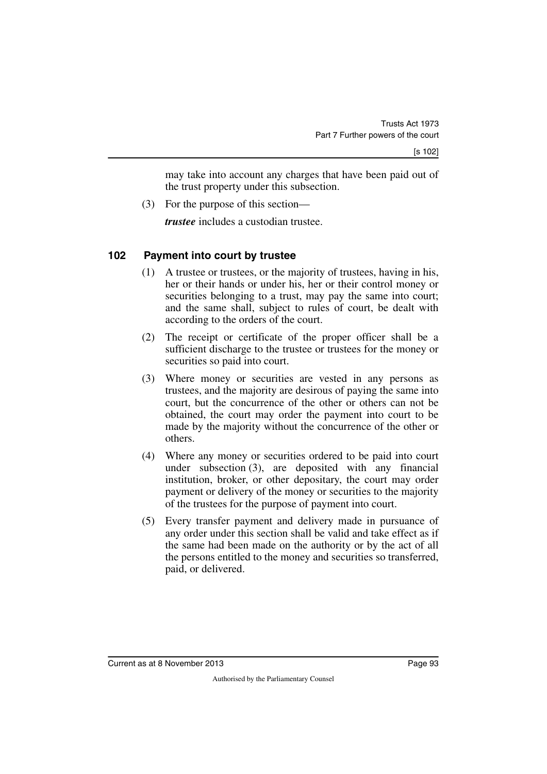may take into account any charges that have been paid out of the trust property under this subsection.

(3) For the purpose of this section—

*trustee* includes a custodian trustee.

## **102 Payment into court by trustee**

- (1) A trustee or trustees, or the majority of trustees, having in his, her or their hands or under his, her or their control money or securities belonging to a trust, may pay the same into court; and the same shall, subject to rules of court, be dealt with according to the orders of the court.
- (2) The receipt or certificate of the proper officer shall be a sufficient discharge to the trustee or trustees for the money or securities so paid into court.
- (3) Where money or securities are vested in any persons as trustees, and the majority are desirous of paying the same into court, but the concurrence of the other or others can not be obtained, the court may order the payment into court to be made by the majority without the concurrence of the other or others.
- (4) Where any money or securities ordered to be paid into court under subsection (3), are deposited with any financial institution, broker, or other depositary, the court may order payment or delivery of the money or securities to the majority of the trustees for the purpose of payment into court.
- (5) Every transfer payment and delivery made in pursuance of any order under this section shall be valid and take effect as if the same had been made on the authority or by the act of all the persons entitled to the money and securities so transferred, paid, or delivered.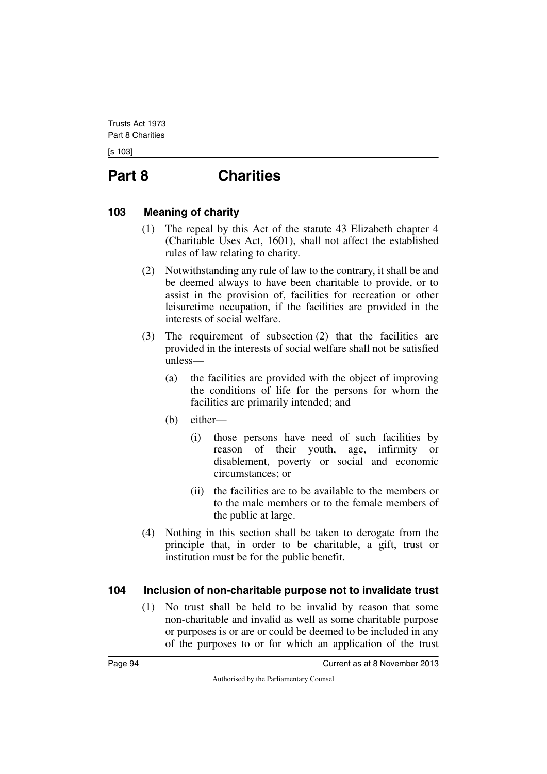[s 103]

# **Part 8 Charities**

#### **103 Meaning of charity**

- (1) The repeal by this Act of the statute 43 Elizabeth chapter 4 (Charitable Uses Act, 1601), shall not affect the established rules of law relating to charity.
- (2) Notwithstanding any rule of law to the contrary, it shall be and be deemed always to have been charitable to provide, or to assist in the provision of, facilities for recreation or other leisuretime occupation, if the facilities are provided in the interests of social welfare.
- (3) The requirement of subsection (2) that the facilities are provided in the interests of social welfare shall not be satisfied unless—
	- (a) the facilities are provided with the object of improving the conditions of life for the persons for whom the facilities are primarily intended; and
	- (b) either—
		- (i) those persons have need of such facilities by reason of their youth, age, infirmity or disablement, poverty or social and economic circumstances; or
		- (ii) the facilities are to be available to the members or to the male members or to the female members of the public at large.
- (4) Nothing in this section shall be taken to derogate from the principle that, in order to be charitable, a gift, trust or institution must be for the public benefit.

## **104 Inclusion of non-charitable purpose not to invalidate trust**

(1) No trust shall be held to be invalid by reason that some non-charitable and invalid as well as some charitable purpose or purposes is or are or could be deemed to be included in any of the purposes to or for which an application of the trust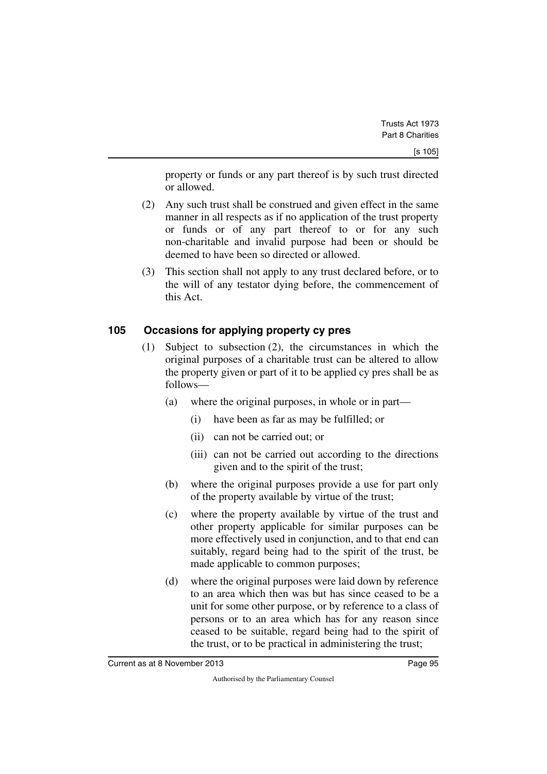property or funds or any part thereof is by such trust directed or allowed.

- (2) Any such trust shall be construed and given effect in the same manner in all respects as if no application of the trust property or funds or of any part thereof to or for any such non-charitable and invalid purpose had been or should be deemed to have been so directed or allowed.
- (3) This section shall not apply to any trust declared before, or to the will of any testator dying before, the commencement of this Act.

## **105 Occasions for applying property cy pres**

- (1) Subject to subsection (2), the circumstances in which the original purposes of a charitable trust can be altered to allow the property given or part of it to be applied cy pres shall be as follows—
	- (a) where the original purposes, in whole or in part—
		- (i) have been as far as may be fulfilled; or
		- (ii) can not be carried out; or
		- (iii) can not be carried out according to the directions given and to the spirit of the trust;
	- (b) where the original purposes provide a use for part only of the property available by virtue of the trust;
	- (c) where the property available by virtue of the trust and other property applicable for similar purposes can be more effectively used in conjunction, and to that end can suitably, regard being had to the spirit of the trust, be made applicable to common purposes;
	- (d) where the original purposes were laid down by reference to an area which then was but has since ceased to be a unit for some other purpose, or by reference to a class of persons or to an area which has for any reason since ceased to be suitable, regard being had to the spirit of the trust, or to be practical in administering the trust;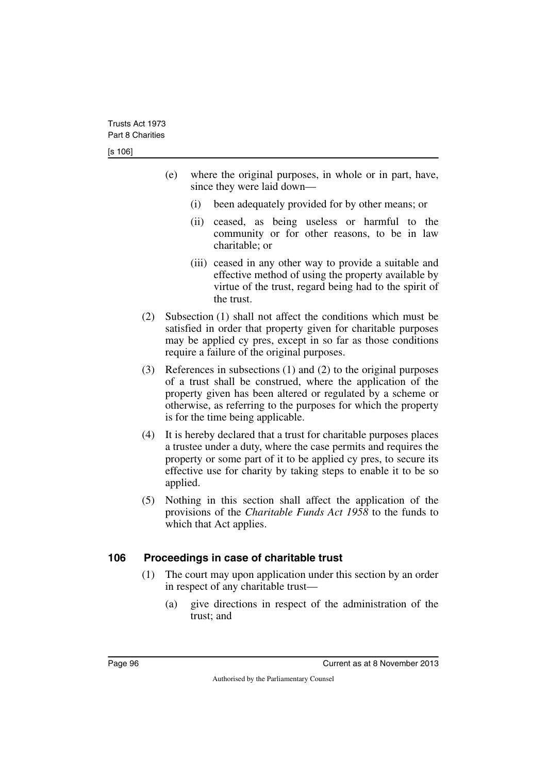- (e) where the original purposes, in whole or in part, have, since they were laid down—
	- (i) been adequately provided for by other means; or
	- (ii) ceased, as being useless or harmful to the community or for other reasons, to be in law charitable; or
	- (iii) ceased in any other way to provide a suitable and effective method of using the property available by virtue of the trust, regard being had to the spirit of the trust.
- (2) Subsection (1) shall not affect the conditions which must be satisfied in order that property given for charitable purposes may be applied cy pres, except in so far as those conditions require a failure of the original purposes.
- (3) References in subsections (1) and (2) to the original purposes of a trust shall be construed, where the application of the property given has been altered or regulated by a scheme or otherwise, as referring to the purposes for which the property is for the time being applicable.
- (4) It is hereby declared that a trust for charitable purposes places a trustee under a duty, where the case permits and requires the property or some part of it to be applied cy pres, to secure its effective use for charity by taking steps to enable it to be so applied.
- (5) Nothing in this section shall affect the application of the provisions of the *Charitable Funds Act 1958* to the funds to which that Act applies.

## **106 Proceedings in case of charitable trust**

- (1) The court may upon application under this section by an order in respect of any charitable trust—
	- (a) give directions in respect of the administration of the trust; and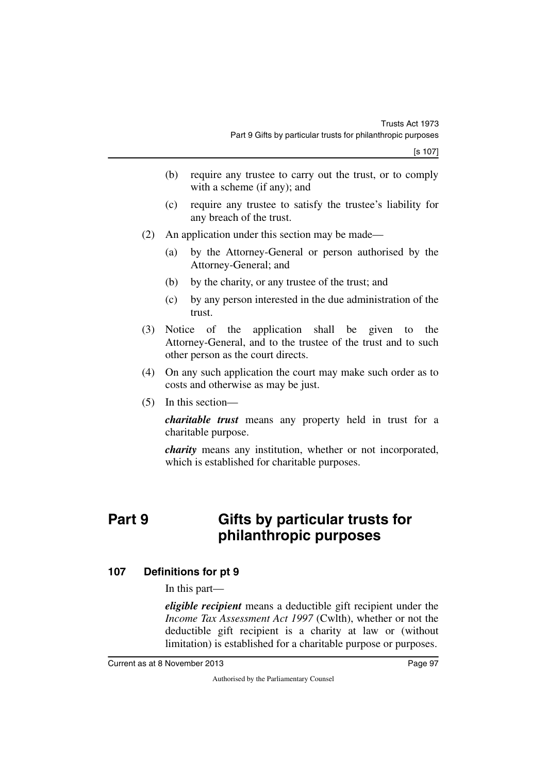- (b) require any trustee to carry out the trust, or to comply with a scheme (if any); and
- (c) require any trustee to satisfy the trustee's liability for any breach of the trust.
- (2) An application under this section may be made—
	- (a) by the Attorney-General or person authorised by the Attorney-General; and
	- (b) by the charity, or any trustee of the trust; and
	- (c) by any person interested in the due administration of the trust.
- (3) Notice of the application shall be given to the Attorney-General, and to the trustee of the trust and to such other person as the court directs.
- (4) On any such application the court may make such order as to costs and otherwise as may be just.
- (5) In this section—

*charitable trust* means any property held in trust for a charitable purpose.

*charity* means any institution, whether or not incorporated, which is established for charitable purposes.

# **Part 9 Gifts by particular trusts for philanthropic purposes**

## **107 Definitions for pt 9**

In this part—

*eligible recipient* means a deductible gift recipient under the *Income Tax Assessment Act 1997* (Cwlth), whether or not the deductible gift recipient is a charity at law or (without limitation) is established for a charitable purpose or purposes.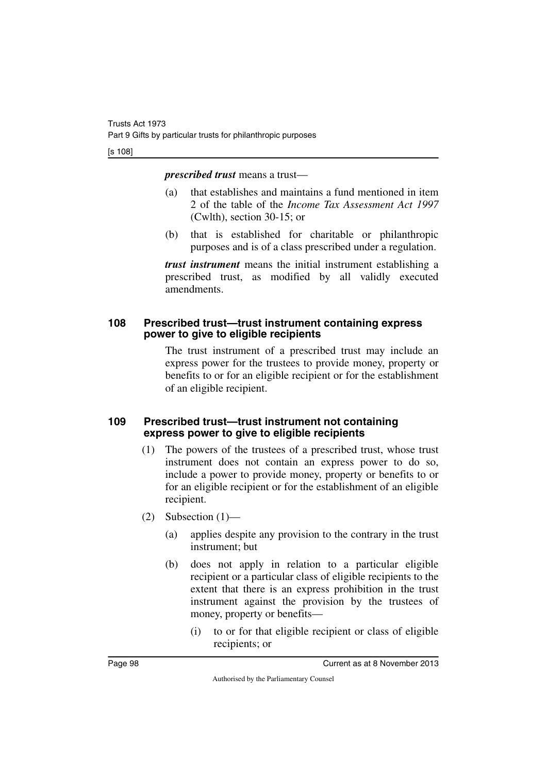#### [s 108]

*prescribed trust* means a trust—

- (a) that establishes and maintains a fund mentioned in item 2 of the table of the *Income Tax Assessment Act 1997* (Cwlth), section 30-15; or
- (b) that is established for charitable or philanthropic purposes and is of a class prescribed under a regulation.

*trust instrument* means the initial instrument establishing a prescribed trust, as modified by all validly executed amendments.

#### **108 Prescribed trust—trust instrument containing express power to give to eligible recipients**

The trust instrument of a prescribed trust may include an express power for the trustees to provide money, property or benefits to or for an eligible recipient or for the establishment of an eligible recipient.

## **109 Prescribed trust—trust instrument not containing express power to give to eligible recipients**

- (1) The powers of the trustees of a prescribed trust, whose trust instrument does not contain an express power to do so, include a power to provide money, property or benefits to or for an eligible recipient or for the establishment of an eligible recipient.
- $(2)$  Subsection  $(1)$ 
	- (a) applies despite any provision to the contrary in the trust instrument; but
	- (b) does not apply in relation to a particular eligible recipient or a particular class of eligible recipients to the extent that there is an express prohibition in the trust instrument against the provision by the trustees of money, property or benefits—
		- (i) to or for that eligible recipient or class of eligible recipients; or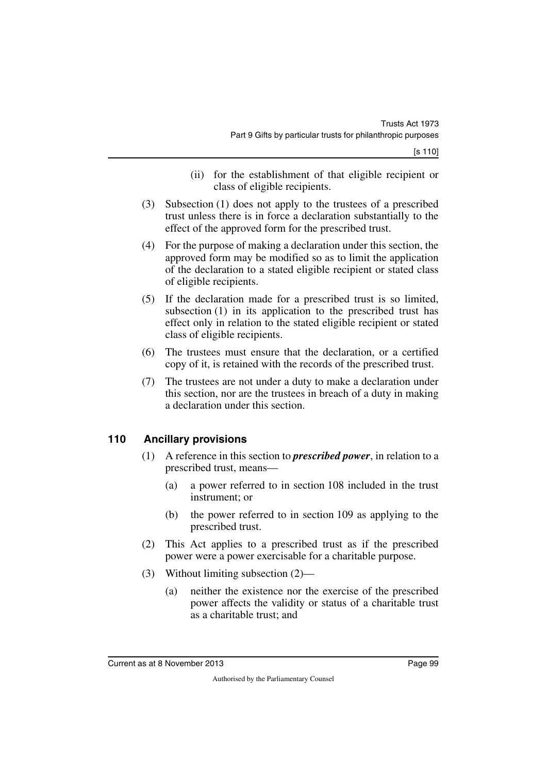- (ii) for the establishment of that eligible recipient or class of eligible recipients.
- (3) Subsection (1) does not apply to the trustees of a prescribed trust unless there is in force a declaration substantially to the effect of the approved form for the prescribed trust.
- (4) For the purpose of making a declaration under this section, the approved form may be modified so as to limit the application of the declaration to a stated eligible recipient or stated class of eligible recipients.
- (5) If the declaration made for a prescribed trust is so limited, subsection (1) in its application to the prescribed trust has effect only in relation to the stated eligible recipient or stated class of eligible recipients.
- (6) The trustees must ensure that the declaration, or a certified copy of it, is retained with the records of the prescribed trust.
- (7) The trustees are not under a duty to make a declaration under this section, nor are the trustees in breach of a duty in making a declaration under this section.

## **110 Ancillary provisions**

- (1) A reference in this section to *prescribed power*, in relation to a prescribed trust, means—
	- (a) a power referred to in section 108 included in the trust instrument; or
	- (b) the power referred to in section 109 as applying to the prescribed trust.
- (2) This Act applies to a prescribed trust as if the prescribed power were a power exercisable for a charitable purpose.
- (3) Without limiting subsection (2)—
	- (a) neither the existence nor the exercise of the prescribed power affects the validity or status of a charitable trust as a charitable trust; and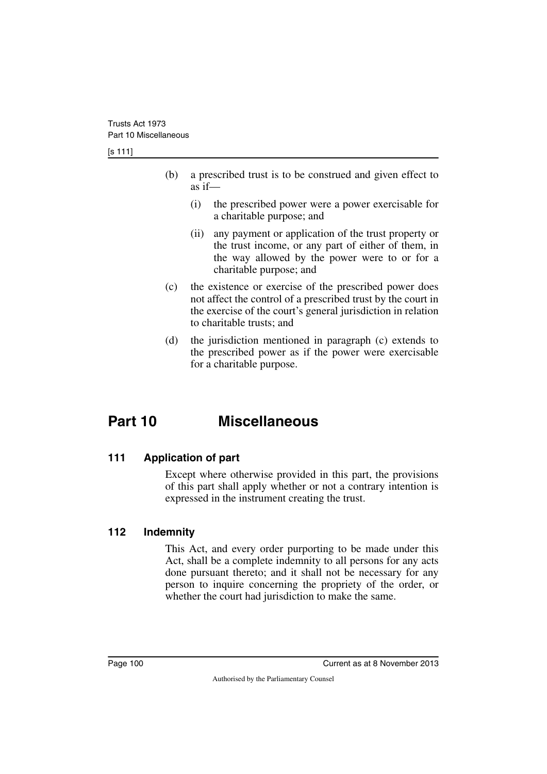[s 111]

- (b) a prescribed trust is to be construed and given effect to as if—
	- (i) the prescribed power were a power exercisable for a charitable purpose; and
	- (ii) any payment or application of the trust property or the trust income, or any part of either of them, in the way allowed by the power were to or for a charitable purpose; and
- (c) the existence or exercise of the prescribed power does not affect the control of a prescribed trust by the court in the exercise of the court's general jurisdiction in relation to charitable trusts; and
- (d) the jurisdiction mentioned in paragraph (c) extends to the prescribed power as if the power were exercisable for a charitable purpose.

# **Part 10 Miscellaneous**

## **111 Application of part**

Except where otherwise provided in this part, the provisions of this part shall apply whether or not a contrary intention is expressed in the instrument creating the trust.

## **112 Indemnity**

This Act, and every order purporting to be made under this Act, shall be a complete indemnity to all persons for any acts done pursuant thereto; and it shall not be necessary for any person to inquire concerning the propriety of the order, or whether the court had jurisdiction to make the same.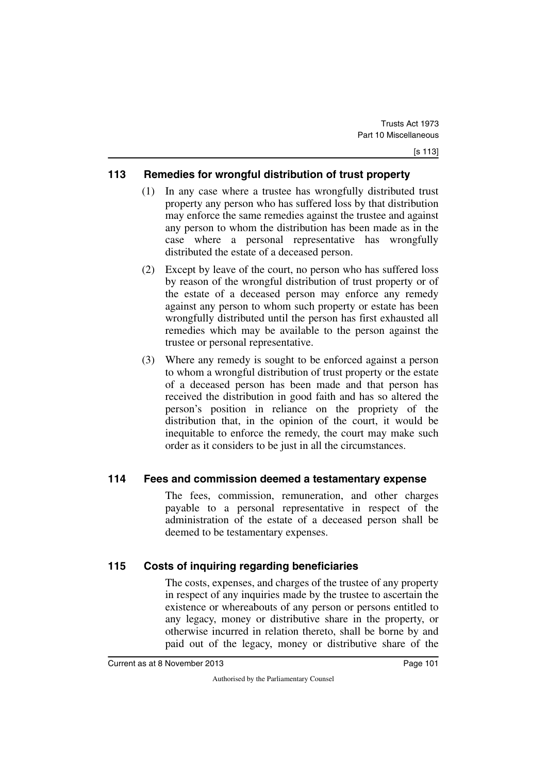## **113 Remedies for wrongful distribution of trust property**

- (1) In any case where a trustee has wrongfully distributed trust property any person who has suffered loss by that distribution may enforce the same remedies against the trustee and against any person to whom the distribution has been made as in the case where a personal representative has wrongfully distributed the estate of a deceased person.
- (2) Except by leave of the court, no person who has suffered loss by reason of the wrongful distribution of trust property or of the estate of a deceased person may enforce any remedy against any person to whom such property or estate has been wrongfully distributed until the person has first exhausted all remedies which may be available to the person against the trustee or personal representative.
- (3) Where any remedy is sought to be enforced against a person to whom a wrongful distribution of trust property or the estate of a deceased person has been made and that person has received the distribution in good faith and has so altered the person's position in reliance on the propriety of the distribution that, in the opinion of the court, it would be inequitable to enforce the remedy, the court may make such order as it considers to be just in all the circumstances.

## **114 Fees and commission deemed a testamentary expense**

The fees, commission, remuneration, and other charges payable to a personal representative in respect of the administration of the estate of a deceased person shall be deemed to be testamentary expenses.

## **115 Costs of inquiring regarding beneficiaries**

The costs, expenses, and charges of the trustee of any property in respect of any inquiries made by the trustee to ascertain the existence or whereabouts of any person or persons entitled to any legacy, money or distributive share in the property, or otherwise incurred in relation thereto, shall be borne by and paid out of the legacy, money or distributive share of the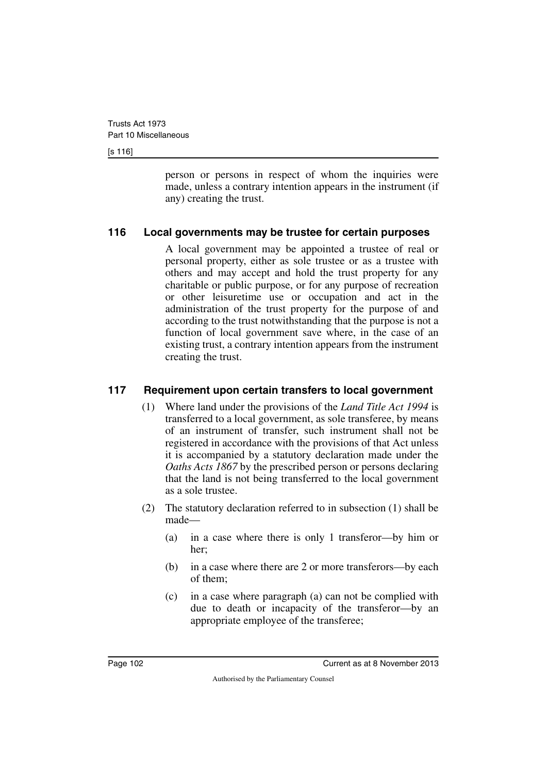[s 116]

person or persons in respect of whom the inquiries were made, unless a contrary intention appears in the instrument (if any) creating the trust.

## **116 Local governments may be trustee for certain purposes**

A local government may be appointed a trustee of real or personal property, either as sole trustee or as a trustee with others and may accept and hold the trust property for any charitable or public purpose, or for any purpose of recreation or other leisuretime use or occupation and act in the administration of the trust property for the purpose of and according to the trust notwithstanding that the purpose is not a function of local government save where, in the case of an existing trust, a contrary intention appears from the instrument creating the trust.

## **117 Requirement upon certain transfers to local government**

- (1) Where land under the provisions of the *Land Title Act 1994* is transferred to a local government, as sole transferee, by means of an instrument of transfer, such instrument shall not be registered in accordance with the provisions of that Act unless it is accompanied by a statutory declaration made under the *Oaths Acts 1867* by the prescribed person or persons declaring that the land is not being transferred to the local government as a sole trustee.
- (2) The statutory declaration referred to in subsection (1) shall be made—
	- (a) in a case where there is only 1 transferor—by him or her;
	- (b) in a case where there are 2 or more transferors—by each of them;
	- (c) in a case where paragraph (a) can not be complied with due to death or incapacity of the transferor—by an appropriate employee of the transferee;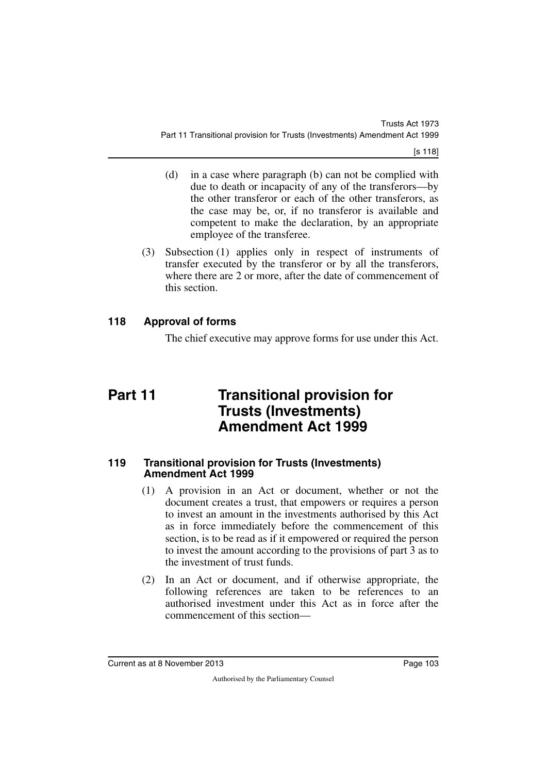[s 118]

- (d) in a case where paragraph (b) can not be complied with due to death or incapacity of any of the transferors—by the other transferor or each of the other transferors, as the case may be, or, if no transferor is available and competent to make the declaration, by an appropriate employee of the transferee.
- (3) Subsection (1) applies only in respect of instruments of transfer executed by the transferor or by all the transferors, where there are 2 or more, after the date of commencement of this section.

## **118 Approval of forms**

The chief executive may approve forms for use under this Act.

# **Part 11 Transitional provision for Trusts (Investments) Amendment Act 1999**

#### **119 Transitional provision for Trusts (Investments) Amendment Act 1999**

- (1) A provision in an Act or document, whether or not the document creates a trust, that empowers or requires a person to invest an amount in the investments authorised by this Act as in force immediately before the commencement of this section, is to be read as if it empowered or required the person to invest the amount according to the provisions of part 3 as to the investment of trust funds.
- (2) In an Act or document, and if otherwise appropriate, the following references are taken to be references to an authorised investment under this Act as in force after the commencement of this section—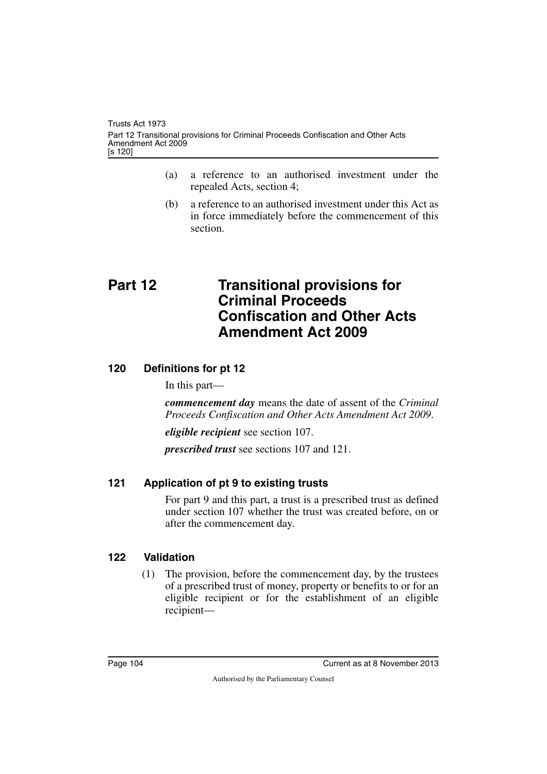- (a) a reference to an authorised investment under the repealed Acts, section 4;
- (b) a reference to an authorised investment under this Act as in force immediately before the commencement of this section.

# **Part 12 Transitional provisions for Criminal Proceeds Confiscation and Other Acts Amendment Act 2009**

## **120 Definitions for pt 12**

In this part—

*commencement day* means the date of assent of the *Criminal Proceeds Confiscation and Other Acts Amendment Act 2009*.

*eligible recipient* see section 107.

*prescribed trust* see sections 107 and 121.

## **121 Application of pt 9 to existing trusts**

For part 9 and this part, a trust is a prescribed trust as defined under section 107 whether the trust was created before, on or after the commencement day.

## **122 Validation**

(1) The provision, before the commencement day, by the trustees of a prescribed trust of money, property or benefits to or for an eligible recipient or for the establishment of an eligible recipient—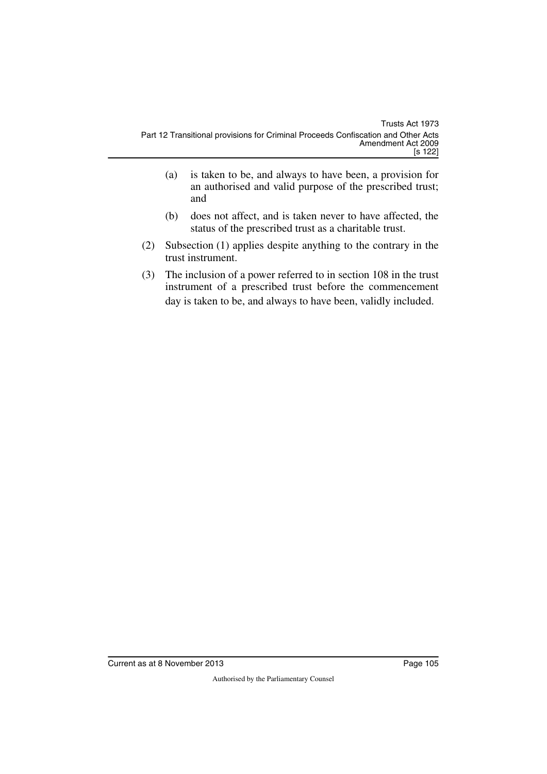- (a) is taken to be, and always to have been, a provision for an authorised and valid purpose of the prescribed trust; and
- (b) does not affect, and is taken never to have affected, the status of the prescribed trust as a charitable trust.
- (2) Subsection (1) applies despite anything to the contrary in the trust instrument.
- (3) The inclusion of a power referred to in section 108 in the trust instrument of a prescribed trust before the commencement day is taken to be, and always to have been, validly included.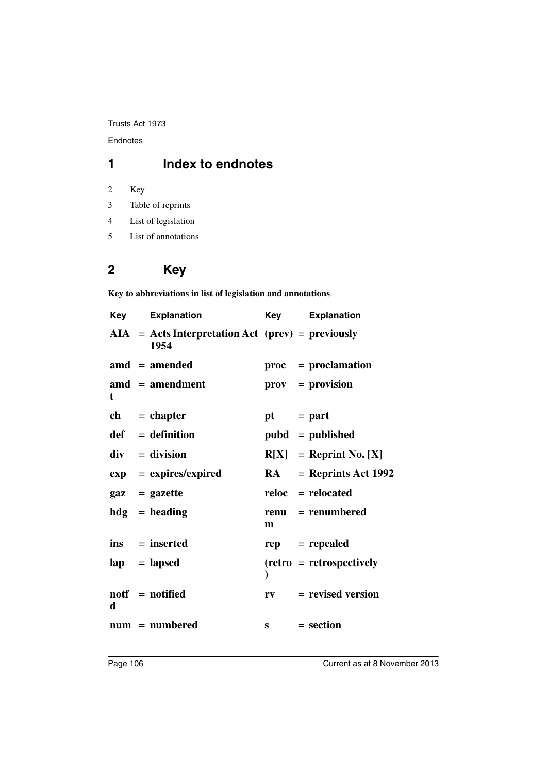Endnotes

## **1 Index to endnotes**

2 Key

- 3 Table of reprints
- 4 List of legislation
- 5 List of annotations

# **2 Key**

**Key to abbreviations in list of legislation and annotations**

| Key | <b>Explanation</b>                                          | Key          | <b>Explanation</b>              |
|-----|-------------------------------------------------------------|--------------|---------------------------------|
|     | $AIA = Acts Interpretation Act (prev) = previously$<br>1954 |              |                                 |
|     | $\text{and} = \text{amended}$                               |              | $proc = production$             |
| t   | $\mathbf{a} \mathbf{m} \mathbf{d}$ = amendment              |              | $\mathbf{prox} = \mathbf{prox}$ |
|     | $ch = chapter$                                              | $pt = part$  |                                 |
|     | $def = definition$                                          |              | $pubd = published$              |
|     | $div = division$                                            |              | $R[X] =$ Reprint No. [X]        |
|     | $exp = expires/expired$                                     |              | $RA$ = Reprints Act 1992        |
|     | $\mathbf{gaz} = \mathbf{gazette}$                           |              | reloc = relocated               |
|     | $hdg =$ heading                                             | m            | renu = renumbered               |
|     | $ins = inserted$                                            |              | $rep = rep\neq$                 |
|     | $\mathbf{lap} = \mathbf{lapsed}$                            |              | $(retro = retrospectively)$     |
| d   | $notf = notified$                                           | $r_{V}$      | $=$ revised version             |
|     | $num = numbered$                                            | $\mathbf{s}$ | $= section$                     |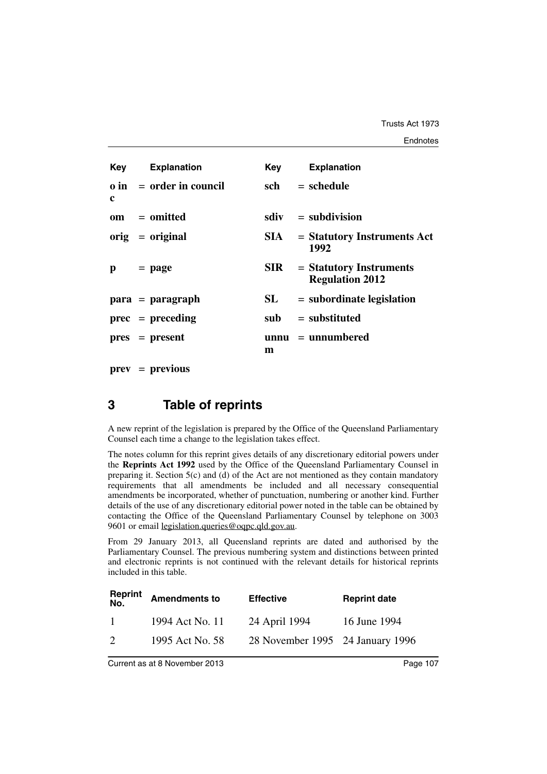|   | <b>Key</b> Explanation         | Key        | <b>Explanation</b>                                  |
|---|--------------------------------|------------|-----------------------------------------------------|
| c | $\theta$ in = order in council | sch        | $=$ schedule                                        |
|   | om = omitted                   |            | $sdiv = subdivision$                                |
|   | $orig = original$              | SIA –      | $=$ Statutory Instruments Act<br>1992               |
| p | $=$ page                       | <b>SIR</b> | $=$ Statutory Instruments<br><b>Regulation 2012</b> |
|   | $para = paragraph$             | SL         | $=$ subordinate legislation                         |
|   | $prec = preceding$             | sub        | $=$ substituted                                     |
|   | $pres = present$               | m          | $unnu = unnumbered$                                 |

**prev** = **previous**

### **3 Table of reprints**

A new reprint of the legislation is prepared by the Office of the Queensland Parliamentary Counsel each time a change to the legislation takes effect.

The notes column for this reprint gives details of any discretionary editorial powers under the **Reprints Act 1992** used by the Office of the Queensland Parliamentary Counsel in preparing it. Section  $5(c)$  and (d) of the Act are not mentioned as they contain mandatory requirements that all amendments be included and all necessary consequential amendments be incorporated, whether of punctuation, numbering or another kind. Further details of the use of any discretionary editorial power noted in the table can be obtained by contacting the Office of the Queensland Parliamentary Counsel by telephone on 3003 9601 or email legislation.queries@oqpc.qld.gov.au.

From 29 January 2013, all Queensland reprints are dated and authorised by the Parliamentary Counsel. The previous numbering system and distinctions between printed and electronic reprints is not continued with the relevant details for historical reprints included in this table.

| <b>Reprint</b><br>No. | <b>Amendments to</b> | <b>Effective</b>                 | <b>Reprint date</b> |
|-----------------------|----------------------|----------------------------------|---------------------|
| $\overline{1}$        | 1994 Act No. 11      | 24 April 1994                    | 16 June 1994        |
| $\mathcal{D}$         | 1995 Act No. 58      | 28 November 1995 24 January 1996 |                     |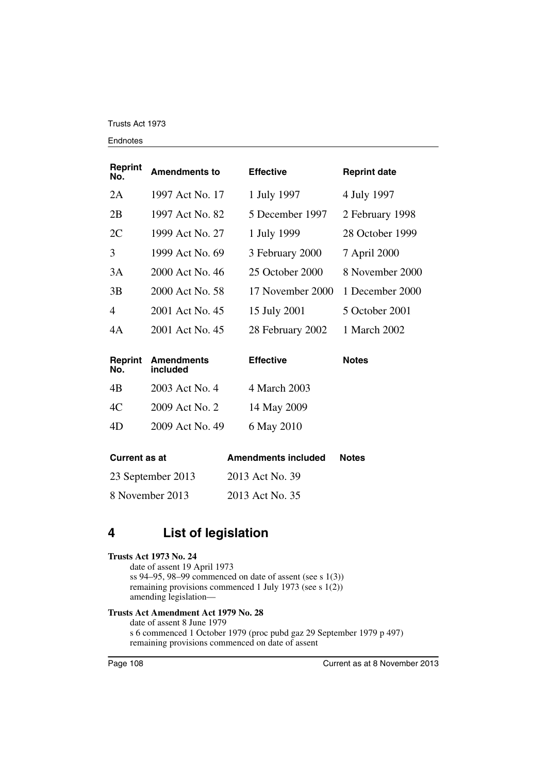#### Endnotes

| <b>Reprint</b><br>No. | <b>Amendments to</b> | <b>Effective</b> | <b>Reprint date</b> |
|-----------------------|----------------------|------------------|---------------------|
| 2A                    | 1997 Act No. 17      | 1 July 1997      | 4 July 1997         |
| 2B                    | 1997 Act No. 82      | 5 December 1997  | 2 February 1998     |
| 2C                    | 1999 Act No. 27      | 1 July 1999      | 28 October 1999     |
| 3                     | 1999 Act No. 69      | 3 February 2000  | 7 April 2000        |
| 3A                    | 2000 Act No. 46      | 25 October 2000  | 8 November 2000     |
| 3B                    | 2000 Act No. 58      | 17 November 2000 | 1 December 2000     |
| $\overline{4}$        | 2001 Act No. 45      | 15 July 2001     | 5 October 2001      |
| 4A                    | 2001 Act No. 45      | 28 February 2002 | 1 March 2002        |
|                       |                      |                  |                     |

| No. | <b>Reprint Amendments</b><br>included | <b>Effective</b> | <b>Notes</b> |  |
|-----|---------------------------------------|------------------|--------------|--|
| 4B  | 2003 Act No. 4                        | 4 March 2003     |              |  |
| 4C  | 2009 Act No. 2                        | 14 May 2009      |              |  |
| 4D  | 2009 Act No. 49                       | 6 May 2010       |              |  |

| <b>Current as at</b> | <b>Amendments included</b> | <b>Notes</b> |
|----------------------|----------------------------|--------------|
| 23 September 2013    | 2013 Act No. 39            |              |
| 8 November 2013      | 2013 Act No. 35            |              |

## **4 List of legislation**

#### **Trusts Act 1973 No. 24**

date of assent 19 April 1973 ss 94–95, 98–99 commenced on date of assent (see s 1(3)) remaining provisions commenced 1 July 1973 (see s 1(2)) amending legislation—

### **Trusts Act Amendment Act 1979 No. 28**

date of assent 8 June 1979 s 6 commenced 1 October 1979 (proc pubd gaz 29 September 1979 p 497) remaining provisions commenced on date of assent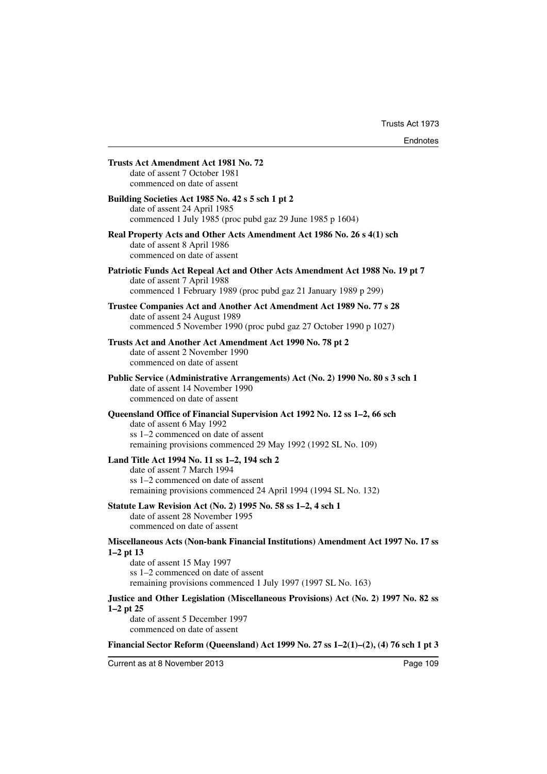|               | Trusts Act Amendment Act 1981 No. 72<br>date of assent 7 October 1981<br>commenced on date of assent                                                                                                         |
|---------------|--------------------------------------------------------------------------------------------------------------------------------------------------------------------------------------------------------------|
|               | Building Societies Act 1985 No. 42 s 5 sch 1 pt 2<br>date of assent 24 April 1985<br>commenced 1 July 1985 (proc pubd gaz 29 June 1985 p 1604)                                                               |
|               | Real Property Acts and Other Acts Amendment Act 1986 No. 26 s 4(1) sch<br>date of assent 8 April 1986<br>commenced on date of assent                                                                         |
|               | Patriotic Funds Act Repeal Act and Other Acts Amendment Act 1988 No. 19 pt 7<br>date of assent 7 April 1988<br>commenced 1 February 1989 (proc pubd gaz 21 January 1989 p 299)                               |
|               | Trustee Companies Act and Another Act Amendment Act 1989 No. 77 s 28<br>date of assent 24 August 1989<br>commenced 5 November 1990 (proc pubd gaz 27 October 1990 p 1027)                                    |
|               | Trusts Act and Another Act Amendment Act 1990 No. 78 pt 2<br>date of assent 2 November 1990<br>commenced on date of assent                                                                                   |
|               | Public Service (Administrative Arrangements) Act (No. 2) 1990 No. 80 s 3 sch 1<br>date of assent 14 November 1990<br>commenced on date of assent                                                             |
|               | Queensland Office of Financial Supervision Act 1992 No. 12 ss 1–2, 66 sch<br>date of assent 6 May 1992<br>ss 1–2 commenced on date of assent<br>remaining provisions commenced 29 May 1992 (1992 SL No. 109) |
|               | Land Title Act 1994 No. 11 ss 1-2, 194 sch 2<br>date of assent 7 March 1994<br>ss 1-2 commenced on date of assent<br>remaining provisions commenced 24 April 1994 (1994 SL No. 132)                          |
|               | Statute Law Revision Act (No. 2) 1995 No. 58 ss 1-2, 4 sch 1<br>date of assent 28 November 1995<br>commenced on date of assent                                                                               |
| $1-2$ pt 13   | Miscellaneous Acts (Non-bank Financial Institutions) Amendment Act 1997 No. 17 ss                                                                                                                            |
|               | date of assent 15 May 1997<br>ss 1–2 commenced on date of assent<br>remaining provisions commenced 1 July 1997 (1997 SL No. 163)                                                                             |
| $1-2$ pt $25$ | Justice and Other Legislation (Miscellaneous Provisions) Act (No. 2) 1997 No. 82 ss<br>date of assent 5 December 1997<br>commenced on date of assent                                                         |

**Financial Sector Reform (Queensland) Act 1999 No. 27 ss 1–2(1)–(2), (4) 76 sch 1 pt 3**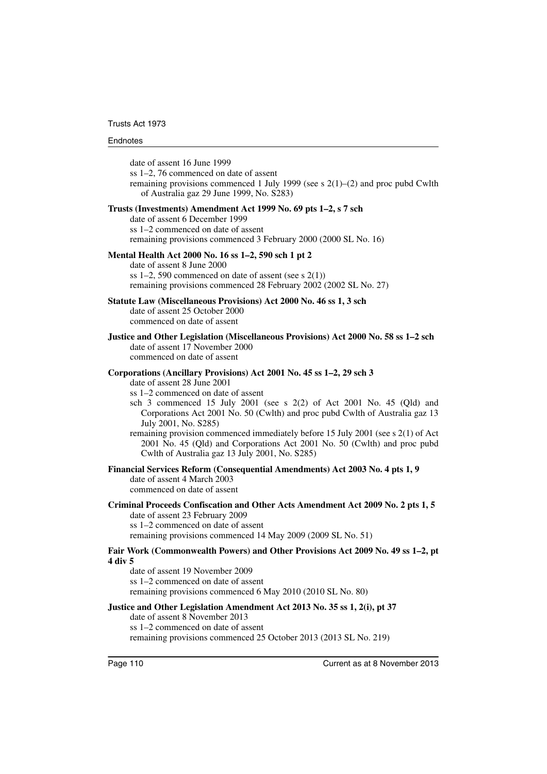#### Endnotes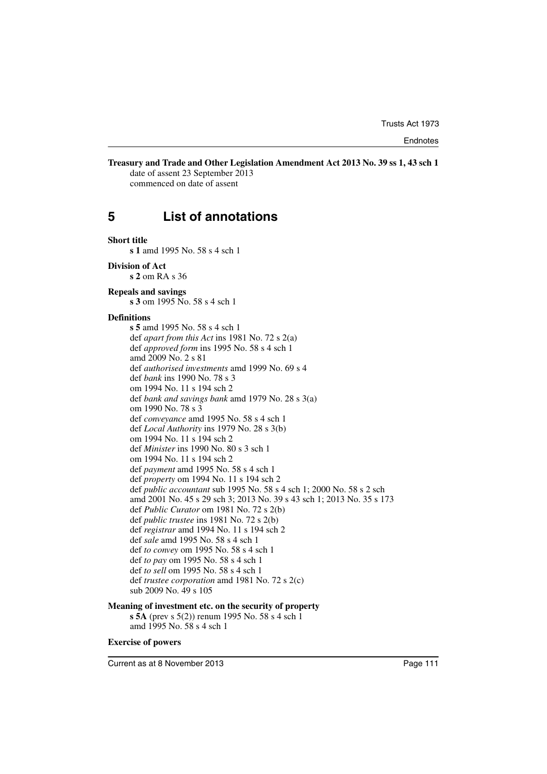### **Treasury and Trade and Other Legislation Amendment Act 2013 No. 39 ss 1, 43 sch 1**

date of assent 23 September 2013 commenced on date of assent

# **5 List of annotations**

#### **Short title**

**s 1** amd 1995 No. 58 s 4 sch 1

#### **Division of Act**

**s 2** om RA s 36

#### **Repeals and savings**

**s 3** om 1995 No. 58 s 4 sch 1

#### **Definitions**

**s 5** amd 1995 No. 58 s 4 sch 1 def *apart from this Act* ins 1981 No. 72 s 2(a) def *approved form* ins 1995 No. 58 s 4 sch 1 amd 2009 No. 2 s 81 def *authorised investments* amd 1999 No. 69 s 4 def *bank* ins 1990 No. 78 s 3 om 1994 No. 11 s 194 sch 2 def *bank and savings bank* amd 1979 No. 28 s 3(a) om 1990 No. 78 s 3 def *conveyance* amd 1995 No. 58 s 4 sch 1 def *Local Authority* ins 1979 No. 28 s 3(b) om 1994 No. 11 s 194 sch 2 def *Minister* ins 1990 No. 80 s 3 sch 1 om 1994 No. 11 s 194 sch 2 def *payment* amd 1995 No. 58 s 4 sch 1 def *property* om 1994 No. 11 s 194 sch 2 def *public accountant* sub 1995 No. 58 s 4 sch 1; 2000 No. 58 s 2 sch amd 2001 No. 45 s 29 sch 3; 2013 No. 39 s 43 sch 1; 2013 No. 35 s 173 def *Public Curator* om 1981 No. 72 s 2(b) def *public trustee* ins 1981 No. 72 s 2(b) def *registrar* amd 1994 No. 11 s 194 sch 2 def *sale* amd 1995 No. 58 s 4 sch 1 def *to convey* om 1995 No. 58 s 4 sch 1 def *to pay* om 1995 No. 58 s 4 sch 1 def *to sell* om 1995 No. 58 s 4 sch 1 def *trustee corporation* amd 1981 No. 72 s 2(c) sub 2009 No. 49 s 105

#### **Meaning of investment etc. on the security of property**

**s 5A** (prev s 5(2)) renum 1995 No. 58 s 4 sch 1 amd 1995 No. 58 s 4 sch 1

#### **Exercise of powers**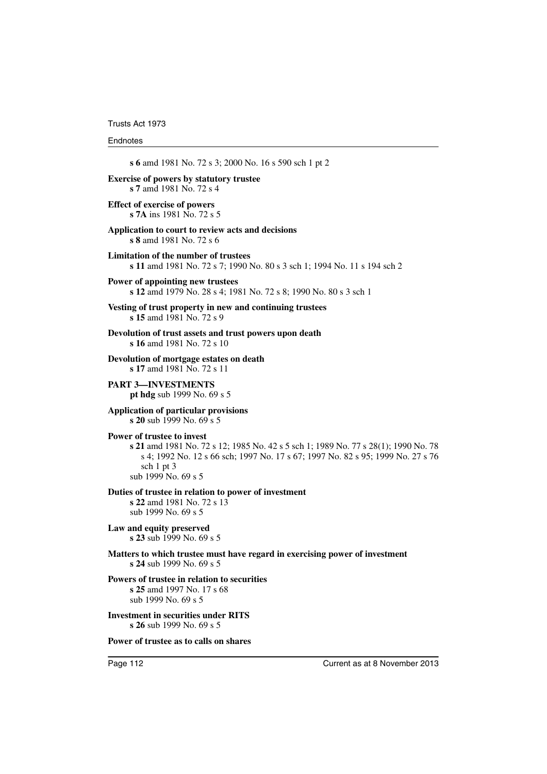Trusts Act 1973

#### **Endnotes**

**s 6** amd 1981 No. 72 s 3; 2000 No. 16 s 590 sch 1 pt 2 **Exercise of powers by statutory trustee s 7** amd 1981 No. 72 s 4 **Effect of exercise of powers s 7A** ins 1981 No. 72 s 5 **Application to court to review acts and decisions s 8** amd 1981 No. 72 s 6 **Limitation of the number of trustees s 11** amd 1981 No. 72 s 7; 1990 No. 80 s 3 sch 1; 1994 No. 11 s 194 sch 2 **Power of appointing new trustees s 12** amd 1979 No. 28 s 4; 1981 No. 72 s 8; 1990 No. 80 s 3 sch 1 **Vesting of trust property in new and continuing trustees s 15** amd 1981 No. 72 s 9 **Devolution of trust assets and trust powers upon death s 16** amd 1981 No. 72 s 10 **Devolution of mortgage estates on death s 17** amd 1981 No. 72 s 11 **PART 3—INVESTMENTS pt hdg** sub 1999 No. 69 s 5 **Application of particular provisions s 20** sub 1999 No. 69 s 5 **Power of trustee to invest s 21** amd 1981 No. 72 s 12; 1985 No. 42 s 5 sch 1; 1989 No. 77 s 28(1); 1990 No. 78 s 4; 1992 No. 12 s 66 sch; 1997 No. 17 s 67; 1997 No. 82 s 95; 1999 No. 27 s 76 sch 1 pt 3 sub 1999 No. 69 s 5 **Duties of trustee in relation to power of investment s 22** amd 1981 No. 72 s 13 sub 1999 No. 69 s 5 **Law and equity preserved s 23** sub 1999 No. 69 s 5 **Matters to which trustee must have regard in exercising power of investment s 24** sub 1999 No. 69 s 5 **Powers of trustee in relation to securities s 25** amd 1997 No. 17 s 68 sub 1999 No. 69 s 5

**Investment in securities under RITS s 26** sub 1999 No. 69 s 5

**Power of trustee as to calls on shares**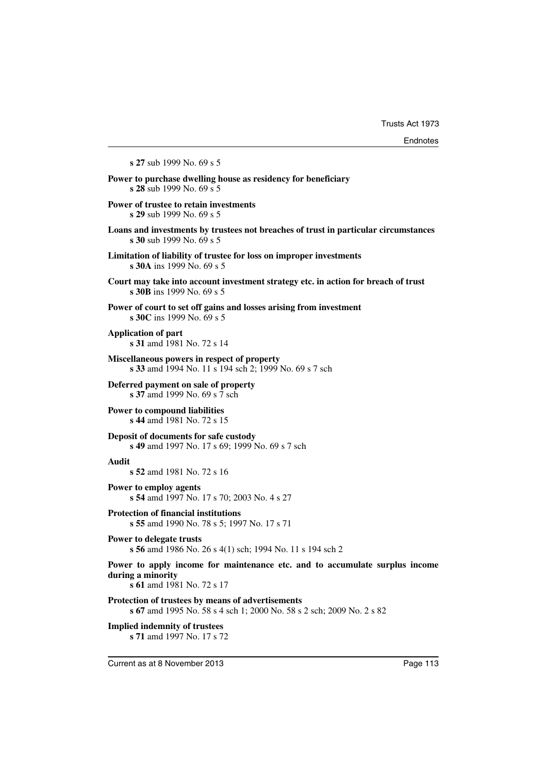**s 27** sub 1999 No. 69 s 5 **Power to purchase dwelling house as residency for beneficiary s 28** sub 1999 No. 69 s 5 **Power of trustee to retain investments s 29** sub 1999 No. 69 s 5 **Loans and investments by trustees not breaches of trust in particular circumstances s 30** sub 1999 No. 69 s 5 **Limitation of liability of trustee for loss on improper investments s 30A** ins 1999 No. 69 s 5 **Court may take into account investment strategy etc. in action for breach of trust s 30B** ins 1999 No. 69 s 5 **Power of court to set off gains and losses arising from investment s 30C** ins 1999 No. 69 s 5 **Application of part s 31** amd 1981 No. 72 s 14 **Miscellaneous powers in respect of property s 33** amd 1994 No. 11 s 194 sch 2; 1999 No. 69 s 7 sch **Deferred payment on sale of property s 37** amd 1999 No. 69 s 7 sch **Power to compound liabilities s 44** amd 1981 No. 72 s 15 **Deposit of documents for safe custody s 49** amd 1997 No. 17 s 69; 1999 No. 69 s 7 sch **Audit s 52** amd 1981 No. 72 s 16 **Power to employ agents s 54** amd 1997 No. 17 s 70; 2003 No. 4 s 27 **Protection of financial institutions s 55** amd 1990 No. 78 s 5; 1997 No. 17 s 71 **Power to delegate trusts s 56** amd 1986 No. 26 s 4(1) sch; 1994 No. 11 s 194 sch 2 **Power to apply income for maintenance etc. and to accumulate surplus income during a minority s 61** amd 1981 No. 72 s 17 **Protection of trustees by means of advertisements s 67** amd 1995 No. 58 s 4 sch 1; 2000 No. 58 s 2 sch; 2009 No. 2 s 82 **Implied indemnity of trustees s 71** amd 1997 No. 17 s 72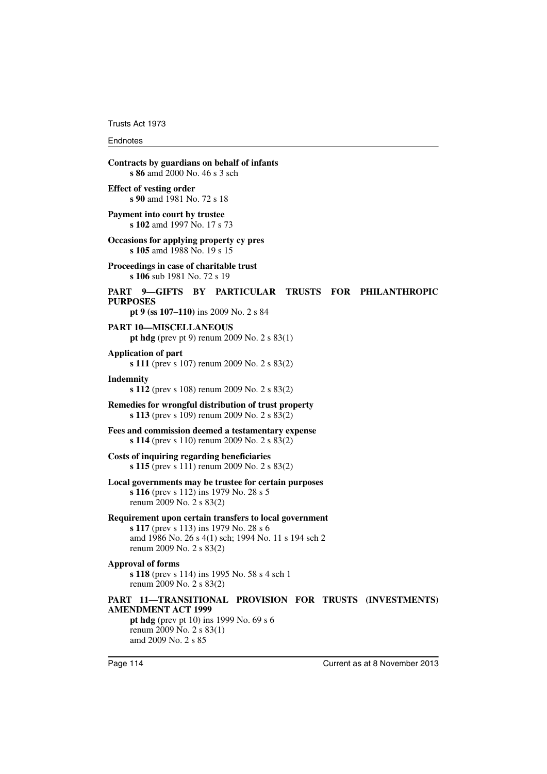Trusts Act 1973

#### Endnotes

| Contracts by guardians on behalf of infants<br>s 86 amd 2000 No. 46 s 3 sch                                                             |                                                     |  |                          |
|-----------------------------------------------------------------------------------------------------------------------------------------|-----------------------------------------------------|--|--------------------------|
| <b>Effect of vesting order</b><br>s 90 amd 1981 No. 72 s 18                                                                             |                                                     |  |                          |
| Payment into court by trustee<br><b>s 102</b> amd 1997 No. 17 s 73                                                                      |                                                     |  |                          |
| Occasions for applying property cy pres<br>s 105 amd 1988 No. 19 s 15                                                                   |                                                     |  |                          |
| Proceedings in case of charitable trust<br>s 106 sub 1981 No. 72 s 19                                                                   |                                                     |  |                          |
| PART 9—GIFTS BY PARTICULAR<br><b>PURPOSES</b><br>pt 9 (ss 107–110) ins 2009 No. 2 s 84                                                  |                                                     |  | TRUSTS FOR PHILANTHROPIC |
| PART 10—MISCELLANEOUS                                                                                                                   | pt hdg (prev pt 9) renum 2009 No. $2 s 83(1)$       |  |                          |
| <b>Application of part</b>                                                                                                              | s 111 (prev s 107) renum 2009 No. 2 s $83(2)$       |  |                          |
| Indemnity                                                                                                                               | s 112 (prev s 108) renum 2009 No. $2 s 83(2)$       |  |                          |
| Remedies for wrongful distribution of trust property                                                                                    | <b>s 113</b> (prev s 109) renum 2009 No. 2 s 83(2)  |  |                          |
| Fees and commission deemed a testamentary expense                                                                                       | s 114 (prev s 110) renum 2009 No. 2 s $83(2)$       |  |                          |
| Costs of inquiring regarding beneficiaries                                                                                              | s 115 (prev s 111) renum 2009 No. 2 s $83(2)$       |  |                          |
| Local governments may be trustee for certain purposes<br>s 116 (prev s 112) ins 1979 No. 28 s 5<br>renum 2009 No. 2 s 83(2)             |                                                     |  |                          |
| Requirement upon certain transfers to local government<br>s 117 (prev s 113) ins 1979 No. 28 s 6<br>renum 2009 No. 2 s 83(2)            | amd 1986 No. 26 s 4(1) sch; 1994 No. 11 s 194 sch 2 |  |                          |
| <b>Approval of forms</b><br>renum 2009 No. 2 s 83(2)                                                                                    | <b>s 118</b> (prev s 114) ins 1995 No. 58 s 4 sch 1 |  |                          |
| PART 11-TRANSITIONAL PROVISION FOR TRUSTS (INVESTMENTS)<br><b>AMENDMENT ACT 1999</b><br>renum 2009 No. 2 s 83(1)<br>amd 2009 No. 2 s 85 | pt hdg (prev pt 10) ins 1999 No. $69 s 6$           |  |                          |